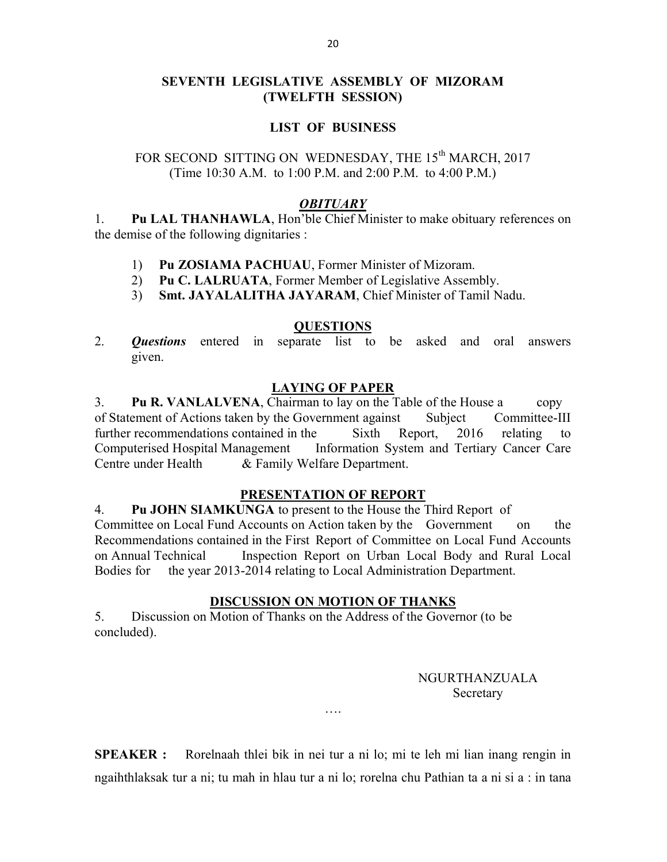# SEVENTH LEGISLATIVE ASSEMBLY OF MIZORAM (TWELFTH SESSION)

## LIST OF BUSINESS

# FOR SECOND SITTING ON WEDNESDAY, THE 15<sup>th</sup> MARCH, 2017 (Time 10:30 A.M. to 1:00 P.M. and 2:00 P.M. to 4:00 P.M.)

#### **OBITUARY**

1. Pu LAL THANHAWLA, Hon'ble Chief Minister to make obituary references on the demise of the following dignitaries :

- 1) Pu ZOSIAMA PACHUAU, Former Minister of Mizoram.
- 2) Pu C. LALRUATA, Former Member of Legislative Assembly.
- 3) Smt. JAYALALITHA JAYARAM, Chief Minister of Tamil Nadu.

### QUESTIONS

2. **Questions** entered in separate list to be asked and oral answers given.

### LAYING OF PAPER

3. Pu R. VANLALVENA, Chairman to lay on the Table of the House a copy of Statement of Actions taken by the Government against Subject Committee-III further recommendations contained in the Sixth Report, 2016 relating to Computerised Hospital Management Information System and Tertiary Cancer Care Centre under Health & Family Welfare Department.

#### PRESENTATION OF REPORT

4. Pu JOHN SIAMKUNGA to present to the House the Third Report of Committee on Local Fund Accounts on Action taken by the Government on the Recommendations contained in the First Report of Committee on Local Fund Accounts on Annual Technical Inspection Report on Urban Local Body and Rural Local Bodies for the year 2013-2014 relating to Local Administration Department.

## DISCUSSION ON MOTION OF THANKS

5. Discussion on Motion of Thanks on the Address of the Governor (to be concluded).

## NGURTHANZUALA Secretary

SPEAKER : Rorelnaah thlei bik in nei tur a ni lo; mi te leh mi lian inang rengin in ngaihthlaksak tur a ni; tu mah in hlau tur a ni lo; rorelna chu Pathian ta a ni si a : in tana

….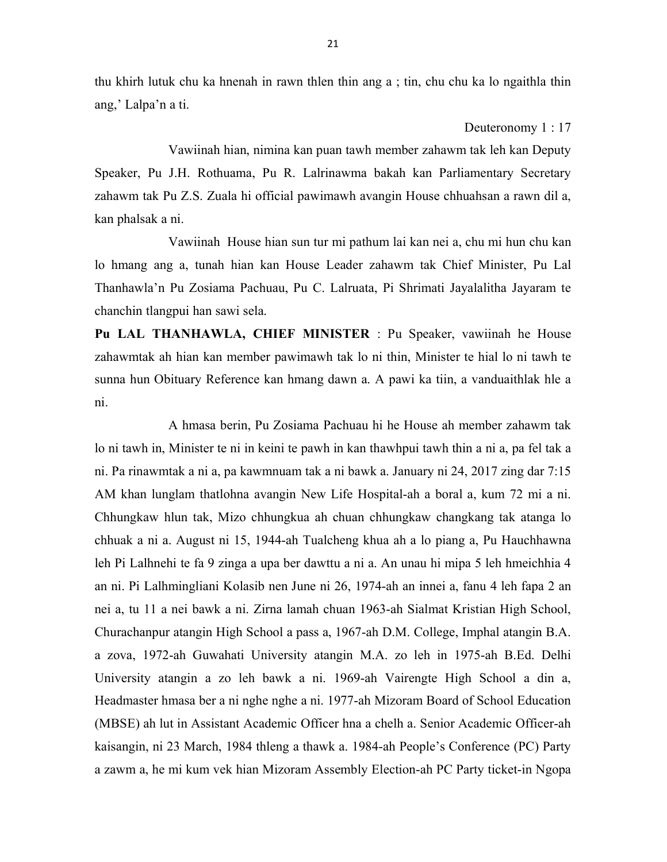thu khirh lutuk chu ka hnenah in rawn thlen thin ang a ; tin, chu chu ka lo ngaithla thin ang,' Lalpa'n a ti.

Deuteronomy 1 : 17

 Vawiinah hian, nimina kan puan tawh member zahawm tak leh kan Deputy Speaker, Pu J.H. Rothuama, Pu R. Lalrinawma bakah kan Parliamentary Secretary zahawm tak Pu Z.S. Zuala hi official pawimawh avangin House chhuahsan a rawn dil a, kan phalsak a ni.

 Vawiinah House hian sun tur mi pathum lai kan nei a, chu mi hun chu kan lo hmang ang a, tunah hian kan House Leader zahawm tak Chief Minister, Pu Lal Thanhawla'n Pu Zosiama Pachuau, Pu C. Lalruata, Pi Shrimati Jayalalitha Jayaram te chanchin tlangpui han sawi sela.

Pu LAL THANHAWLA, CHIEF MINISTER : Pu Speaker, vawiinah he House zahawmtak ah hian kan member pawimawh tak lo ni thin, Minister te hial lo ni tawh te sunna hun Obituary Reference kan hmang dawn a. A pawi ka tiin, a vanduaithlak hle a ni.

 A hmasa berin, Pu Zosiama Pachuau hi he House ah member zahawm tak lo ni tawh in, Minister te ni in keini te pawh in kan thawhpui tawh thin a ni a, pa fel tak a ni. Pa rinawmtak a ni a, pa kawmnuam tak a ni bawk a. January ni 24, 2017 zing dar 7:15 AM khan lunglam thatlohna avangin New Life Hospital-ah a boral a, kum 72 mi a ni. Chhungkaw hlun tak, Mizo chhungkua ah chuan chhungkaw changkang tak atanga lo chhuak a ni a. August ni 15, 1944-ah Tualcheng khua ah a lo piang a, Pu Hauchhawna leh Pi Lalhnehi te fa 9 zinga a upa ber dawttu a ni a. An unau hi mipa 5 leh hmeichhia 4 an ni. Pi Lalhmingliani Kolasib nen June ni 26, 1974-ah an innei a, fanu 4 leh fapa 2 an nei a, tu 11 a nei bawk a ni. Zirna lamah chuan 1963-ah Sialmat Kristian High School, Churachanpur atangin High School a pass a, 1967-ah D.M. College, Imphal atangin B.A. a zova, 1972-ah Guwahati University atangin M.A. zo leh in 1975-ah B.Ed. Delhi University atangin a zo leh bawk a ni. 1969-ah Vairengte High School a din a, Headmaster hmasa ber a ni nghe nghe a ni. 1977-ah Mizoram Board of School Education (MBSE) ah lut in Assistant Academic Officer hna a chelh a. Senior Academic Officer-ah kaisangin, ni 23 March, 1984 thleng a thawk a. 1984-ah People's Conference (PC) Party a zawm a, he mi kum vek hian Mizoram Assembly Election-ah PC Party ticket-in Ngopa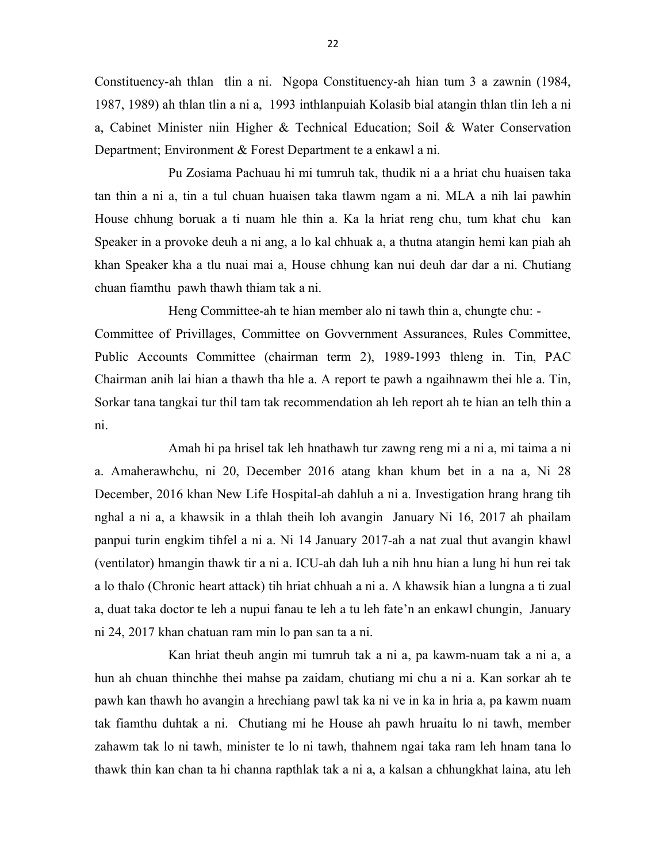Constituency-ah thlan tlin a ni. Ngopa Constituency-ah hian tum 3 a zawnin (1984, 1987, 1989) ah thlan tlin a ni a, 1993 inthlanpuiah Kolasib bial atangin thlan tlin leh a ni a, Cabinet Minister niin Higher & Technical Education; Soil & Water Conservation Department; Environment & Forest Department te a enkawl a ni.

 Pu Zosiama Pachuau hi mi tumruh tak, thudik ni a a hriat chu huaisen taka tan thin a ni a, tin a tul chuan huaisen taka tlawm ngam a ni. MLA a nih lai pawhin House chhung boruak a ti nuam hle thin a. Ka la hriat reng chu, tum khat chu kan Speaker in a provoke deuh a ni ang, a lo kal chhuak a, a thutna atangin hemi kan piah ah khan Speaker kha a tlu nuai mai a, House chhung kan nui deuh dar dar a ni. Chutiang chuan fiamthu pawh thawh thiam tak a ni.

 Heng Committee-ah te hian member alo ni tawh thin a, chungte chu: - Committee of Privillages, Committee on Govvernment Assurances, Rules Committee, Public Accounts Committee (chairman term 2), 1989-1993 thleng in. Tin, PAC Chairman anih lai hian a thawh tha hle a. A report te pawh a ngaihnawm thei hle a. Tin, Sorkar tana tangkai tur thil tam tak recommendation ah leh report ah te hian an telh thin a ni.

 Amah hi pa hrisel tak leh hnathawh tur zawng reng mi a ni a, mi taima a ni a. Amaherawhchu, ni 20, December 2016 atang khan khum bet in a na a, Ni 28 December, 2016 khan New Life Hospital-ah dahluh a ni a. Investigation hrang hrang tih nghal a ni a, a khawsik in a thlah theih loh avangin January Ni 16, 2017 ah phailam panpui turin engkim tihfel a ni a. Ni 14 January 2017-ah a nat zual thut avangin khawl (ventilator) hmangin thawk tir a ni a. ICU-ah dah luh a nih hnu hian a lung hi hun rei tak a lo thalo (Chronic heart attack) tih hriat chhuah a ni a. A khawsik hian a lungna a ti zual a, duat taka doctor te leh a nupui fanau te leh a tu leh fate'n an enkawl chungin, January ni 24, 2017 khan chatuan ram min lo pan san ta a ni.

 Kan hriat theuh angin mi tumruh tak a ni a, pa kawm-nuam tak a ni a, a hun ah chuan thinchhe thei mahse pa zaidam, chutiang mi chu a ni a. Kan sorkar ah te pawh kan thawh ho avangin a hrechiang pawl tak ka ni ve in ka in hria a, pa kawm nuam tak fiamthu duhtak a ni. Chutiang mi he House ah pawh hruaitu lo ni tawh, member zahawm tak lo ni tawh, minister te lo ni tawh, thahnem ngai taka ram leh hnam tana lo thawk thin kan chan ta hi channa rapthlak tak a ni a, a kalsan a chhungkhat laina, atu leh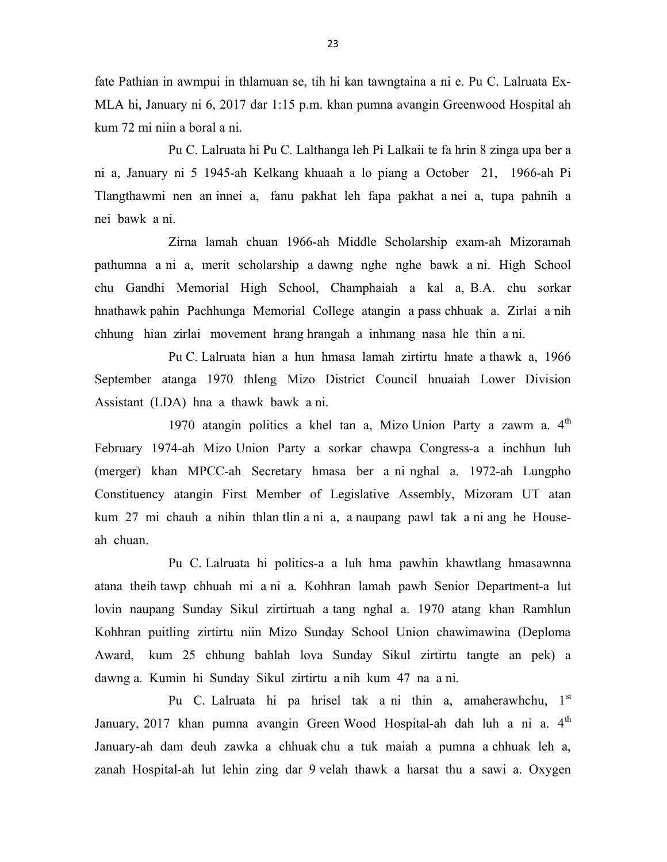fate Pathian in awmpui in thlamuan se, tih hi kan tawngtaina a ni e. Pu C. Lalruata Ex-MLA hi, January ni 6, 2017 dar 1:15 p.m. khan pumna avangin Greenwood Hospital ah kum 72 mi niin a boral a ni.

 Pu C. Lalruata hi Pu C. Lalthanga leh Pi Lalkaii te fa hrin 8 zinga upa ber a ni a, January ni 5 1945-ah Kelkang khuaah a lo piang a October 21, 1966-ah Pi Tlangthawmi nen an innei a, fanu pakhat leh fapa pakhat a nei a, tupa pahnih a nei bawk a ni.

 Zirna lamah chuan 1966-ah Middle Scholarship exam-ah Mizoramah pathumna a ni a, merit scholarship a dawng nghe nghe bawk a ni. High School chu Gandhi Memorial High School, Champhaiah a kal a, B.A. chu sorkar hnathawk pahin Pachhunga Memorial College atangin a pass chhuak a. Zirlai a nih chhung hian zirlai movement hrang hrangah a inhmang nasa hle thin a ni.

 Pu C. Lalruata hian a hun hmasa lamah zirtirtu hnate a thawk a, 1966 September atanga 1970 thleng Mizo District Council hnuaiah Lower Division Assistant (LDA) hna a thawk bawk a ni.

1970 atangin politics a khel tan a, Mizo Union Party a zawm a.  $4<sup>th</sup>$ February 1974-ah Mizo Union Party a sorkar chawpa Congress-a a inchhun luh (merger) khan MPCC-ah Secretary hmasa ber a ni nghal a. 1972-ah Lungpho Constituency atangin First Member of Legislative Assembly, Mizoram UT atan kum 27 mi chauh a nihin thlan tlin a ni a, a naupang pawl tak a ni ang he Houseah chuan.

 Pu C. Lalruata hi politics-a a luh hma pawhin khawtlang hmasawnna atana theih tawp chhuah mi a ni a. Kohhran lamah pawh Senior Department-a lut lovin naupang Sunday Sikul zirtirtuah a tang nghal a. 1970 atang khan Ramhlun Kohhran puitling zirtirtu niin Mizo Sunday School Union chawimawina (Deploma Award, kum 25 chhung bahlah lova Sunday Sikul zirtirtu tangte an pek) a dawng a. Kumin hi Sunday Sikul zirtirtu a nih kum 47 na a ni.

Pu C. Lalruata hi pa hrisel tak a ni thin a, amaherawhchu, 1<sup>st</sup> January, 2017 khan pumna avangin Green Wood Hospital-ah dah luh a ni a. 4<sup>th</sup> January-ah dam deuh zawka a chhuak chu a tuk maiah a pumna a chhuak leh a, zanah Hospital-ah lut lehin zing dar 9 velah thawk a harsat thu a sawi a. Oxygen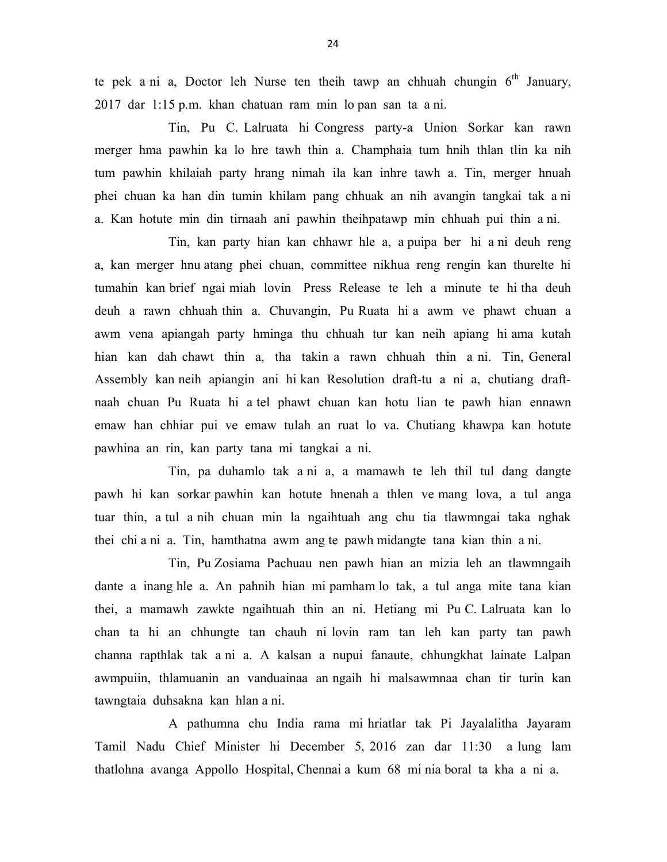te pek a ni a, Doctor leh Nurse ten theih tawp an chhuah chungin  $6<sup>th</sup>$  January, 2017 dar 1:15 p.m. khan chatuan ram min lo pan san ta a ni.

 Tin, Pu C. Lalruata hi Congress party-a Union Sorkar kan rawn merger hma pawhin ka lo hre tawh thin a. Champhaia tum hnih thlan tlin ka nih tum pawhin khilaiah party hrang nimah ila kan inhre tawh a. Tin, merger hnuah phei chuan ka han din tumin khilam pang chhuak an nih avangin tangkai tak a ni a. Kan hotute min din tirnaah ani pawhin theihpatawp min chhuah pui thin a ni.

 Tin, kan party hian kan chhawr hle a, a puipa ber hi a ni deuh reng a, kan merger hnu atang phei chuan, committee nikhua reng rengin kan thurelte hi tumahin kan brief ngai miah lovin Press Release te leh a minute te hi tha deuh deuh a rawn chhuah thin a. Chuvangin, Pu Ruata hi a awm ve phawt chuan a awm vena apiangah party hminga thu chhuah tur kan neih apiang hi ama kutah hian kan dah chawt thin a, tha takin a rawn chhuah thin a ni. Tin, General Assembly kan neih apiangin ani hi kan Resolution draft-tu a ni a, chutiang draftnaah chuan Pu Ruata hi a tel phawt chuan kan hotu lian te pawh hian ennawn emaw han chhiar pui ve emaw tulah an ruat lo va. Chutiang khawpa kan hotute pawhina an rin, kan party tana mi tangkai a ni.

 Tin, pa duhamlo tak a ni a, a mamawh te leh thil tul dang dangte pawh hi kan sorkar pawhin kan hotute hnenah a thlen ve mang lova, a tul anga tuar thin, a tul a nih chuan min la ngaihtuah ang chu tia tlawmngai taka nghak thei chi a ni a. Tin, hamthatna awm ang te pawh midangte tana kian thin a ni.

 Tin, Pu Zosiama Pachuau nen pawh hian an mizia leh an tlawmngaih dante a inang hle a. An pahnih hian mi pamham lo tak, a tul anga mite tana kian thei, a mamawh zawkte ngaihtuah thin an ni. Hetiang mi Pu C. Lalruata kan lo chan ta hi an chhungte tan chauh ni lovin ram tan leh kan party tan pawh channa rapthlak tak a ni a. A kalsan a nupui fanaute, chhungkhat lainate Lalpan awmpuiin, thlamuanin an vanduainaa an ngaih hi malsawmnaa chan tir turin kan tawngtaia duhsakna kan hlan a ni.

 A pathumna chu India rama mi hriatlar tak Pi Jayalalitha Jayaram Tamil Nadu Chief Minister hi December 5, 2016 zan dar 11:30 a lung lam thatlohna avanga Appollo Hospital, Chennai a kum 68 mi nia boral ta kha a ni a.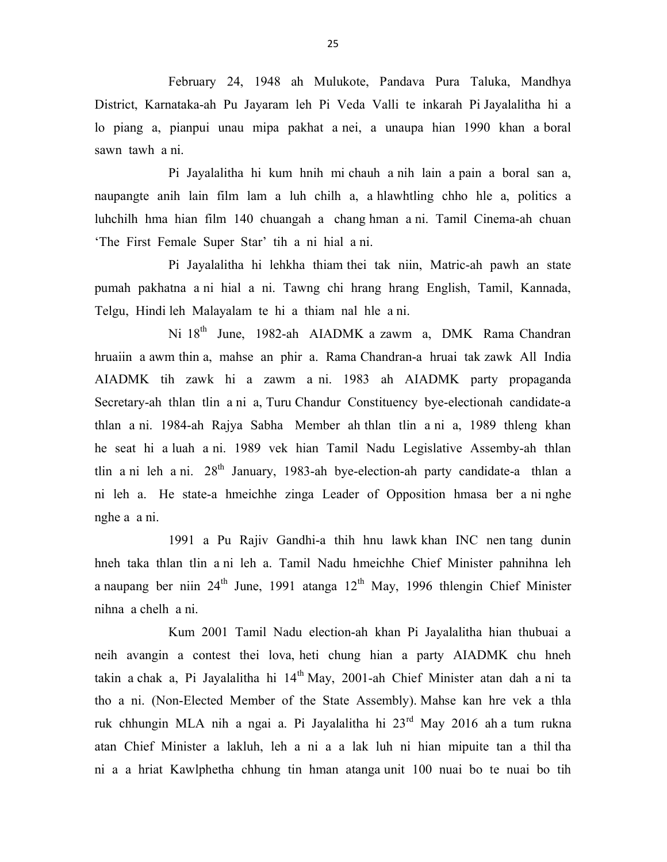February 24, 1948 ah Mulukote, Pandava Pura Taluka, Mandhya District, Karnataka-ah Pu Jayaram leh Pi Veda Valli te inkarah Pi Jayalalitha hi a lo piang a, pianpui unau mipa pakhat a nei, a unaupa hian 1990 khan a boral sawn tawh a ni.

 Pi Jayalalitha hi kum hnih mi chauh a nih lain a pain a boral san a, naupangte anih lain film lam a luh chilh a, a hlawhtling chho hle a, politics a luhchilh hma hian film 140 chuangah a chang hman a ni. Tamil Cinema-ah chuan 'The First Female Super Star' tih a ni hial a ni.

 Pi Jayalalitha hi lehkha thiam thei tak niin, Matric-ah pawh an state pumah pakhatna a ni hial a ni. Tawng chi hrang hrang English, Tamil, Kannada, Telgu, Hindi leh Malayalam te hi a thiam nal hle a ni.

Ni 18<sup>th</sup> June, 1982-ah AIADMK a zawm a, DMK Rama Chandran hruaiin a awm thin a, mahse an phir a. Rama Chandran-a hruai tak zawk All India AIADMK tih zawk hi a zawm a ni. 1983 ah AIADMK party propaganda Secretary-ah thlan tlin a ni a, Turu Chandur Constituency bye-electionah candidate-a thlan a ni. 1984-ah Rajya Sabha Member ah thlan tlin a ni a, 1989 thleng khan he seat hi a luah a ni. 1989 vek hian Tamil Nadu Legislative Assemby-ah thlan tlin a ni leh a ni.  $28<sup>th</sup>$  January, 1983-ah bye-election-ah party candidate-a thlan a ni leh a. He state-a hmeichhe zinga Leader of Opposition hmasa ber a ni nghe nghe a a ni.

 1991 a Pu Rajiv Gandhi-a thih hnu lawk khan INC nen tang dunin hneh taka thlan tlin a ni leh a. Tamil Nadu hmeichhe Chief Minister pahnihna leh a naupang ber niin  $24^{th}$  June, 1991 atanga  $12^{th}$  May, 1996 thlengin Chief Minister nihna a chelh a ni.

 Kum 2001 Tamil Nadu election-ah khan Pi Jayalalitha hian thubuai a neih avangin a contest thei lova, heti chung hian a party AIADMK chu hneh takin a chak a, Pi Jayalalitha hi 14<sup>th</sup> May, 2001-ah Chief Minister atan dah a ni ta tho a ni. (Non-Elected Member of the State Assembly). Mahse kan hre vek a thla ruk chhungin MLA nih a ngai a. Pi Jayalalitha hi 23rd May 2016 ah a tum rukna atan Chief Minister a lakluh, leh a ni a a lak luh ni hian mipuite tan a thil tha ni a a hriat Kawlphetha chhung tin hman atanga unit 100 nuai bo te nuai bo tih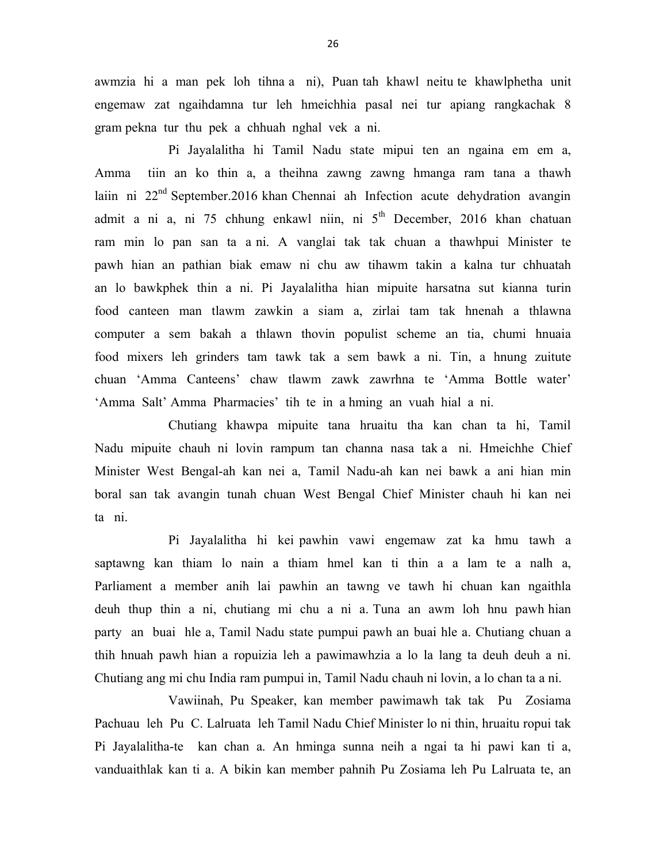awmzia hi a man pek loh tihna a ni), Puan tah khawl neitu te khawlphetha unit engemaw zat ngaihdamna tur leh hmeichhia pasal nei tur apiang rangkachak 8 gram pekna tur thu pek a chhuah nghal vek a ni.

 Pi Jayalalitha hi Tamil Nadu state mipui ten an ngaina em em a, Amma tiin an ko thin a, a theihna zawng zawng hmanga ram tana a thawh laiin ni 22<sup>nd</sup> September.2016 khan Chennai ah Infection acute dehydration avangin admit a ni a, ni 75 chhung enkawl niin, ni  $5<sup>th</sup>$  December, 2016 khan chatuan ram min lo pan san ta a ni. A vanglai tak tak chuan a thawhpui Minister te pawh hian an pathian biak emaw ni chu aw tihawm takin a kalna tur chhuatah an lo bawkphek thin a ni. Pi Jayalalitha hian mipuite harsatna sut kianna turin food canteen man tlawm zawkin a siam a, zirlai tam tak hnenah a thlawna computer a sem bakah a thlawn thovin populist scheme an tia, chumi hnuaia food mixers leh grinders tam tawk tak a sem bawk a ni. Tin, a hnung zuitute chuan 'Amma Canteens' chaw tlawm zawk zawrhna te 'Amma Bottle water' 'Amma Salt' Amma Pharmacies' tih te in a hming an vuah hial a ni.

 Chutiang khawpa mipuite tana hruaitu tha kan chan ta hi, Tamil Nadu mipuite chauh ni lovin rampum tan channa nasa tak a ni. Hmeichhe Chief Minister West Bengal-ah kan nei a, Tamil Nadu-ah kan nei bawk a ani hian min boral san tak avangin tunah chuan West Bengal Chief Minister chauh hi kan nei ta ni.

 Pi Jayalalitha hi kei pawhin vawi engemaw zat ka hmu tawh a saptawng kan thiam lo nain a thiam hmel kan ti thin a a lam te a nalh a, Parliament a member anih lai pawhin an tawng ve tawh hi chuan kan ngaithla deuh thup thin a ni, chutiang mi chu a ni a. Tuna an awm loh hnu pawh hian party an buai hle a, Tamil Nadu state pumpui pawh an buai hle a. Chutiang chuan a thih hnuah pawh hian a ropuizia leh a pawimawhzia a lo la lang ta deuh deuh a ni. Chutiang ang mi chu India ram pumpui in, Tamil Nadu chauh ni lovin, a lo chan ta a ni.

Vawiinah, Pu Speaker, kan member pawimawh tak tak Pu Zosiama Pachuau leh Pu C. Lalruata leh Tamil Nadu Chief Minister lo ni thin, hruaitu ropui tak Pi Jayalalitha-te kan chan a. An hminga sunna neih a ngai ta hi pawi kan ti a, vanduaithlak kan ti a. A bikin kan member pahnih Pu Zosiama leh Pu Lalruata te, an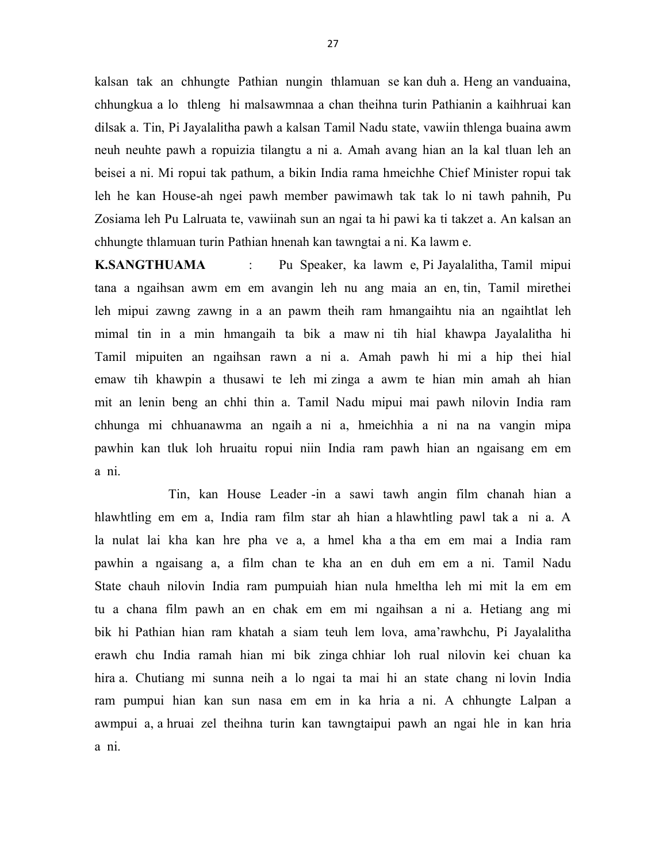kalsan tak an chhungte Pathian nungin thlamuan se kan duh a. Heng an vanduaina, chhungkua a lo thleng hi malsawmnaa a chan theihna turin Pathianin a kaihhruai kan dilsak a. Tin, Pi Jayalalitha pawh a kalsan Tamil Nadu state, vawiin thlenga buaina awm neuh neuhte pawh a ropuizia tilangtu a ni a. Amah avang hian an la kal tluan leh an beisei a ni. Mi ropui tak pathum, a bikin India rama hmeichhe Chief Minister ropui tak leh he kan House-ah ngei pawh member pawimawh tak tak lo ni tawh pahnih, Pu Zosiama leh Pu Lalruata te, vawiinah sun an ngai ta hi pawi ka ti takzet a. An kalsan an chhungte thlamuan turin Pathian hnenah kan tawngtai a ni. Ka lawm e.

K.SANGTHUAMA : Pu Speaker, ka lawm e, Pi Jayalalitha, Tamil mipui tana a ngaihsan awm em em avangin leh nu ang maia an en, tin, Tamil mirethei leh mipui zawng zawng in a an pawm theih ram hmangaihtu nia an ngaihtlat leh mimal tin in a min hmangaih ta bik a maw ni tih hial khawpa Jayalalitha hi Tamil mipuiten an ngaihsan rawn a ni a. Amah pawh hi mi a hip thei hial emaw tih khawpin a thusawi te leh mi zinga a awm te hian min amah ah hian mit an lenin beng an chhi thin a. Tamil Nadu mipui mai pawh nilovin India ram chhunga mi chhuanawma an ngaih a ni a, hmeichhia a ni na na vangin mipa pawhin kan tluk loh hruaitu ropui niin India ram pawh hian an ngaisang em em a ni.

 Tin, kan House Leader -in a sawi tawh angin film chanah hian a hlawhtling em em a, India ram film star ah hian a hlawhtling pawl tak a ni a. A la nulat lai kha kan hre pha ve a, a hmel kha a tha em em mai a India ram pawhin a ngaisang a, a film chan te kha an en duh em em a ni. Tamil Nadu State chauh nilovin India ram pumpuiah hian nula hmeltha leh mi mit la em em tu a chana film pawh an en chak em em mi ngaihsan a ni a. Hetiang ang mi bik hi Pathian hian ram khatah a siam teuh lem lova, ama'rawhchu, Pi Jayalalitha erawh chu India ramah hian mi bik zinga chhiar loh rual nilovin kei chuan ka hira a. Chutiang mi sunna neih a lo ngai ta mai hi an state chang ni lovin India ram pumpui hian kan sun nasa em em in ka hria a ni. A chhungte Lalpan a awmpui a, a hruai zel theihna turin kan tawngtaipui pawh an ngai hle in kan hria a ni.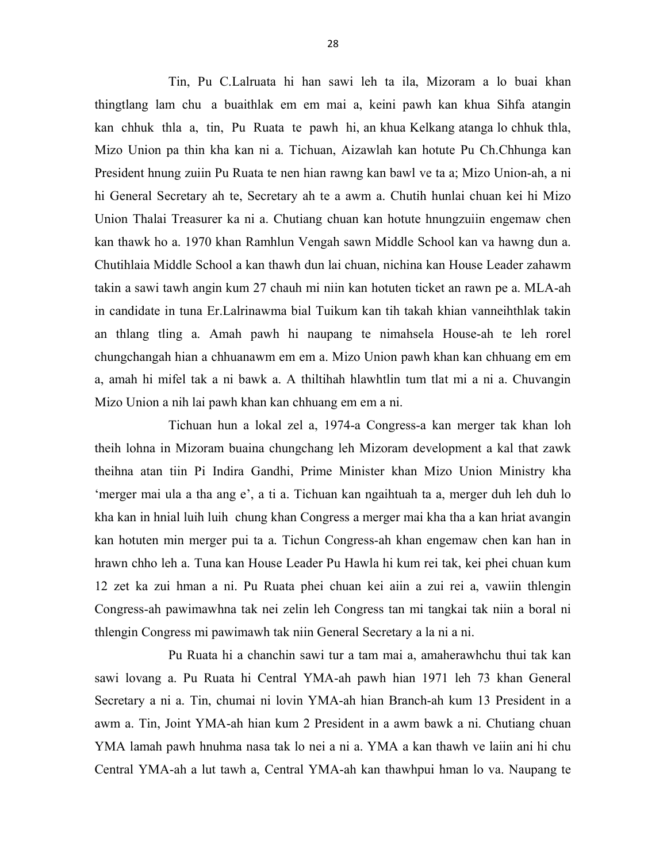Tin, Pu C.Lalruata hi han sawi leh ta ila, Mizoram a lo buai khan thingtlang lam chu a buaithlak em em mai a, keini pawh kan khua Sihfa atangin kan chhuk thla a, tin, Pu Ruata te pawh hi, an khua Kelkang atanga lo chhuk thla, Mizo Union pa thin kha kan ni a. Tichuan, Aizawlah kan hotute Pu Ch.Chhunga kan President hnung zuiin Pu Ruata te nen hian rawng kan bawl ve ta a; Mizo Union-ah, a ni hi General Secretary ah te, Secretary ah te a awm a. Chutih hunlai chuan kei hi Mizo Union Thalai Treasurer ka ni a. Chutiang chuan kan hotute hnungzuiin engemaw chen kan thawk ho a. 1970 khan Ramhlun Vengah sawn Middle School kan va hawng dun a. Chutihlaia Middle School a kan thawh dun lai chuan, nichina kan House Leader zahawm takin a sawi tawh angin kum 27 chauh mi niin kan hotuten ticket an rawn pe a. MLA-ah in candidate in tuna Er.Lalrinawma bial Tuikum kan tih takah khian vanneihthlak takin an thlang tling a. Amah pawh hi naupang te nimahsela House-ah te leh rorel chungchangah hian a chhuanawm em em a. Mizo Union pawh khan kan chhuang em em a, amah hi mifel tak a ni bawk a. A thiltihah hlawhtlin tum tlat mi a ni a. Chuvangin Mizo Union a nih lai pawh khan kan chhuang em em a ni.

 Tichuan hun a lokal zel a, 1974-a Congress-a kan merger tak khan loh theih lohna in Mizoram buaina chungchang leh Mizoram development a kal that zawk theihna atan tiin Pi Indira Gandhi, Prime Minister khan Mizo Union Ministry kha 'merger mai ula a tha ang e', a ti a. Tichuan kan ngaihtuah ta a, merger duh leh duh lo kha kan in hnial luih luih chung khan Congress a merger mai kha tha a kan hriat avangin kan hotuten min merger pui ta a. Tichun Congress-ah khan engemaw chen kan han in hrawn chho leh a. Tuna kan House Leader Pu Hawla hi kum rei tak, kei phei chuan kum 12 zet ka zui hman a ni. Pu Ruata phei chuan kei aiin a zui rei a, vawiin thlengin Congress-ah pawimawhna tak nei zelin leh Congress tan mi tangkai tak niin a boral ni thlengin Congress mi pawimawh tak niin General Secretary a la ni a ni.

 Pu Ruata hi a chanchin sawi tur a tam mai a, amaherawhchu thui tak kan sawi lovang a. Pu Ruata hi Central YMA-ah pawh hian 1971 leh 73 khan General Secretary a ni a. Tin, chumai ni lovin YMA-ah hian Branch-ah kum 13 President in a awm a. Tin, Joint YMA-ah hian kum 2 President in a awm bawk a ni. Chutiang chuan YMA lamah pawh hnuhma nasa tak lo nei a ni a. YMA a kan thawh ve laiin ani hi chu Central YMA-ah a lut tawh a, Central YMA-ah kan thawhpui hman lo va. Naupang te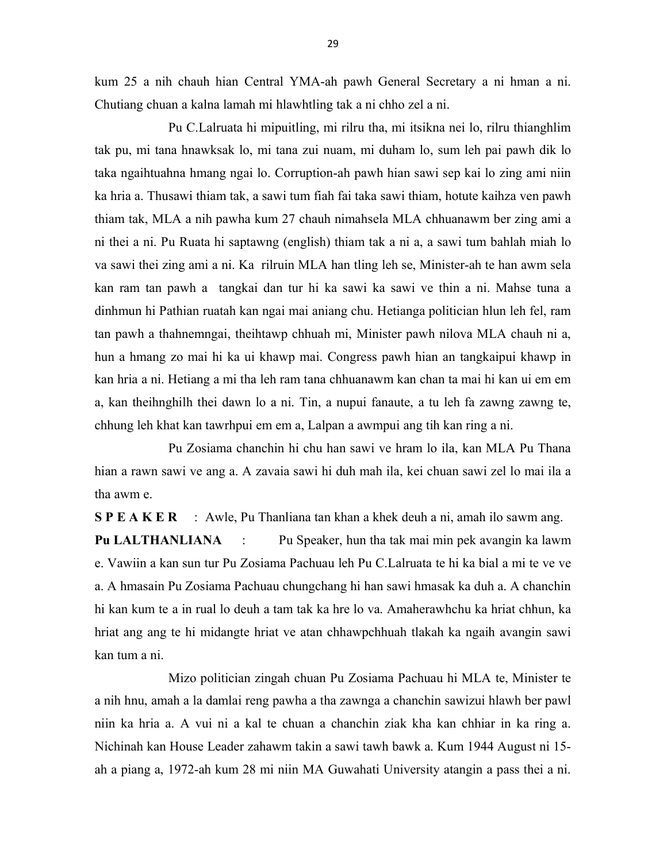kum 25 a nih chauh hian Central YMA-ah pawh General Secretary a ni hman a ni. Chutiang chuan a kalna lamah mi hlawhtling tak a ni chho zel a ni.

 Pu C.Lalruata hi mipuitling, mi rilru tha, mi itsikna nei lo, rilru thianghlim tak pu, mi tana hnawksak lo, mi tana zui nuam, mi duham lo, sum leh pai pawh dik lo taka ngaihtuahna hmang ngai lo. Corruption-ah pawh hian sawi sep kai lo zing ami niin ka hria a. Thusawi thiam tak, a sawi tum fiah fai taka sawi thiam, hotute kaihza ven pawh thiam tak, MLA a nih pawha kum 27 chauh nimahsela MLA chhuanawm ber zing ami a ni thei a ni. Pu Ruata hi saptawng (english) thiam tak a ni a, a sawi tum bahlah miah lo va sawi thei zing ami a ni. Ka rilruin MLA han tling leh se, Minister-ah te han awm sela kan ram tan pawh a tangkai dan tur hi ka sawi ka sawi ve thin a ni. Mahse tuna a dinhmun hi Pathian ruatah kan ngai mai aniang chu. Hetianga politician hlun leh fel, ram tan pawh a thahnemngai, theihtawp chhuah mi, Minister pawh nilova MLA chauh ni a, hun a hmang zo mai hi ka ui khawp mai. Congress pawh hian an tangkaipui khawp in kan hria a ni. Hetiang a mi tha leh ram tana chhuanawm kan chan ta mai hi kan ui em em a, kan theihnghilh thei dawn lo a ni. Tin, a nupui fanaute, a tu leh fa zawng zawng te, chhung leh khat kan tawrhpui em em a, Lalpan a awmpui ang tih kan ring a ni.

 Pu Zosiama chanchin hi chu han sawi ve hram lo ila, kan MLA Pu Thana hian a rawn sawi ve ang a. A zavaia sawi hi duh mah ila, kei chuan sawi zel lo mai ila a tha awm e.

S P E A K E R : Awle, Pu Thanliana tan khan a khek deuh a ni, amah ilo sawm ang.

Pu LALTHANLIANA : Pu Speaker, hun tha tak mai min pek avangin ka lawm e. Vawiin a kan sun tur Pu Zosiama Pachuau leh Pu C.Lalruata te hi ka bial a mi te ve ve a. A hmasain Pu Zosiama Pachuau chungchang hi han sawi hmasak ka duh a. A chanchin hi kan kum te a in rual lo deuh a tam tak ka hre lo va. Amaherawhchu ka hriat chhun, ka hriat ang ang te hi midangte hriat ve atan chhawpchhuah tlakah ka ngaih avangin sawi kan tum a ni.

 Mizo politician zingah chuan Pu Zosiama Pachuau hi MLA te, Minister te a nih hnu, amah a la damlai reng pawha a tha zawnga a chanchin sawizui hlawh ber pawl niin ka hria a. A vui ni a kal te chuan a chanchin ziak kha kan chhiar in ka ring a. Nichinah kan House Leader zahawm takin a sawi tawh bawk a. Kum 1944 August ni 15 ah a piang a, 1972-ah kum 28 mi niin MA Guwahati University atangin a pass thei a ni.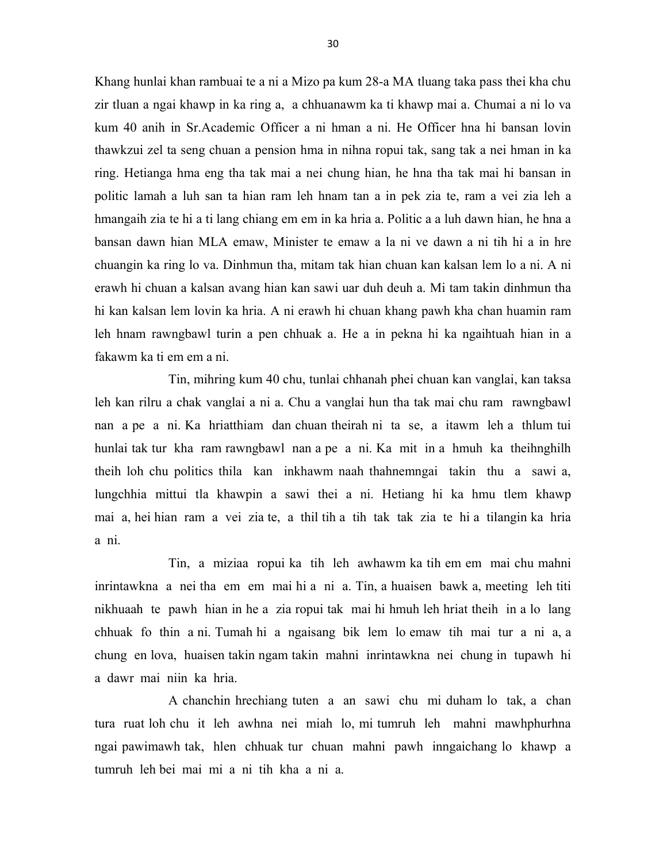Khang hunlai khan rambuai te a ni a Mizo pa kum 28-a MA tluang taka pass thei kha chu zir tluan a ngai khawp in ka ring a, a chhuanawm ka ti khawp mai a. Chumai a ni lo va kum 40 anih in Sr.Academic Officer a ni hman a ni. He Officer hna hi bansan lovin thawkzui zel ta seng chuan a pension hma in nihna ropui tak, sang tak a nei hman in ka ring. Hetianga hma eng tha tak mai a nei chung hian, he hna tha tak mai hi bansan in politic lamah a luh san ta hian ram leh hnam tan a in pek zia te, ram a vei zia leh a hmangaih zia te hi a ti lang chiang em em in ka hria a. Politic a a luh dawn hian, he hna a bansan dawn hian MLA emaw, Minister te emaw a la ni ve dawn a ni tih hi a in hre chuangin ka ring lo va. Dinhmun tha, mitam tak hian chuan kan kalsan lem lo a ni. A ni erawh hi chuan a kalsan avang hian kan sawi uar duh deuh a. Mi tam takin dinhmun tha hi kan kalsan lem lovin ka hria. A ni erawh hi chuan khang pawh kha chan huamin ram leh hnam rawngbawl turin a pen chhuak a. He a in pekna hi ka ngaihtuah hian in a fakawm ka ti em em a ni.

 Tin, mihring kum 40 chu, tunlai chhanah phei chuan kan vanglai, kan taksa leh kan rilru a chak vanglai a ni a. Chu a vanglai hun tha tak mai chu ram rawngbawl nan a pe a ni. Ka hriatthiam dan chuan theirah ni ta se, a itawm leh a thlum tui hunlai tak tur kha ram rawngbawl nan a pe a ni. Ka mit in a hmuh ka theihnghilh theih loh chu politics thila kan inkhawm naah thahnemngai takin thu a sawi a, lungchhia mittui tla khawpin a sawi thei a ni. Hetiang hi ka hmu tlem khawp mai a, hei hian ram a vei zia te, a thil tih a tih tak tak zia te hi a tilangin ka hria a ni.

 Tin, a miziaa ropui ka tih leh awhawm ka tih em em mai chu mahni inrintawkna a nei tha em em mai hi a ni a. Tin, a huaisen bawk a, meeting leh titi nikhuaah te pawh hian in he a zia ropui tak mai hi hmuh leh hriat theih in a lo lang chhuak fo thin a ni. Tumah hi a ngaisang bik lem lo emaw tih mai tur a ni a, a chung en lova, huaisen takin ngam takin mahni inrintawkna nei chung in tupawh hi a dawr mai niin ka hria.

 A chanchin hrechiang tuten a an sawi chu mi duham lo tak, a chan tura ruat loh chu it leh awhna nei miah lo, mi tumruh leh mahni mawhphurhna ngai pawimawh tak, hlen chhuak tur chuan mahni pawh inngaichang lo khawp a tumruh leh bei mai mi a ni tih kha a ni a.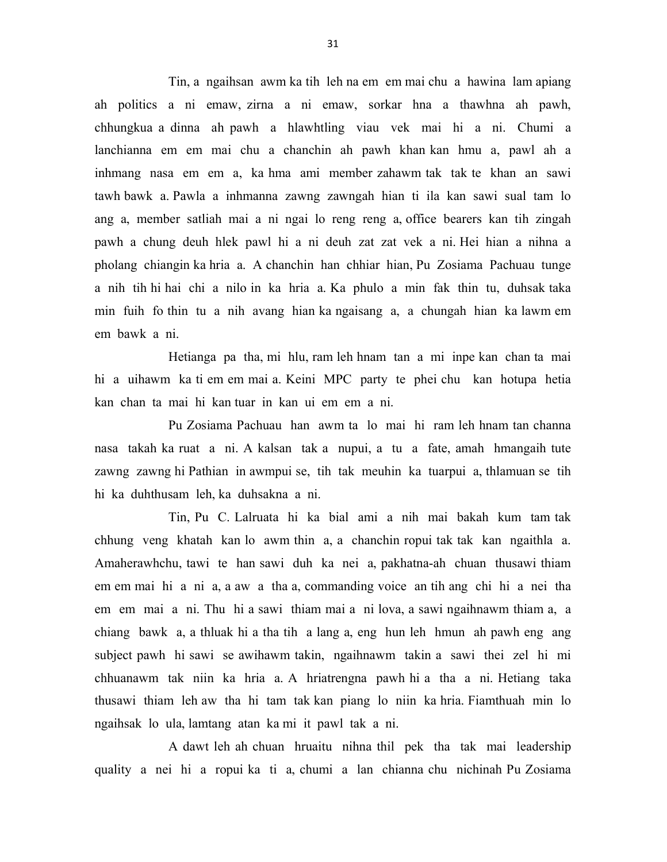Tin, a ngaihsan awm ka tih leh na em em mai chu a hawina lam apiang ah politics a ni emaw, zirna a ni emaw, sorkar hna a thawhna ah pawh, chhungkua a dinna ah pawh a hlawhtling viau vek mai hi a ni. Chumi a lanchianna em em mai chu a chanchin ah pawh khan kan hmu a, pawl ah a inhmang nasa em em a, ka hma ami member zahawm tak tak te khan an sawi tawh bawk a. Pawla a inhmanna zawng zawngah hian ti ila kan sawi sual tam lo ang a, member satliah mai a ni ngai lo reng reng a, office bearers kan tih zingah pawh a chung deuh hlek pawl hi a ni deuh zat zat vek a ni. Hei hian a nihna a pholang chiangin ka hria a. A chanchin han chhiar hian, Pu Zosiama Pachuau tunge a nih tih hi hai chi a nilo in ka hria a. Ka phulo a min fak thin tu, duhsak taka min fuih fo thin tu a nih avang hian ka ngaisang a, a chungah hian ka lawm em em bawk a ni.

 Hetianga pa tha, mi hlu, ram leh hnam tan a mi inpe kan chan ta mai hi a uihawm ka ti em em mai a. Keini MPC party te phei chu kan hotupa hetia kan chan ta mai hi kan tuar in kan ui em em a ni.

 Pu Zosiama Pachuau han awm ta lo mai hi ram leh hnam tan channa nasa takah ka ruat a ni. A kalsan tak a nupui, a tu a fate, amah hmangaih tute zawng zawng hi Pathian in awmpui se, tih tak meuhin ka tuarpui a, thlamuan se tih hi ka duhthusam leh, ka duhsakna a ni.

 Tin, Pu C. Lalruata hi ka bial ami a nih mai bakah kum tam tak chhung veng khatah kan lo awm thin a, a chanchin ropui tak tak kan ngaithla a. Amaherawhchu, tawi te han sawi duh ka nei a, pakhatna-ah chuan thusawi thiam em em mai hi a ni a, a aw a tha a, commanding voice an tih ang chi hi a nei tha em em mai a ni. Thu hi a sawi thiam mai a ni lova, a sawi ngaihnawm thiam a, a chiang bawk a, a thluak hi a tha tih a lang a, eng hun leh hmun ah pawh eng ang subject pawh hi sawi se awihawm takin, ngaihnawm takin a sawi thei zel hi mi chhuanawm tak niin ka hria a. A hriatrengna pawh hi a tha a ni. Hetiang taka thusawi thiam leh aw tha hi tam tak kan piang lo niin ka hria. Fiamthuah min lo ngaihsak lo ula, lamtang atan ka mi it pawl tak a ni.

 A dawt leh ah chuan hruaitu nihna thil pek tha tak mai leadership quality a nei hi a ropui ka ti a, chumi a lan chianna chu nichinah Pu Zosiama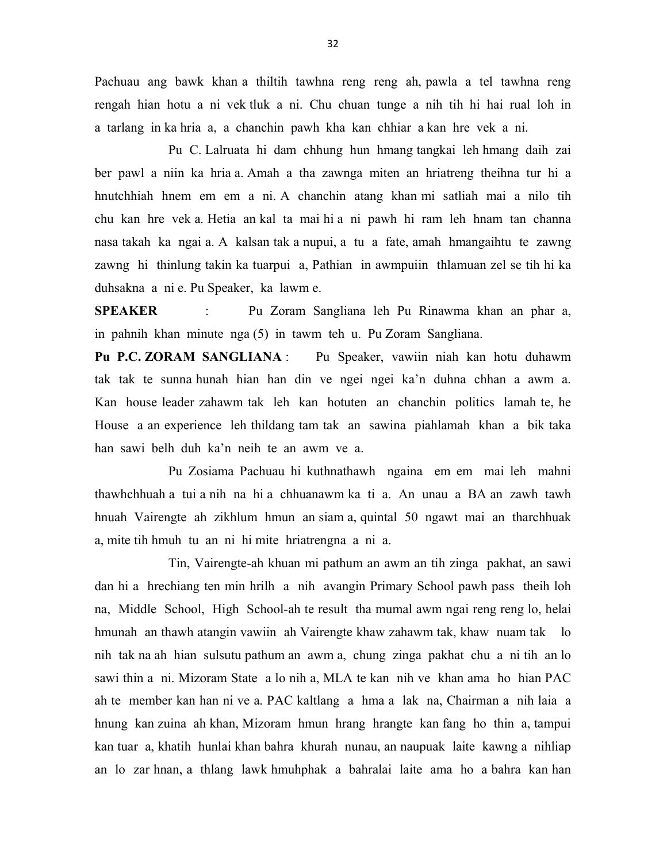Pachuau ang bawk khan a thiltih tawhna reng reng ah, pawla a tel tawhna reng rengah hian hotu a ni vek tluk a ni. Chu chuan tunge a nih tih hi hai rual loh in a tarlang in ka hria a, a chanchin pawh kha kan chhiar a kan hre vek a ni.

 Pu C. Lalruata hi dam chhung hun hmang tangkai leh hmang daih zai ber pawl a niin ka hria a. Amah a tha zawnga miten an hriatreng theihna tur hi a hnutchhiah hnem em em a ni. A chanchin atang khan mi satliah mai a nilo tih chu kan hre vek a. Hetia an kal ta mai hi a ni pawh hi ram leh hnam tan channa nasa takah ka ngai a. A kalsan tak a nupui, a tu a fate, amah hmangaihtu te zawng zawng hi thinlung takin ka tuarpui a, Pathian in awmpuiin thlamuan zel se tih hi ka duhsakna a ni e. Pu Speaker, ka lawm e.

SPEAKER : Pu Zoram Sangliana leh Pu Rinawma khan an phar a, in pahnih khan minute nga (5) in tawm teh u. Pu Zoram Sangliana.

Pu P.C. ZORAM SANGLIANA : Pu Speaker, vawiin niah kan hotu duhawm tak tak te sunna hunah hian han din ve ngei ngei ka'n duhna chhan a awm a. Kan house leader zahawm tak leh kan hotuten an chanchin politics lamah te, he House a an experience leh thildang tam tak an sawina piahlamah khan a bik taka han sawi belh duh ka'n neih te an awm ve a.

 Pu Zosiama Pachuau hi kuthnathawh ngaina em em mai leh mahni thawhchhuah a tui a nih na hi a chhuanawm ka ti a. An unau a BA an zawh tawh hnuah Vairengte ah zikhlum hmun an siam a, quintal 50 ngawt mai an tharchhuak a, mite tih hmuh tu an ni hi mite hriatrengna a ni a.

 Tin, Vairengte-ah khuan mi pathum an awm an tih zinga pakhat, an sawi dan hi a hrechiang ten min hrilh a nih avangin Primary School pawh pass theih loh na, Middle School, High School-ah te result tha mumal awm ngai reng reng lo, helai hmunah an thawh atangin vawiin ah Vairengte khaw zahawm tak, khaw nuam tak lo nih tak na ah hian sulsutu pathum an awm a, chung zinga pakhat chu a ni tih an lo sawi thin a ni. Mizoram State a lo nih a, MLA te kan nih ve khan ama ho hian PAC ah te member kan han ni ve a. PAC kaltlang a hma a lak na, Chairman a nih laia a hnung kan zuina ah khan, Mizoram hmun hrang hrangte kan fang ho thin a, tampui kan tuar a, khatih hunlai khan bahra khurah nunau, an naupuak laite kawng a nihliap an lo zar hnan, a thlang lawk hmuhphak a bahralai laite ama ho a bahra kan han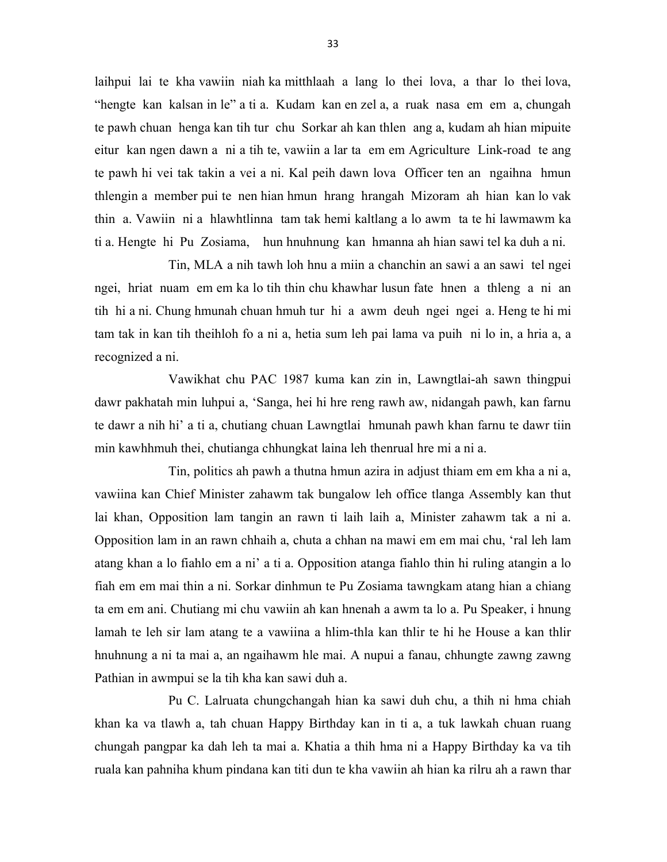laihpui lai te kha vawiin niah ka mitthlaah a lang lo thei lova, a thar lo thei lova, "hengte kan kalsan in le" a ti a. Kudam kan en zel a, a ruak nasa em em a, chungah te pawh chuan henga kan tih tur chu Sorkar ah kan thlen ang a, kudam ah hian mipuite eitur kan ngen dawn a ni a tih te, vawiin a lar ta em em Agriculture Link-road te ang te pawh hi vei tak takin a vei a ni. Kal peih dawn lova Officer ten an ngaihna hmun thlengin a member pui te nen hian hmun hrang hrangah Mizoram ah hian kan lo vak thin a. Vawiin ni a hlawhtlinna tam tak hemi kaltlang a lo awm ta te hi lawmawm ka ti a. Hengte hi Pu Zosiama, hun hnuhnung kan hmanna ah hian sawi tel ka duh a ni.

 Tin, MLA a nih tawh loh hnu a miin a chanchin an sawi a an sawi tel ngei ngei, hriat nuam em em ka lo tih thin chu khawhar lusun fate hnen a thleng a ni an tih hi a ni. Chung hmunah chuan hmuh tur hi a awm deuh ngei ngei a. Heng te hi mi tam tak in kan tih theihloh fo a ni a, hetia sum leh pai lama va puih ni lo in, a hria a, a recognized a ni.

 Vawikhat chu PAC 1987 kuma kan zin in, Lawngtlai-ah sawn thingpui dawr pakhatah min luhpui a, 'Sanga, hei hi hre reng rawh aw, nidangah pawh, kan farnu te dawr a nih hi' a ti a, chutiang chuan Lawngtlai hmunah pawh khan farnu te dawr tiin min kawhhmuh thei, chutianga chhungkat laina leh thenrual hre mi a ni a.

 Tin, politics ah pawh a thutna hmun azira in adjust thiam em em kha a ni a, vawiina kan Chief Minister zahawm tak bungalow leh office tlanga Assembly kan thut lai khan, Opposition lam tangin an rawn ti laih laih a, Minister zahawm tak a ni a. Opposition lam in an rawn chhaih a, chuta a chhan na mawi em em mai chu, 'ral leh lam atang khan a lo fiahlo em a ni' a ti a. Opposition atanga fiahlo thin hi ruling atangin a lo fiah em em mai thin a ni. Sorkar dinhmun te Pu Zosiama tawngkam atang hian a chiang ta em em ani. Chutiang mi chu vawiin ah kan hnenah a awm ta lo a. Pu Speaker, i hnung lamah te leh sir lam atang te a vawiina a hlim-thla kan thlir te hi he House a kan thlir hnuhnung a ni ta mai a, an ngaihawm hle mai. A nupui a fanau, chhungte zawng zawng Pathian in awmpui se la tih kha kan sawi duh a.

 Pu C. Lalruata chungchangah hian ka sawi duh chu, a thih ni hma chiah khan ka va tlawh a, tah chuan Happy Birthday kan in ti a, a tuk lawkah chuan ruang chungah pangpar ka dah leh ta mai a. Khatia a thih hma ni a Happy Birthday ka va tih ruala kan pahniha khum pindana kan titi dun te kha vawiin ah hian ka rilru ah a rawn thar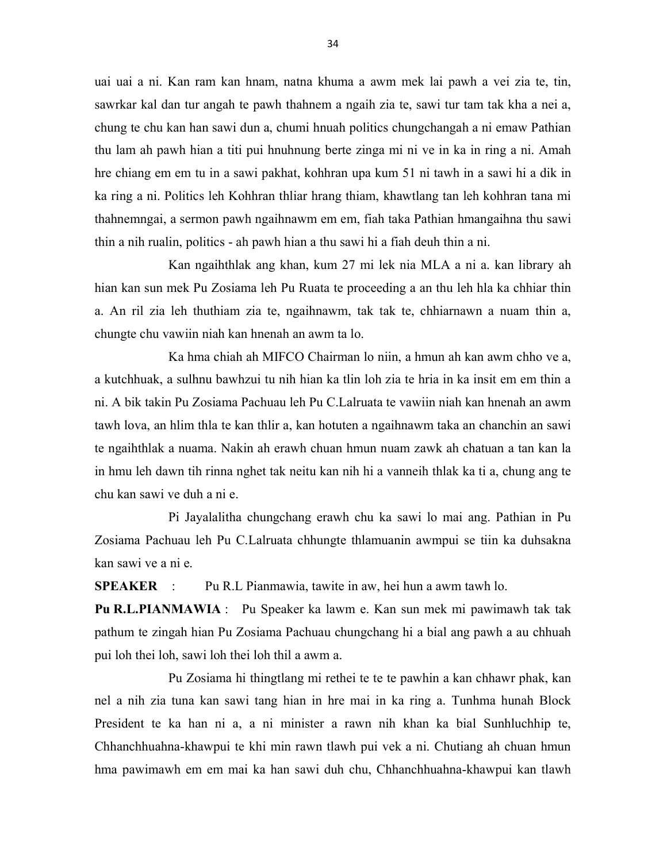uai uai a ni. Kan ram kan hnam, natna khuma a awm mek lai pawh a vei zia te, tin, sawrkar kal dan tur angah te pawh thahnem a ngaih zia te, sawi tur tam tak kha a nei a, chung te chu kan han sawi dun a, chumi hnuah politics chungchangah a ni emaw Pathian thu lam ah pawh hian a titi pui hnuhnung berte zinga mi ni ve in ka in ring a ni. Amah hre chiang em em tu in a sawi pakhat, kohhran upa kum 51 ni tawh in a sawi hi a dik in ka ring a ni. Politics leh Kohhran thliar hrang thiam, khawtlang tan leh kohhran tana mi thahnemngai, a sermon pawh ngaihnawm em em, fiah taka Pathian hmangaihna thu sawi thin a nih rualin, politics - ah pawh hian a thu sawi hi a fiah deuh thin a ni.

 Kan ngaihthlak ang khan, kum 27 mi lek nia MLA a ni a. kan library ah hian kan sun mek Pu Zosiama leh Pu Ruata te proceeding a an thu leh hla ka chhiar thin a. An ril zia leh thuthiam zia te, ngaihnawm, tak tak te, chhiarnawn a nuam thin a, chungte chu vawiin niah kan hnenah an awm ta lo.

 Ka hma chiah ah MIFCO Chairman lo niin, a hmun ah kan awm chho ve a, a kutchhuak, a sulhnu bawhzui tu nih hian ka tlin loh zia te hria in ka insit em em thin a ni. A bik takin Pu Zosiama Pachuau leh Pu C.Lalruata te vawiin niah kan hnenah an awm tawh lova, an hlim thla te kan thlir a, kan hotuten a ngaihnawm taka an chanchin an sawi te ngaihthlak a nuama. Nakin ah erawh chuan hmun nuam zawk ah chatuan a tan kan la in hmu leh dawn tih rinna nghet tak neitu kan nih hi a vanneih thlak ka ti a, chung ang te chu kan sawi ve duh a ni e.

 Pi Jayalalitha chungchang erawh chu ka sawi lo mai ang. Pathian in Pu Zosiama Pachuau leh Pu C.Lalruata chhungte thlamuanin awmpui se tiin ka duhsakna kan sawi ve a ni e.

SPEAKER : Pu R.L Pianmawia, tawite in aw, hei hun a awm tawh lo.

Pu R.L.PIANMAWIA : Pu Speaker ka lawm e. Kan sun mek mi pawimawh tak tak pathum te zingah hian Pu Zosiama Pachuau chungchang hi a bial ang pawh a au chhuah pui loh thei loh, sawi loh thei loh thil a awm a.

 Pu Zosiama hi thingtlang mi rethei te te te pawhin a kan chhawr phak, kan nel a nih zia tuna kan sawi tang hian in hre mai in ka ring a. Tunhma hunah Block President te ka han ni a, a ni minister a rawn nih khan ka bial Sunhluchhip te, Chhanchhuahna-khawpui te khi min rawn tlawh pui vek a ni. Chutiang ah chuan hmun hma pawimawh em em mai ka han sawi duh chu, Chhanchhuahna-khawpui kan tlawh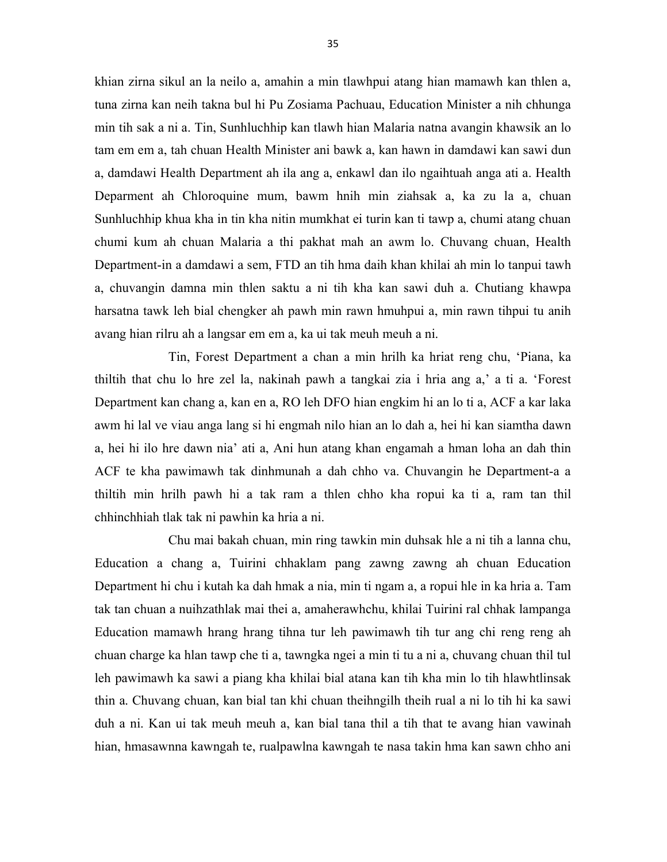khian zirna sikul an la neilo a, amahin a min tlawhpui atang hian mamawh kan thlen a, tuna zirna kan neih takna bul hi Pu Zosiama Pachuau, Education Minister a nih chhunga min tih sak a ni a. Tin, Sunhluchhip kan tlawh hian Malaria natna avangin khawsik an lo tam em em a, tah chuan Health Minister ani bawk a, kan hawn in damdawi kan sawi dun a, damdawi Health Department ah ila ang a, enkawl dan ilo ngaihtuah anga ati a. Health Deparment ah Chloroquine mum, bawm hnih min ziahsak a, ka zu la a, chuan Sunhluchhip khua kha in tin kha nitin mumkhat ei turin kan ti tawp a, chumi atang chuan chumi kum ah chuan Malaria a thi pakhat mah an awm lo. Chuvang chuan, Health Department-in a damdawi a sem, FTD an tih hma daih khan khilai ah min lo tanpui tawh a, chuvangin damna min thlen saktu a ni tih kha kan sawi duh a. Chutiang khawpa harsatna tawk leh bial chengker ah pawh min rawn hmuhpui a, min rawn tihpui tu anih avang hian rilru ah a langsar em em a, ka ui tak meuh meuh a ni.

 Tin, Forest Department a chan a min hrilh ka hriat reng chu, 'Piana, ka thiltih that chu lo hre zel la, nakinah pawh a tangkai zia i hria ang a,' a ti a. 'Forest Department kan chang a, kan en a, RO leh DFO hian engkim hi an lo ti a, ACF a kar laka awm hi lal ve viau anga lang si hi engmah nilo hian an lo dah a, hei hi kan siamtha dawn a, hei hi ilo hre dawn nia' ati a, Ani hun atang khan engamah a hman loha an dah thin ACF te kha pawimawh tak dinhmunah a dah chho va. Chuvangin he Department-a a thiltih min hrilh pawh hi a tak ram a thlen chho kha ropui ka ti a, ram tan thil chhinchhiah tlak tak ni pawhin ka hria a ni.

 Chu mai bakah chuan, min ring tawkin min duhsak hle a ni tih a lanna chu, Education a chang a, Tuirini chhaklam pang zawng zawng ah chuan Education Department hi chu i kutah ka dah hmak a nia, min ti ngam a, a ropui hle in ka hria a. Tam tak tan chuan a nuihzathlak mai thei a, amaherawhchu, khilai Tuirini ral chhak lampanga Education mamawh hrang hrang tihna tur leh pawimawh tih tur ang chi reng reng ah chuan charge ka hlan tawp che ti a, tawngka ngei a min ti tu a ni a, chuvang chuan thil tul leh pawimawh ka sawi a piang kha khilai bial atana kan tih kha min lo tih hlawhtlinsak thin a. Chuvang chuan, kan bial tan khi chuan theihngilh theih rual a ni lo tih hi ka sawi duh a ni. Kan ui tak meuh meuh a, kan bial tana thil a tih that te avang hian vawinah hian, hmasawnna kawngah te, rualpawlna kawngah te nasa takin hma kan sawn chho ani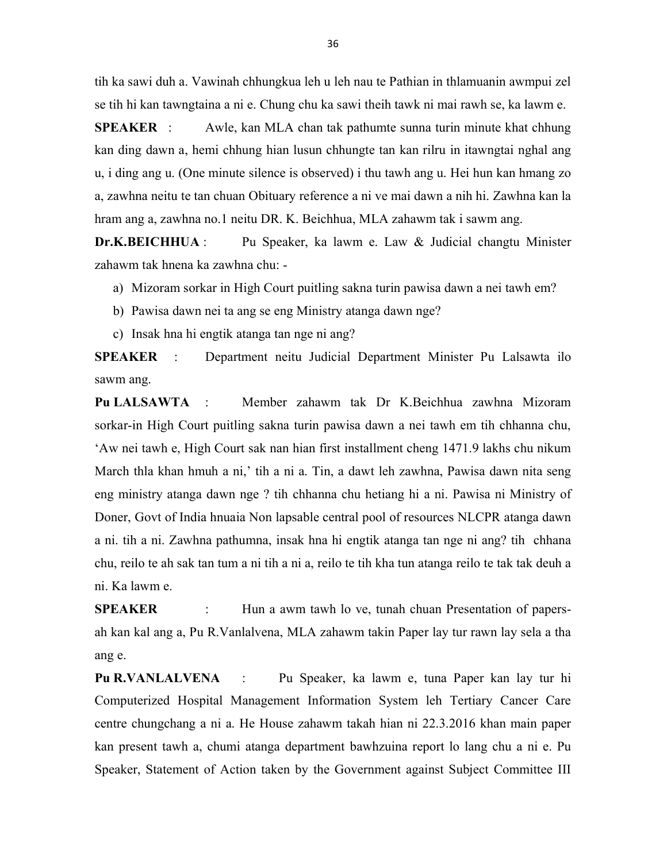tih ka sawi duh a. Vawinah chhungkua leh u leh nau te Pathian in thlamuanin awmpui zel se tih hi kan tawngtaina a ni e. Chung chu ka sawi theih tawk ni mai rawh se, ka lawm e.

SPEAKER : Awle, kan MLA chan tak pathumte sunna turin minute khat chhung kan ding dawn a, hemi chhung hian lusun chhungte tan kan rilru in itawngtai nghal ang u, i ding ang u. (One minute silence is observed) i thu tawh ang u. Hei hun kan hmang zo a, zawhna neitu te tan chuan Obituary reference a ni ve mai dawn a nih hi. Zawhna kan la hram ang a, zawhna no.1 neitu DR. K. Beichhua, MLA zahawm tak i sawm ang.

Dr.K.BEICHHUA : Pu Speaker, ka lawm e. Law & Judicial changtu Minister zahawm tak hnena ka zawhna chu: -

- a) Mizoram sorkar in High Court puitling sakna turin pawisa dawn a nei tawh em?
- b) Pawisa dawn nei ta ang se eng Ministry atanga dawn nge?
- c) Insak hna hi engtik atanga tan nge ni ang?

SPEAKER : Department neitu Judicial Department Minister Pu Lalsawta ilo sawm ang.

Pu LALSAWTA : Member zahawm tak Dr K.Beichhua zawhna Mizoram sorkar-in High Court puitling sakna turin pawisa dawn a nei tawh em tih chhanna chu, 'Aw nei tawh e, High Court sak nan hian first installment cheng 1471.9 lakhs chu nikum March thla khan hmuh a ni,' tih a ni a. Tin, a dawt leh zawhna, Pawisa dawn nita seng eng ministry atanga dawn nge ? tih chhanna chu hetiang hi a ni. Pawisa ni Ministry of Doner, Govt of India hnuaia Non lapsable central pool of resources NLCPR atanga dawn a ni. tih a ni. Zawhna pathumna, insak hna hi engtik atanga tan nge ni ang? tih chhana chu, reilo te ah sak tan tum a ni tih a ni a, reilo te tih kha tun atanga reilo te tak tak deuh a ni. Ka lawm e.

SPEAKER : Hun a awm tawh lo ve, tunah chuan Presentation of papersah kan kal ang a, Pu R.Vanlalvena, MLA zahawm takin Paper lay tur rawn lay sela a tha ang e.

Pu R.VANLALVENA : Pu Speaker, ka lawm e, tuna Paper kan lay tur hi Computerized Hospital Management Information System leh Tertiary Cancer Care centre chungchang a ni a. He House zahawm takah hian ni 22.3.2016 khan main paper kan present tawh a, chumi atanga department bawhzuina report lo lang chu a ni e. Pu Speaker, Statement of Action taken by the Government against Subject Committee III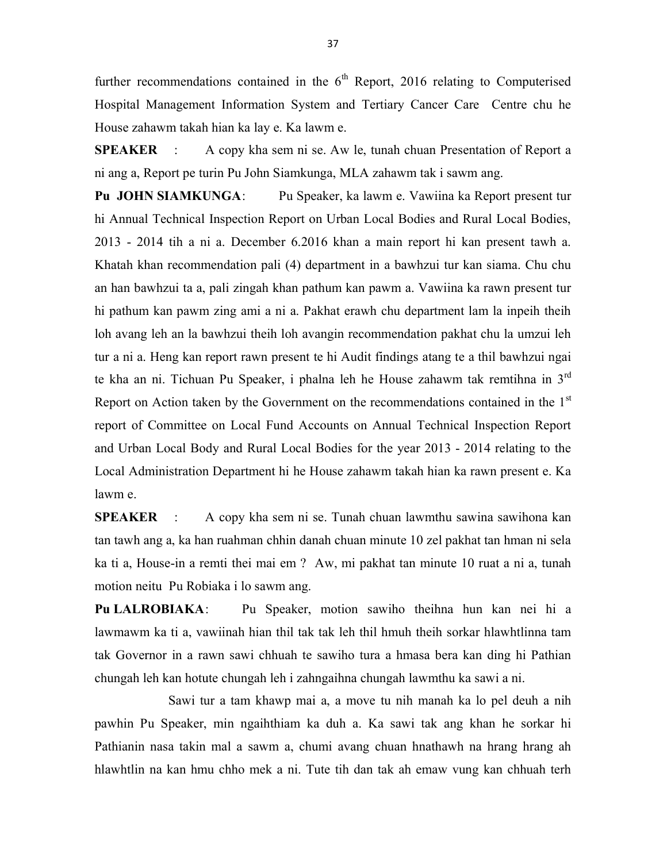further recommendations contained in the  $6<sup>th</sup>$  Report, 2016 relating to Computerised Hospital Management Information System and Tertiary Cancer Care Centre chu he House zahawm takah hian ka lay e. Ka lawm e.

SPEAKER : A copy kha sem ni se. Aw le, tunah chuan Presentation of Report a ni ang a, Report pe turin Pu John Siamkunga, MLA zahawm tak i sawm ang.

Pu JOHN SIAMKUNGA: Pu Speaker, ka lawm e. Vawiina ka Report present tur hi Annual Technical Inspection Report on Urban Local Bodies and Rural Local Bodies, 2013 - 2014 tih a ni a. December 6.2016 khan a main report hi kan present tawh a. Khatah khan recommendation pali (4) department in a bawhzui tur kan siama. Chu chu an han bawhzui ta a, pali zingah khan pathum kan pawm a. Vawiina ka rawn present tur hi pathum kan pawm zing ami a ni a. Pakhat erawh chu department lam la inpeih theih loh avang leh an la bawhzui theih loh avangin recommendation pakhat chu la umzui leh tur a ni a. Heng kan report rawn present te hi Audit findings atang te a thil bawhzui ngai te kha an ni. Tichuan Pu Speaker, i phalna leh he House zahawm tak remtihna in  $3<sup>rd</sup>$ Report on Action taken by the Government on the recommendations contained in the  $1<sup>st</sup>$ report of Committee on Local Fund Accounts on Annual Technical Inspection Report and Urban Local Body and Rural Local Bodies for the year 2013 - 2014 relating to the Local Administration Department hi he House zahawm takah hian ka rawn present e. Ka lawm e.

SPEAKER : A copy kha sem ni se. Tunah chuan lawmthu sawina sawihona kan tan tawh ang a, ka han ruahman chhin danah chuan minute 10 zel pakhat tan hman ni sela ka ti a, House-in a remti thei mai em ? Aw, mi pakhat tan minute 10 ruat a ni a, tunah motion neitu Pu Robiaka i lo sawm ang.

Pu LALROBIAKA: Pu Speaker, motion sawiho theihna hun kan nei hi a lawmawm ka ti a, vawiinah hian thil tak tak leh thil hmuh theih sorkar hlawhtlinna tam tak Governor in a rawn sawi chhuah te sawiho tura a hmasa bera kan ding hi Pathian chungah leh kan hotute chungah leh i zahngaihna chungah lawmthu ka sawi a ni.

 Sawi tur a tam khawp mai a, a move tu nih manah ka lo pel deuh a nih pawhin Pu Speaker, min ngaihthiam ka duh a. Ka sawi tak ang khan he sorkar hi Pathianin nasa takin mal a sawm a, chumi avang chuan hnathawh na hrang hrang ah hlawhtlin na kan hmu chho mek a ni. Tute tih dan tak ah emaw vung kan chhuah terh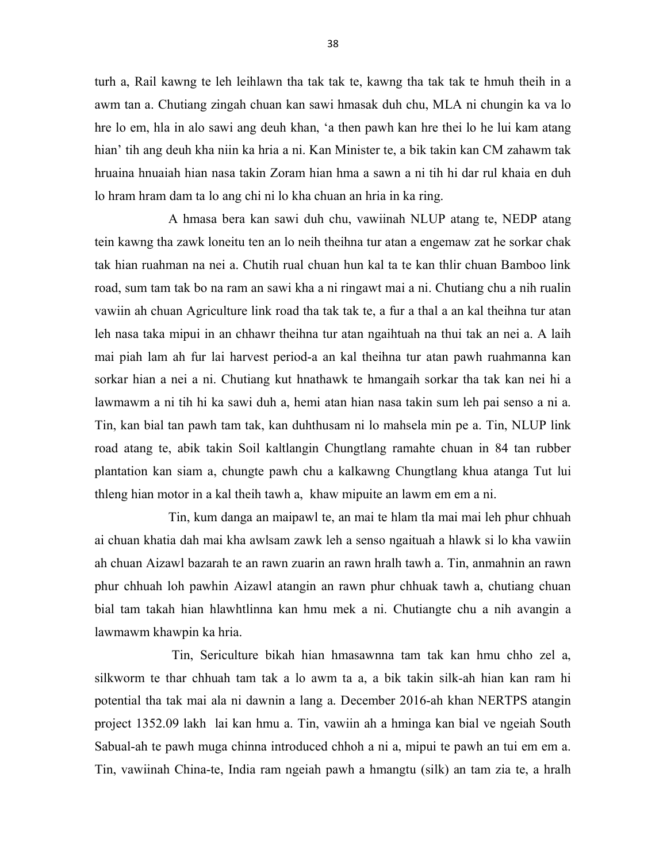turh a, Rail kawng te leh leihlawn tha tak tak te, kawng tha tak tak te hmuh theih in a awm tan a. Chutiang zingah chuan kan sawi hmasak duh chu, MLA ni chungin ka va lo hre lo em, hla in alo sawi ang deuh khan, 'a then pawh kan hre thei lo he lui kam atang hian' tih ang deuh kha niin ka hria a ni. Kan Minister te, a bik takin kan CM zahawm tak hruaina hnuaiah hian nasa takin Zoram hian hma a sawn a ni tih hi dar rul khaia en duh lo hram hram dam ta lo ang chi ni lo kha chuan an hria in ka ring.

 A hmasa bera kan sawi duh chu, vawiinah NLUP atang te, NEDP atang tein kawng tha zawk loneitu ten an lo neih theihna tur atan a engemaw zat he sorkar chak tak hian ruahman na nei a. Chutih rual chuan hun kal ta te kan thlir chuan Bamboo link road, sum tam tak bo na ram an sawi kha a ni ringawt mai a ni. Chutiang chu a nih rualin vawiin ah chuan Agriculture link road tha tak tak te, a fur a thal a an kal theihna tur atan leh nasa taka mipui in an chhawr theihna tur atan ngaihtuah na thui tak an nei a. A laih mai piah lam ah fur lai harvest period-a an kal theihna tur atan pawh ruahmanna kan sorkar hian a nei a ni. Chutiang kut hnathawk te hmangaih sorkar tha tak kan nei hi a lawmawm a ni tih hi ka sawi duh a, hemi atan hian nasa takin sum leh pai senso a ni a. Tin, kan bial tan pawh tam tak, kan duhthusam ni lo mahsela min pe a. Tin, NLUP link road atang te, abik takin Soil kaltlangin Chungtlang ramahte chuan in 84 tan rubber plantation kan siam a, chungte pawh chu a kalkawng Chungtlang khua atanga Tut lui thleng hian motor in a kal theih tawh a, khaw mipuite an lawm em em a ni.

 Tin, kum danga an maipawl te, an mai te hlam tla mai mai leh phur chhuah ai chuan khatia dah mai kha awlsam zawk leh a senso ngaituah a hlawk si lo kha vawiin ah chuan Aizawl bazarah te an rawn zuarin an rawn hralh tawh a. Tin, anmahnin an rawn phur chhuah loh pawhin Aizawl atangin an rawn phur chhuak tawh a, chutiang chuan bial tam takah hian hlawhtlinna kan hmu mek a ni. Chutiangte chu a nih avangin a lawmawm khawpin ka hria.

 Tin, Sericulture bikah hian hmasawnna tam tak kan hmu chho zel a, silkworm te thar chhuah tam tak a lo awm ta a, a bik takin silk-ah hian kan ram hi potential tha tak mai ala ni dawnin a lang a. December 2016-ah khan NERTPS atangin project 1352.09 lakh lai kan hmu a. Tin, vawiin ah a hminga kan bial ve ngeiah South Sabual-ah te pawh muga chinna introduced chhoh a ni a, mipui te pawh an tui em em a. Tin, vawiinah China-te, India ram ngeiah pawh a hmangtu (silk) an tam zia te, a hralh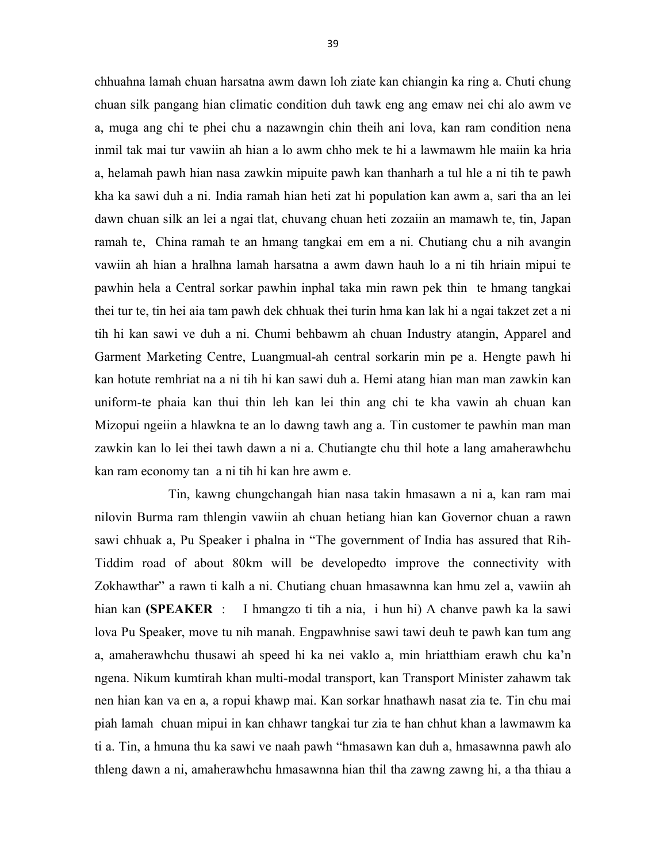chhuahna lamah chuan harsatna awm dawn loh ziate kan chiangin ka ring a. Chuti chung chuan silk pangang hian climatic condition duh tawk eng ang emaw nei chi alo awm ve a, muga ang chi te phei chu a nazawngin chin theih ani lova, kan ram condition nena inmil tak mai tur vawiin ah hian a lo awm chho mek te hi a lawmawm hle maiin ka hria a, helamah pawh hian nasa zawkin mipuite pawh kan thanharh a tul hle a ni tih te pawh kha ka sawi duh a ni. India ramah hian heti zat hi population kan awm a, sari tha an lei dawn chuan silk an lei a ngai tlat, chuvang chuan heti zozaiin an mamawh te, tin, Japan ramah te, China ramah te an hmang tangkai em em a ni. Chutiang chu a nih avangin vawiin ah hian a hralhna lamah harsatna a awm dawn hauh lo a ni tih hriain mipui te pawhin hela a Central sorkar pawhin inphal taka min rawn pek thin te hmang tangkai thei tur te, tin hei aia tam pawh dek chhuak thei turin hma kan lak hi a ngai takzet zet a ni tih hi kan sawi ve duh a ni. Chumi behbawm ah chuan Industry atangin, Apparel and Garment Marketing Centre, Luangmual-ah central sorkarin min pe a. Hengte pawh hi kan hotute remhriat na a ni tih hi kan sawi duh a. Hemi atang hian man man zawkin kan uniform-te phaia kan thui thin leh kan lei thin ang chi te kha vawin ah chuan kan Mizopui ngeiin a hlawkna te an lo dawng tawh ang a. Tin customer te pawhin man man zawkin kan lo lei thei tawh dawn a ni a. Chutiangte chu thil hote a lang amaherawhchu kan ram economy tan a ni tih hi kan hre awm e.

 Tin, kawng chungchangah hian nasa takin hmasawn a ni a, kan ram mai nilovin Burma ram thlengin vawiin ah chuan hetiang hian kan Governor chuan a rawn sawi chhuak a, Pu Speaker i phalna in "The government of India has assured that Rih-Tiddim road of about 80km will be developedto improve the connectivity with Zokhawthar" a rawn ti kalh a ni. Chutiang chuan hmasawnna kan hmu zel a, vawiin ah hian kan (SPEAKER : I hmangzo ti tih a nia, i hun hi) A chanve pawh ka la sawi lova Pu Speaker, move tu nih manah. Engpawhnise sawi tawi deuh te pawh kan tum ang a, amaherawhchu thusawi ah speed hi ka nei vaklo a, min hriatthiam erawh chu ka'n ngena. Nikum kumtirah khan multi-modal transport, kan Transport Minister zahawm tak nen hian kan va en a, a ropui khawp mai. Kan sorkar hnathawh nasat zia te. Tin chu mai piah lamah chuan mipui in kan chhawr tangkai tur zia te han chhut khan a lawmawm ka ti a. Tin, a hmuna thu ka sawi ve naah pawh "hmasawn kan duh a, hmasawnna pawh alo thleng dawn a ni, amaherawhchu hmasawnna hian thil tha zawng zawng hi, a tha thiau a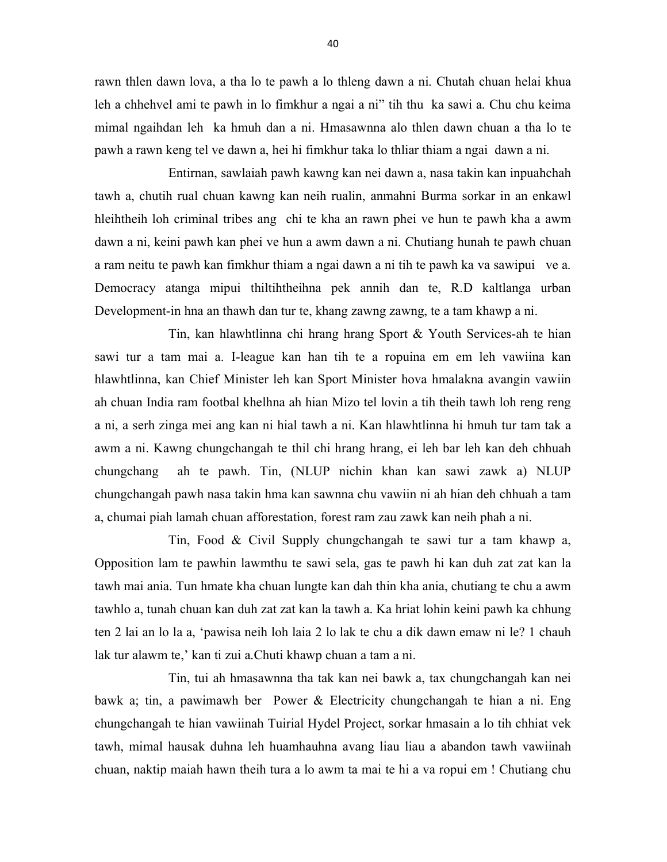rawn thlen dawn lova, a tha lo te pawh a lo thleng dawn a ni. Chutah chuan helai khua leh a chhehvel ami te pawh in lo fimkhur a ngai a ni" tih thu ka sawi a. Chu chu keima mimal ngaihdan leh ka hmuh dan a ni. Hmasawnna alo thlen dawn chuan a tha lo te pawh a rawn keng tel ve dawn a, hei hi fimkhur taka lo thliar thiam a ngai dawn a ni.

 Entirnan, sawlaiah pawh kawng kan nei dawn a, nasa takin kan inpuahchah tawh a, chutih rual chuan kawng kan neih rualin, anmahni Burma sorkar in an enkawl hleihtheih loh criminal tribes ang chi te kha an rawn phei ve hun te pawh kha a awm dawn a ni, keini pawh kan phei ve hun a awm dawn a ni. Chutiang hunah te pawh chuan a ram neitu te pawh kan fimkhur thiam a ngai dawn a ni tih te pawh ka va sawipui ve a. Democracy atanga mipui thiltihtheihna pek annih dan te, R.D kaltlanga urban Development-in hna an thawh dan tur te, khang zawng zawng, te a tam khawp a ni.

 Tin, kan hlawhtlinna chi hrang hrang Sport & Youth Services-ah te hian sawi tur a tam mai a. I-league kan han tih te a ropuina em em leh vawiina kan hlawhtlinna, kan Chief Minister leh kan Sport Minister hova hmalakna avangin vawiin ah chuan India ram footbal khelhna ah hian Mizo tel lovin a tih theih tawh loh reng reng a ni, a serh zinga mei ang kan ni hial tawh a ni. Kan hlawhtlinna hi hmuh tur tam tak a awm a ni. Kawng chungchangah te thil chi hrang hrang, ei leh bar leh kan deh chhuah chungchang ah te pawh. Tin, (NLUP nichin khan kan sawi zawk a) NLUP chungchangah pawh nasa takin hma kan sawnna chu vawiin ni ah hian deh chhuah a tam a, chumai piah lamah chuan afforestation, forest ram zau zawk kan neih phah a ni.

 Tin, Food & Civil Supply chungchangah te sawi tur a tam khawp a, Opposition lam te pawhin lawmthu te sawi sela, gas te pawh hi kan duh zat zat kan la tawh mai ania. Tun hmate kha chuan lungte kan dah thin kha ania, chutiang te chu a awm tawhlo a, tunah chuan kan duh zat zat kan la tawh a. Ka hriat lohin keini pawh ka chhung ten 2 lai an lo la a, 'pawisa neih loh laia 2 lo lak te chu a dik dawn emaw ni le? 1 chauh lak tur alawm te,' kan ti zui a.Chuti khawp chuan a tam a ni.

 Tin, tui ah hmasawnna tha tak kan nei bawk a, tax chungchangah kan nei bawk a; tin, a pawimawh ber Power & Electricity chungchangah te hian a ni. Eng chungchangah te hian vawiinah Tuirial Hydel Project, sorkar hmasain a lo tih chhiat vek tawh, mimal hausak duhna leh huamhauhna avang liau liau a abandon tawh vawiinah chuan, naktip maiah hawn theih tura a lo awm ta mai te hi a va ropui em ! Chutiang chu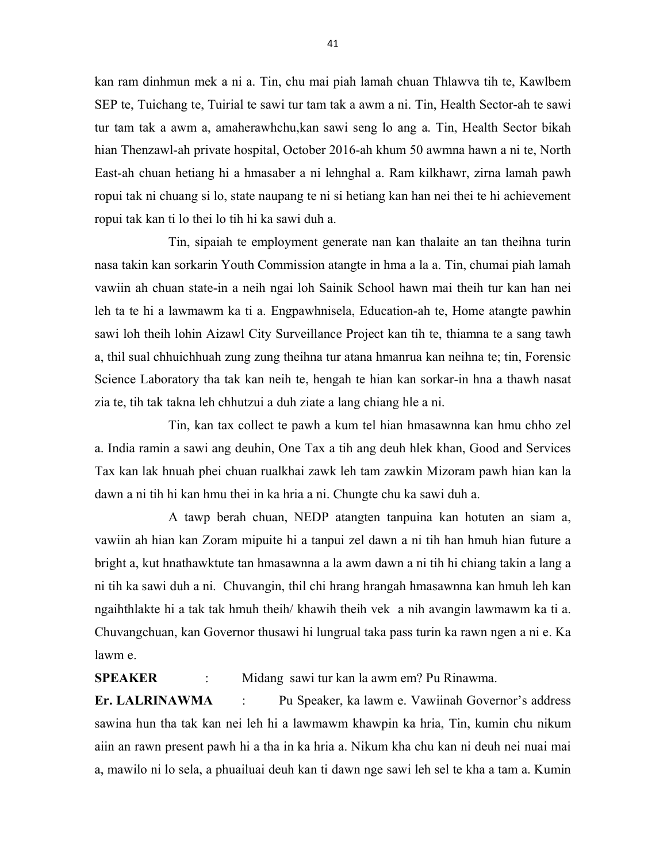kan ram dinhmun mek a ni a. Tin, chu mai piah lamah chuan Thlawva tih te, Kawlbem SEP te, Tuichang te, Tuirial te sawi tur tam tak a awm a ni. Tin, Health Sector-ah te sawi tur tam tak a awm a, amaherawhchu,kan sawi seng lo ang a. Tin, Health Sector bikah hian Thenzawl-ah private hospital, October 2016-ah khum 50 awmna hawn a ni te, North East-ah chuan hetiang hi a hmasaber a ni lehnghal a. Ram kilkhawr, zirna lamah pawh ropui tak ni chuang si lo, state naupang te ni si hetiang kan han nei thei te hi achievement ropui tak kan ti lo thei lo tih hi ka sawi duh a.

 Tin, sipaiah te employment generate nan kan thalaite an tan theihna turin nasa takin kan sorkarin Youth Commission atangte in hma a la a. Tin, chumai piah lamah vawiin ah chuan state-in a neih ngai loh Sainik School hawn mai theih tur kan han nei leh ta te hi a lawmawm ka ti a. Engpawhnisela, Education-ah te, Home atangte pawhin sawi loh theih lohin Aizawl City Surveillance Project kan tih te, thiamna te a sang tawh a, thil sual chhuichhuah zung zung theihna tur atana hmanrua kan neihna te; tin, Forensic Science Laboratory tha tak kan neih te, hengah te hian kan sorkar-in hna a thawh nasat zia te, tih tak takna leh chhutzui a duh ziate a lang chiang hle a ni.

 Tin, kan tax collect te pawh a kum tel hian hmasawnna kan hmu chho zel a. India ramin a sawi ang deuhin, One Tax a tih ang deuh hlek khan, Good and Services Tax kan lak hnuah phei chuan rualkhai zawk leh tam zawkin Mizoram pawh hian kan la dawn a ni tih hi kan hmu thei in ka hria a ni. Chungte chu ka sawi duh a.

 A tawp berah chuan, NEDP atangten tanpuina kan hotuten an siam a, vawiin ah hian kan Zoram mipuite hi a tanpui zel dawn a ni tih han hmuh hian future a bright a, kut hnathawktute tan hmasawnna a la awm dawn a ni tih hi chiang takin a lang a ni tih ka sawi duh a ni. Chuvangin, thil chi hrang hrangah hmasawnna kan hmuh leh kan ngaihthlakte hi a tak tak hmuh theih/ khawih theih vek a nih avangin lawmawm ka ti a. Chuvangchuan, kan Governor thusawi hi lungrual taka pass turin ka rawn ngen a ni e. Ka lawm e.

SPEAKER : Midang sawi tur kan la awm em? Pu Rinawma.

Er. LALRINAWMA : Pu Speaker, ka lawm e. Vawiinah Governor's address sawina hun tha tak kan nei leh hi a lawmawm khawpin ka hria, Tin, kumin chu nikum aiin an rawn present pawh hi a tha in ka hria a. Nikum kha chu kan ni deuh nei nuai mai a, mawilo ni lo sela, a phuailuai deuh kan ti dawn nge sawi leh sel te kha a tam a. Kumin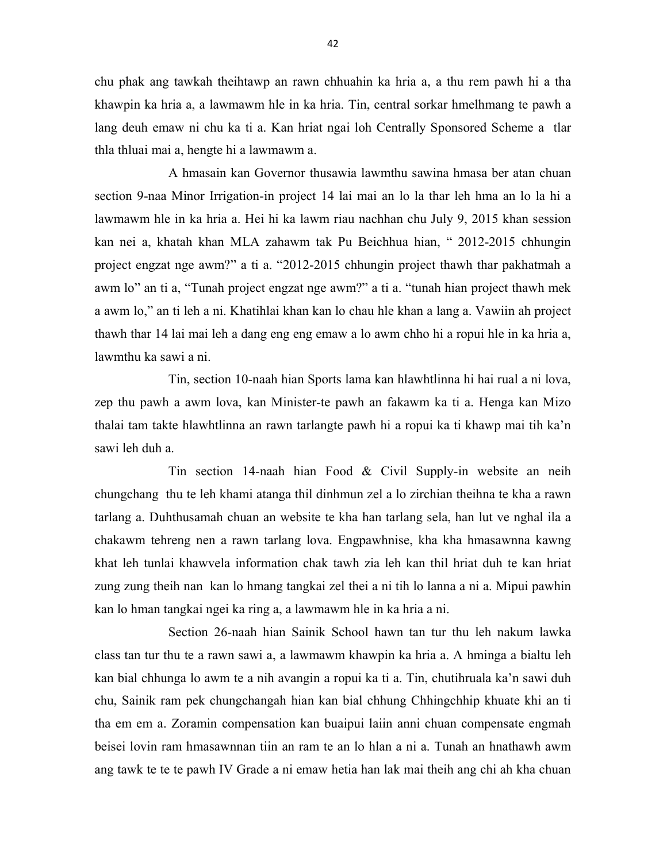chu phak ang tawkah theihtawp an rawn chhuahin ka hria a, a thu rem pawh hi a tha khawpin ka hria a, a lawmawm hle in ka hria. Tin, central sorkar hmelhmang te pawh a lang deuh emaw ni chu ka ti a. Kan hriat ngai loh Centrally Sponsored Scheme a tlar thla thluai mai a, hengte hi a lawmawm a.

 A hmasain kan Governor thusawia lawmthu sawina hmasa ber atan chuan section 9-naa Minor Irrigation-in project 14 lai mai an lo la thar leh hma an lo la hi a lawmawm hle in ka hria a. Hei hi ka lawm riau nachhan chu July 9, 2015 khan session kan nei a, khatah khan MLA zahawm tak Pu Beichhua hian, " 2012-2015 chhungin project engzat nge awm?" a ti a. "2012-2015 chhungin project thawh thar pakhatmah a awm lo" an ti a, "Tunah project engzat nge awm?" a ti a. "tunah hian project thawh mek a awm lo," an ti leh a ni. Khatihlai khan kan lo chau hle khan a lang a. Vawiin ah project thawh thar 14 lai mai leh a dang eng eng emaw a lo awm chho hi a ropui hle in ka hria a, lawmthu ka sawi a ni.

 Tin, section 10-naah hian Sports lama kan hlawhtlinna hi hai rual a ni lova, zep thu pawh a awm lova, kan Minister-te pawh an fakawm ka ti a. Henga kan Mizo thalai tam takte hlawhtlinna an rawn tarlangte pawh hi a ropui ka ti khawp mai tih ka'n sawi leh duh a.

 Tin section 14-naah hian Food & Civil Supply-in website an neih chungchang thu te leh khami atanga thil dinhmun zel a lo zirchian theihna te kha a rawn tarlang a. Duhthusamah chuan an website te kha han tarlang sela, han lut ve nghal ila a chakawm tehreng nen a rawn tarlang lova. Engpawhnise, kha kha hmasawnna kawng khat leh tunlai khawvela information chak tawh zia leh kan thil hriat duh te kan hriat zung zung theih nan kan lo hmang tangkai zel thei a ni tih lo lanna a ni a. Mipui pawhin kan lo hman tangkai ngei ka ring a, a lawmawm hle in ka hria a ni.

 Section 26-naah hian Sainik School hawn tan tur thu leh nakum lawka class tan tur thu te a rawn sawi a, a lawmawm khawpin ka hria a. A hminga a bialtu leh kan bial chhunga lo awm te a nih avangin a ropui ka ti a. Tin, chutihruala ka'n sawi duh chu, Sainik ram pek chungchangah hian kan bial chhung Chhingchhip khuate khi an ti tha em em a. Zoramin compensation kan buaipui laiin anni chuan compensate engmah beisei lovin ram hmasawnnan tiin an ram te an lo hlan a ni a. Tunah an hnathawh awm ang tawk te te te pawh IV Grade a ni emaw hetia han lak mai theih ang chi ah kha chuan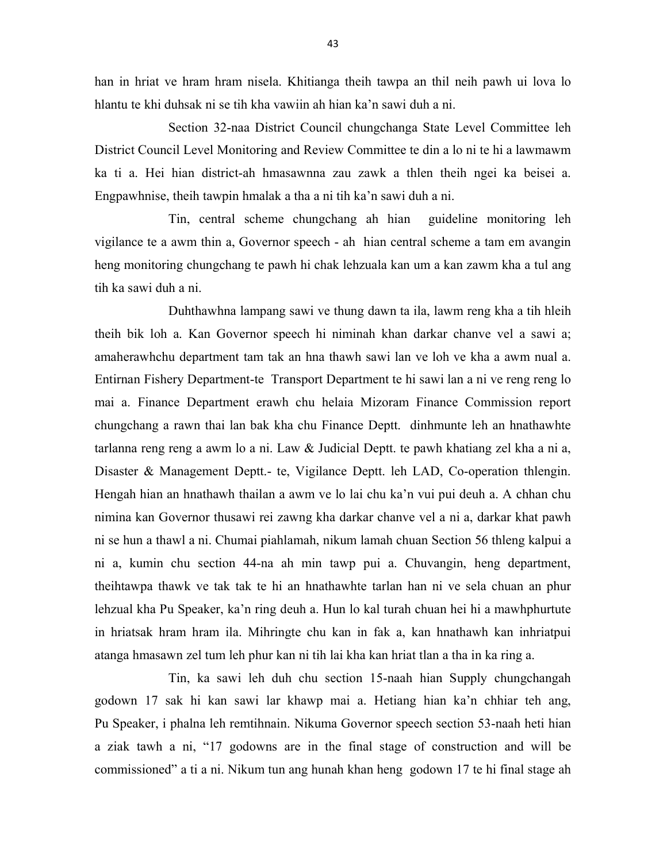han in hriat ve hram hram nisela. Khitianga theih tawpa an thil neih pawh ui lova lo hlantu te khi duhsak ni se tih kha vawiin ah hian ka'n sawi duh a ni.

 Section 32-naa District Council chungchanga State Level Committee leh District Council Level Monitoring and Review Committee te din a lo ni te hi a lawmawm ka ti a. Hei hian district-ah hmasawnna zau zawk a thlen theih ngei ka beisei a. Engpawhnise, theih tawpin hmalak a tha a ni tih ka'n sawi duh a ni.

 Tin, central scheme chungchang ah hian guideline monitoring leh vigilance te a awm thin a, Governor speech - ah hian central scheme a tam em avangin heng monitoring chungchang te pawh hi chak lehzuala kan um a kan zawm kha a tul ang tih ka sawi duh a ni.

 Duhthawhna lampang sawi ve thung dawn ta ila, lawm reng kha a tih hleih theih bik loh a. Kan Governor speech hi niminah khan darkar chanve vel a sawi a; amaherawhchu department tam tak an hna thawh sawi lan ve loh ve kha a awm nual a. Entirnan Fishery Department-te Transport Department te hi sawi lan a ni ve reng reng lo mai a. Finance Department erawh chu helaia Mizoram Finance Commission report chungchang a rawn thai lan bak kha chu Finance Deptt. dinhmunte leh an hnathawhte tarlanna reng reng a awm lo a ni. Law & Judicial Deptt. te pawh khatiang zel kha a ni a, Disaster & Management Deptt.- te, Vigilance Deptt. leh LAD, Co-operation thlengin. Hengah hian an hnathawh thailan a awm ve lo lai chu ka'n vui pui deuh a. A chhan chu nimina kan Governor thusawi rei zawng kha darkar chanve vel a ni a, darkar khat pawh ni se hun a thawl a ni. Chumai piahlamah, nikum lamah chuan Section 56 thleng kalpui a ni a, kumin chu section 44-na ah min tawp pui a. Chuvangin, heng department, theihtawpa thawk ve tak tak te hi an hnathawhte tarlan han ni ve sela chuan an phur lehzual kha Pu Speaker, ka'n ring deuh a. Hun lo kal turah chuan hei hi a mawhphurtute in hriatsak hram hram ila. Mihringte chu kan in fak a, kan hnathawh kan inhriatpui atanga hmasawn zel tum leh phur kan ni tih lai kha kan hriat tlan a tha in ka ring a.

 Tin, ka sawi leh duh chu section 15-naah hian Supply chungchangah godown 17 sak hi kan sawi lar khawp mai a. Hetiang hian ka'n chhiar teh ang, Pu Speaker, i phalna leh remtihnain. Nikuma Governor speech section 53-naah heti hian a ziak tawh a ni, "17 godowns are in the final stage of construction and will be commissioned" a ti a ni. Nikum tun ang hunah khan heng godown 17 te hi final stage ah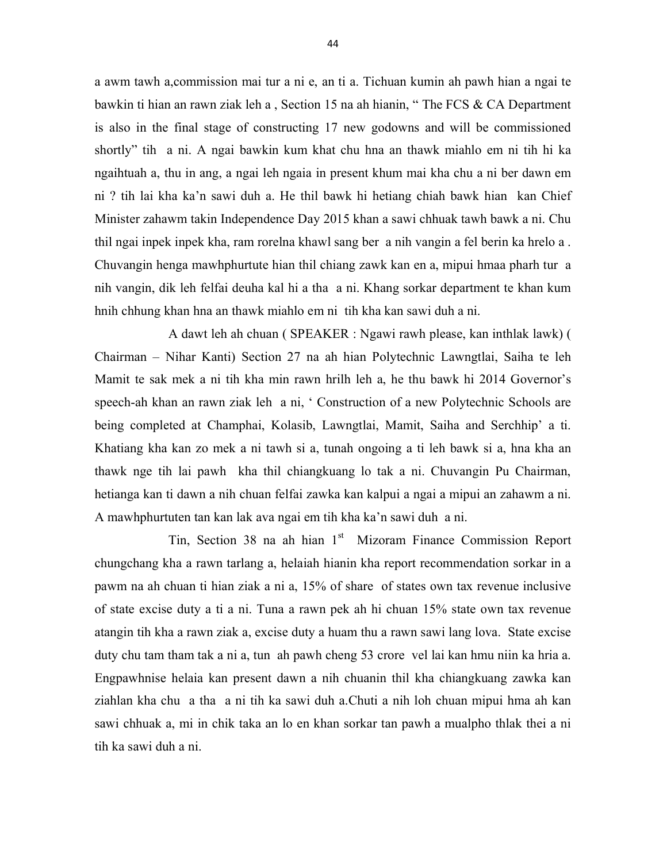a awm tawh a,commission mai tur a ni e, an ti a. Tichuan kumin ah pawh hian a ngai te bawkin ti hian an rawn ziak leh a , Section 15 na ah hianin, " The FCS & CA Department is also in the final stage of constructing 17 new godowns and will be commissioned shortly" tih a ni. A ngai bawkin kum khat chu hna an thawk miahlo em ni tih hi ka ngaihtuah a, thu in ang, a ngai leh ngaia in present khum mai kha chu a ni ber dawn em ni ? tih lai kha ka'n sawi duh a. He thil bawk hi hetiang chiah bawk hian kan Chief Minister zahawm takin Independence Day 2015 khan a sawi chhuak tawh bawk a ni. Chu thil ngai inpek inpek kha, ram rorelna khawl sang ber a nih vangin a fel berin ka hrelo a . Chuvangin henga mawhphurtute hian thil chiang zawk kan en a, mipui hmaa pharh tur a nih vangin, dik leh felfai deuha kal hi a tha a ni. Khang sorkar department te khan kum hnih chhung khan hna an thawk miahlo em ni tih kha kan sawi duh a ni.

 A dawt leh ah chuan ( SPEAKER : Ngawi rawh please, kan inthlak lawk) ( Chairman – Nihar Kanti) Section 27 na ah hian Polytechnic Lawngtlai, Saiha te leh Mamit te sak mek a ni tih kha min rawn hrilh leh a, he thu bawk hi 2014 Governor's speech-ah khan an rawn ziak leh a ni, ' Construction of a new Polytechnic Schools are being completed at Champhai, Kolasib, Lawngtlai, Mamit, Saiha and Serchhip' a ti. Khatiang kha kan zo mek a ni tawh si a, tunah ongoing a ti leh bawk si a, hna kha an thawk nge tih lai pawh kha thil chiangkuang lo tak a ni. Chuvangin Pu Chairman, hetianga kan ti dawn a nih chuan felfai zawka kan kalpui a ngai a mipui an zahawm a ni. A mawhphurtuten tan kan lak ava ngai em tih kha ka'n sawi duh a ni.

Tin, Section 38 na ah hian 1<sup>st</sup> Mizoram Finance Commission Report chungchang kha a rawn tarlang a, helaiah hianin kha report recommendation sorkar in a pawm na ah chuan ti hian ziak a ni a, 15% of share of states own tax revenue inclusive of state excise duty a ti a ni. Tuna a rawn pek ah hi chuan 15% state own tax revenue atangin tih kha a rawn ziak a, excise duty a huam thu a rawn sawi lang lova. State excise duty chu tam tham tak a ni a, tun ah pawh cheng 53 crore vel lai kan hmu niin ka hria a. Engpawhnise helaia kan present dawn a nih chuanin thil kha chiangkuang zawka kan ziahlan kha chu a tha a ni tih ka sawi duh a.Chuti a nih loh chuan mipui hma ah kan sawi chhuak a, mi in chik taka an lo en khan sorkar tan pawh a mualpho thlak thei a ni tih ka sawi duh a ni.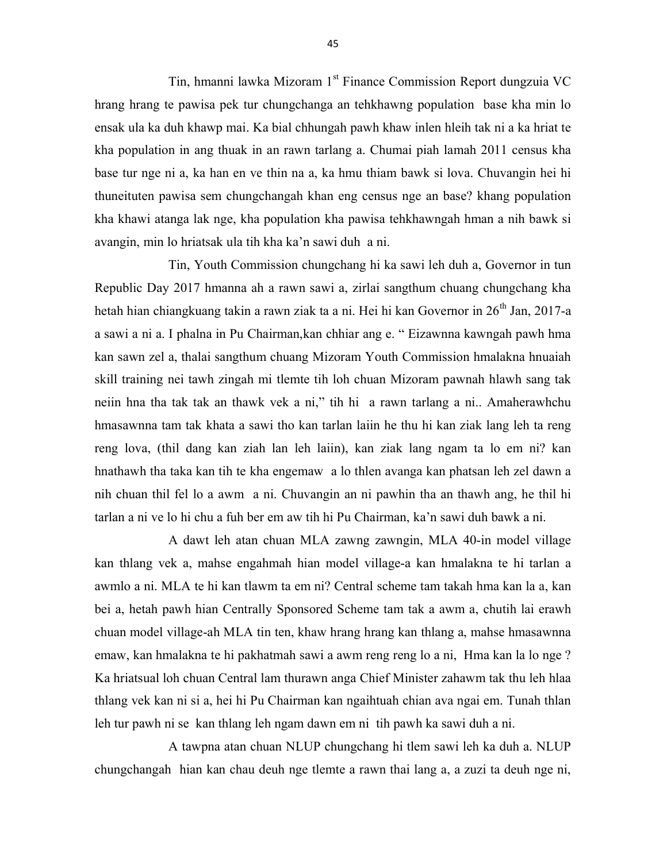Tin, hmanni lawka Mizoram 1<sup>st</sup> Finance Commission Report dungzuia VC hrang hrang te pawisa pek tur chungchanga an tehkhawng population base kha min lo ensak ula ka duh khawp mai. Ka bial chhungah pawh khaw inlen hleih tak ni a ka hriat te kha population in ang thuak in an rawn tarlang a. Chumai piah lamah 2011 census kha base tur nge ni a, ka han en ve thin na a, ka hmu thiam bawk si lova. Chuvangin hei hi thuneituten pawisa sem chungchangah khan eng census nge an base? khang population kha khawi atanga lak nge, kha population kha pawisa tehkhawngah hman a nih bawk si avangin, min lo hriatsak ula tih kha ka'n sawi duh a ni.

 Tin, Youth Commission chungchang hi ka sawi leh duh a, Governor in tun Republic Day 2017 hmanna ah a rawn sawi a, zirlai sangthum chuang chungchang kha hetah hian chiangkuang takin a rawn ziak ta a ni. Hei hi kan Governor in 26<sup>th</sup> Jan, 2017-a a sawi a ni a. I phalna in Pu Chairman,kan chhiar ang e. " Eizawnna kawngah pawh hma kan sawn zel a, thalai sangthum chuang Mizoram Youth Commission hmalakna hnuaiah skill training nei tawh zingah mi tlemte tih loh chuan Mizoram pawnah hlawh sang tak neiin hna tha tak tak an thawk vek a ni," tih hi a rawn tarlang a ni.. Amaherawhchu hmasawnna tam tak khata a sawi tho kan tarlan laiin he thu hi kan ziak lang leh ta reng reng lova, (thil dang kan ziah lan leh laiin), kan ziak lang ngam ta lo em ni? kan hnathawh tha taka kan tih te kha engemaw a lo thlen avanga kan phatsan leh zel dawn a nih chuan thil fel lo a awm a ni. Chuvangin an ni pawhin tha an thawh ang, he thil hi tarlan a ni ve lo hi chu a fuh ber em aw tih hi Pu Chairman, ka'n sawi duh bawk a ni.

 A dawt leh atan chuan MLA zawng zawngin, MLA 40-in model village kan thlang vek a, mahse engahmah hian model village-a kan hmalakna te hi tarlan a awmlo a ni. MLA te hi kan tlawm ta em ni? Central scheme tam takah hma kan la a, kan bei a, hetah pawh hian Centrally Sponsored Scheme tam tak a awm a, chutih lai erawh chuan model village-ah MLA tin ten, khaw hrang hrang kan thlang a, mahse hmasawnna emaw, kan hmalakna te hi pakhatmah sawi a awm reng reng lo a ni, Hma kan la lo nge ? Ka hriatsual loh chuan Central lam thurawn anga Chief Minister zahawm tak thu leh hlaa thlang vek kan ni si a, hei hi Pu Chairman kan ngaihtuah chian ava ngai em. Tunah thlan leh tur pawh ni se kan thlang leh ngam dawn em ni tih pawh ka sawi duh a ni.

 A tawpna atan chuan NLUP chungchang hi tlem sawi leh ka duh a. NLUP chungchangah hian kan chau deuh nge tlemte a rawn thai lang a, a zuzi ta deuh nge ni,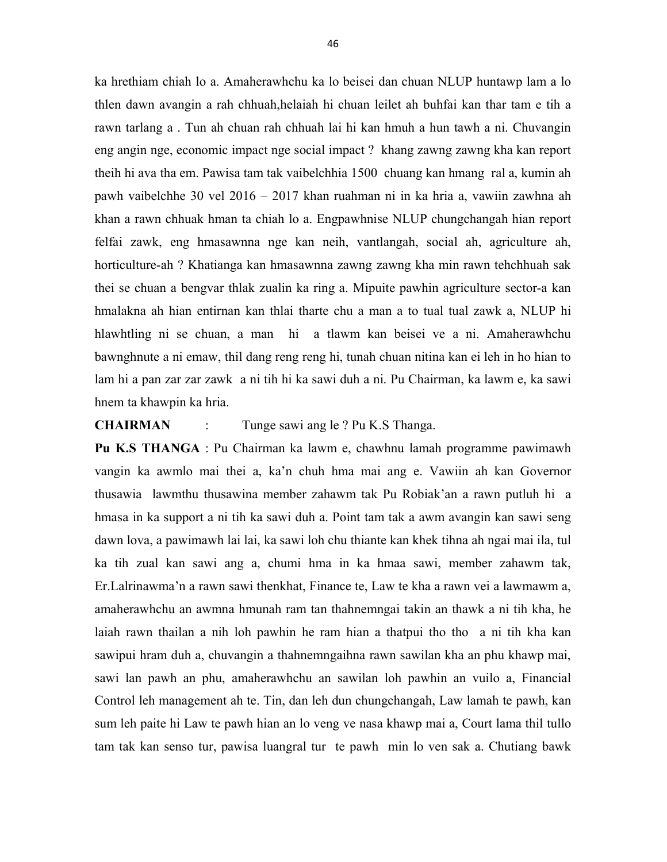ka hrethiam chiah lo a. Amaherawhchu ka lo beisei dan chuan NLUP huntawp lam a lo thlen dawn avangin a rah chhuah,helaiah hi chuan leilet ah buhfai kan thar tam e tih a rawn tarlang a . Tun ah chuan rah chhuah lai hi kan hmuh a hun tawh a ni. Chuvangin eng angin nge, economic impact nge social impact ? khang zawng zawng kha kan report theih hi ava tha em. Pawisa tam tak vaibelchhia 1500 chuang kan hmang ral a, kumin ah pawh vaibelchhe 30 vel 2016 – 2017 khan ruahman ni in ka hria a, vawiin zawhna ah khan a rawn chhuak hman ta chiah lo a. Engpawhnise NLUP chungchangah hian report felfai zawk, eng hmasawnna nge kan neih, vantlangah, social ah, agriculture ah, horticulture-ah ? Khatianga kan hmasawnna zawng zawng kha min rawn tehchhuah sak thei se chuan a bengvar thlak zualin ka ring a. Mipuite pawhin agriculture sector-a kan hmalakna ah hian entirnan kan thlai tharte chu a man a to tual tual zawk a, NLUP hi hlawhtling ni se chuan, a man hi a tlawm kan beisei ve a ni. Amaherawhchu bawnghnute a ni emaw, thil dang reng reng hi, tunah chuan nitina kan ei leh in ho hian to lam hi a pan zar zar zawk a ni tih hi ka sawi duh a ni. Pu Chairman, ka lawm e, ka sawi hnem ta khawpin ka hria.

#### CHAIRMAN : Tunge sawi ang le ? Pu K.S Thanga.

Pu K.S THANGA : Pu Chairman ka lawm e, chawhnu lamah programme pawimawh vangin ka awmlo mai thei a, ka'n chuh hma mai ang e. Vawiin ah kan Governor thusawia lawmthu thusawina member zahawm tak Pu Robiak'an a rawn putluh hi a hmasa in ka support a ni tih ka sawi duh a. Point tam tak a awm avangin kan sawi seng dawn lova, a pawimawh lai lai, ka sawi loh chu thiante kan khek tihna ah ngai mai ila, tul ka tih zual kan sawi ang a, chumi hma in ka hmaa sawi, member zahawm tak, Er.Lalrinawma'n a rawn sawi thenkhat, Finance te, Law te kha a rawn vei a lawmawm a, amaherawhchu an awmna hmunah ram tan thahnemngai takin an thawk a ni tih kha, he laiah rawn thailan a nih loh pawhin he ram hian a thatpui tho tho a ni tih kha kan sawipui hram duh a, chuvangin a thahnemngaihna rawn sawilan kha an phu khawp mai, sawi lan pawh an phu, amaherawhchu an sawilan loh pawhin an vuilo a, Financial Control leh management ah te. Tin, dan leh dun chungchangah, Law lamah te pawh, kan sum leh paite hi Law te pawh hian an lo veng ve nasa khawp mai a, Court lama thil tullo tam tak kan senso tur, pawisa luangral tur te pawh min lo ven sak a. Chutiang bawk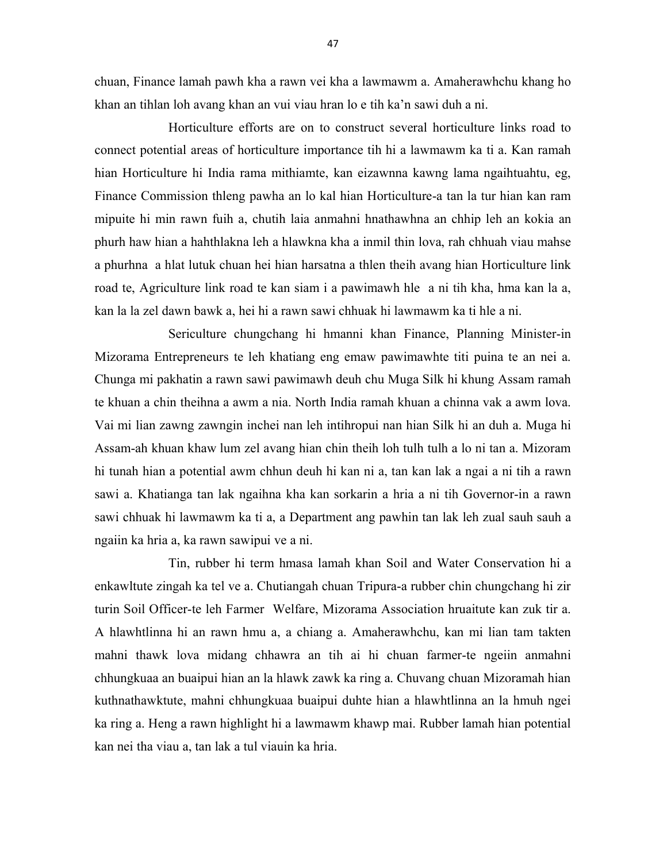chuan, Finance lamah pawh kha a rawn vei kha a lawmawm a. Amaherawhchu khang ho khan an tihlan loh avang khan an vui viau hran lo e tih ka'n sawi duh a ni.

 Horticulture efforts are on to construct several horticulture links road to connect potential areas of horticulture importance tih hi a lawmawm ka ti a. Kan ramah hian Horticulture hi India rama mithiamte, kan eizawnna kawng lama ngaihtuahtu, eg, Finance Commission thleng pawha an lo kal hian Horticulture-a tan la tur hian kan ram mipuite hi min rawn fuih a, chutih laia anmahni hnathawhna an chhip leh an kokia an phurh haw hian a hahthlakna leh a hlawkna kha a inmil thin lova, rah chhuah viau mahse a phurhna a hlat lutuk chuan hei hian harsatna a thlen theih avang hian Horticulture link road te, Agriculture link road te kan siam i a pawimawh hle a ni tih kha, hma kan la a, kan la la zel dawn bawk a, hei hi a rawn sawi chhuak hi lawmawm ka ti hle a ni.

 Sericulture chungchang hi hmanni khan Finance, Planning Minister-in Mizorama Entrepreneurs te leh khatiang eng emaw pawimawhte titi puina te an nei a. Chunga mi pakhatin a rawn sawi pawimawh deuh chu Muga Silk hi khung Assam ramah te khuan a chin theihna a awm a nia. North India ramah khuan a chinna vak a awm lova. Vai mi lian zawng zawngin inchei nan leh intihropui nan hian Silk hi an duh a. Muga hi Assam-ah khuan khaw lum zel avang hian chin theih loh tulh tulh a lo ni tan a. Mizoram hi tunah hian a potential awm chhun deuh hi kan ni a, tan kan lak a ngai a ni tih a rawn sawi a. Khatianga tan lak ngaihna kha kan sorkarin a hria a ni tih Governor-in a rawn sawi chhuak hi lawmawm ka ti a, a Department ang pawhin tan lak leh zual sauh sauh a ngaiin ka hria a, ka rawn sawipui ve a ni.

 Tin, rubber hi term hmasa lamah khan Soil and Water Conservation hi a enkawltute zingah ka tel ve a. Chutiangah chuan Tripura-a rubber chin chungchang hi zir turin Soil Officer-te leh Farmer Welfare, Mizorama Association hruaitute kan zuk tir a. A hlawhtlinna hi an rawn hmu a, a chiang a. Amaherawhchu, kan mi lian tam takten mahni thawk lova midang chhawra an tih ai hi chuan farmer-te ngeiin anmahni chhungkuaa an buaipui hian an la hlawk zawk ka ring a. Chuvang chuan Mizoramah hian kuthnathawktute, mahni chhungkuaa buaipui duhte hian a hlawhtlinna an la hmuh ngei ka ring a. Heng a rawn highlight hi a lawmawm khawp mai. Rubber lamah hian potential kan nei tha viau a, tan lak a tul viauin ka hria.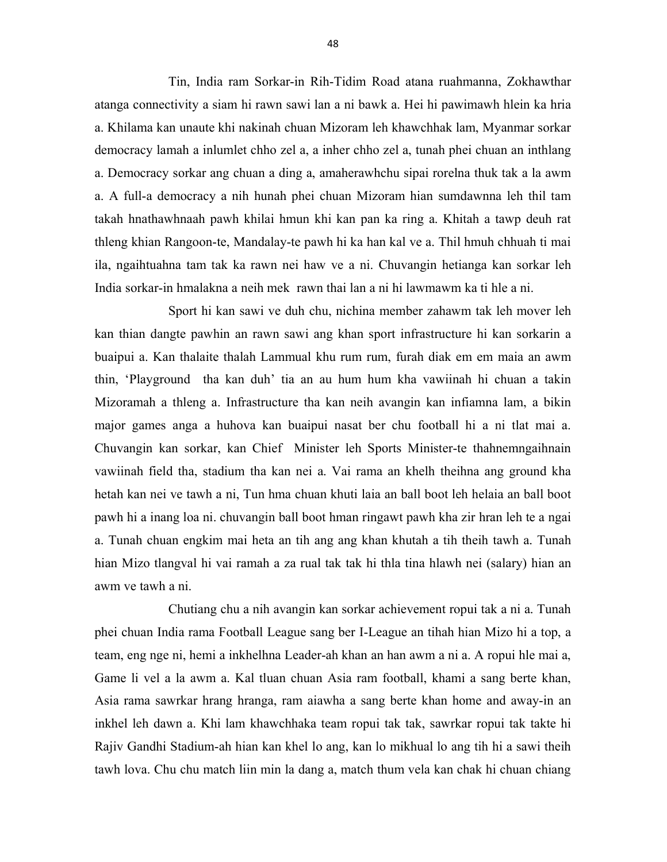Tin, India ram Sorkar-in Rih-Tidim Road atana ruahmanna, Zokhawthar atanga connectivity a siam hi rawn sawi lan a ni bawk a. Hei hi pawimawh hlein ka hria a. Khilama kan unaute khi nakinah chuan Mizoram leh khawchhak lam, Myanmar sorkar democracy lamah a inlumlet chho zel a, a inher chho zel a, tunah phei chuan an inthlang a. Democracy sorkar ang chuan a ding a, amaherawhchu sipai rorelna thuk tak a la awm a. A full-a democracy a nih hunah phei chuan Mizoram hian sumdawnna leh thil tam takah hnathawhnaah pawh khilai hmun khi kan pan ka ring a. Khitah a tawp deuh rat thleng khian Rangoon-te, Mandalay-te pawh hi ka han kal ve a. Thil hmuh chhuah ti mai ila, ngaihtuahna tam tak ka rawn nei haw ve a ni. Chuvangin hetianga kan sorkar leh India sorkar-in hmalakna a neih mek rawn thai lan a ni hi lawmawm ka ti hle a ni.

 Sport hi kan sawi ve duh chu, nichina member zahawm tak leh mover leh kan thian dangte pawhin an rawn sawi ang khan sport infrastructure hi kan sorkarin a buaipui a. Kan thalaite thalah Lammual khu rum rum, furah diak em em maia an awm thin, 'Playground tha kan duh' tia an au hum hum kha vawiinah hi chuan a takin Mizoramah a thleng a. Infrastructure tha kan neih avangin kan infiamna lam, a bikin major games anga a huhova kan buaipui nasat ber chu football hi a ni tlat mai a. Chuvangin kan sorkar, kan Chief Minister leh Sports Minister-te thahnemngaihnain vawiinah field tha, stadium tha kan nei a. Vai rama an khelh theihna ang ground kha hetah kan nei ve tawh a ni, Tun hma chuan khuti laia an ball boot leh helaia an ball boot pawh hi a inang loa ni. chuvangin ball boot hman ringawt pawh kha zir hran leh te a ngai a. Tunah chuan engkim mai heta an tih ang ang khan khutah a tih theih tawh a. Tunah hian Mizo tlangval hi vai ramah a za rual tak tak hi thla tina hlawh nei (salary) hian an awm ve tawh a ni.

 Chutiang chu a nih avangin kan sorkar achievement ropui tak a ni a. Tunah phei chuan India rama Football League sang ber I-League an tihah hian Mizo hi a top, a team, eng nge ni, hemi a inkhelhna Leader-ah khan an han awm a ni a. A ropui hle mai a, Game li vel a la awm a. Kal tluan chuan Asia ram football, khami a sang berte khan, Asia rama sawrkar hrang hranga, ram aiawha a sang berte khan home and away-in an inkhel leh dawn a. Khi lam khawchhaka team ropui tak tak, sawrkar ropui tak takte hi Rajiv Gandhi Stadium-ah hian kan khel lo ang, kan lo mikhual lo ang tih hi a sawi theih tawh lova. Chu chu match liin min la dang a, match thum vela kan chak hi chuan chiang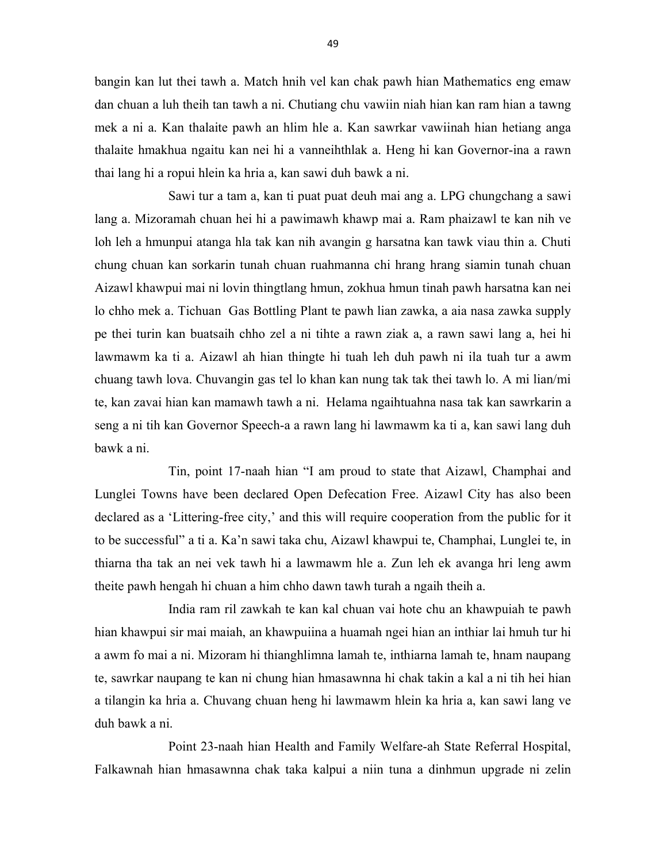bangin kan lut thei tawh a. Match hnih vel kan chak pawh hian Mathematics eng emaw dan chuan a luh theih tan tawh a ni. Chutiang chu vawiin niah hian kan ram hian a tawng mek a ni a. Kan thalaite pawh an hlim hle a. Kan sawrkar vawiinah hian hetiang anga thalaite hmakhua ngaitu kan nei hi a vanneihthlak a. Heng hi kan Governor-ina a rawn thai lang hi a ropui hlein ka hria a, kan sawi duh bawk a ni.

 Sawi tur a tam a, kan ti puat puat deuh mai ang a. LPG chungchang a sawi lang a. Mizoramah chuan hei hi a pawimawh khawp mai a. Ram phaizawl te kan nih ve loh leh a hmunpui atanga hla tak kan nih avangin g harsatna kan tawk viau thin a. Chuti chung chuan kan sorkarin tunah chuan ruahmanna chi hrang hrang siamin tunah chuan Aizawl khawpui mai ni lovin thingtlang hmun, zokhua hmun tinah pawh harsatna kan nei lo chho mek a. Tichuan Gas Bottling Plant te pawh lian zawka, a aia nasa zawka supply pe thei turin kan buatsaih chho zel a ni tihte a rawn ziak a, a rawn sawi lang a, hei hi lawmawm ka ti a. Aizawl ah hian thingte hi tuah leh duh pawh ni ila tuah tur a awm chuang tawh lova. Chuvangin gas tel lo khan kan nung tak tak thei tawh lo. A mi lian/mi te, kan zavai hian kan mamawh tawh a ni. Helama ngaihtuahna nasa tak kan sawrkarin a seng a ni tih kan Governor Speech-a a rawn lang hi lawmawm ka ti a, kan sawi lang duh bawk a ni.

 Tin, point 17-naah hian "I am proud to state that Aizawl, Champhai and Lunglei Towns have been declared Open Defecation Free. Aizawl City has also been declared as a 'Littering-free city,' and this will require cooperation from the public for it to be successful" a ti a. Ka'n sawi taka chu, Aizawl khawpui te, Champhai, Lunglei te, in thiarna tha tak an nei vek tawh hi a lawmawm hle a. Zun leh ek avanga hri leng awm theite pawh hengah hi chuan a him chho dawn tawh turah a ngaih theih a.

 India ram ril zawkah te kan kal chuan vai hote chu an khawpuiah te pawh hian khawpui sir mai maiah, an khawpuiina a huamah ngei hian an inthiar lai hmuh tur hi a awm fo mai a ni. Mizoram hi thianghlimna lamah te, inthiarna lamah te, hnam naupang te, sawrkar naupang te kan ni chung hian hmasawnna hi chak takin a kal a ni tih hei hian a tilangin ka hria a. Chuvang chuan heng hi lawmawm hlein ka hria a, kan sawi lang ve duh bawk a ni.

 Point 23-naah hian Health and Family Welfare-ah State Referral Hospital, Falkawnah hian hmasawnna chak taka kalpui a niin tuna a dinhmun upgrade ni zelin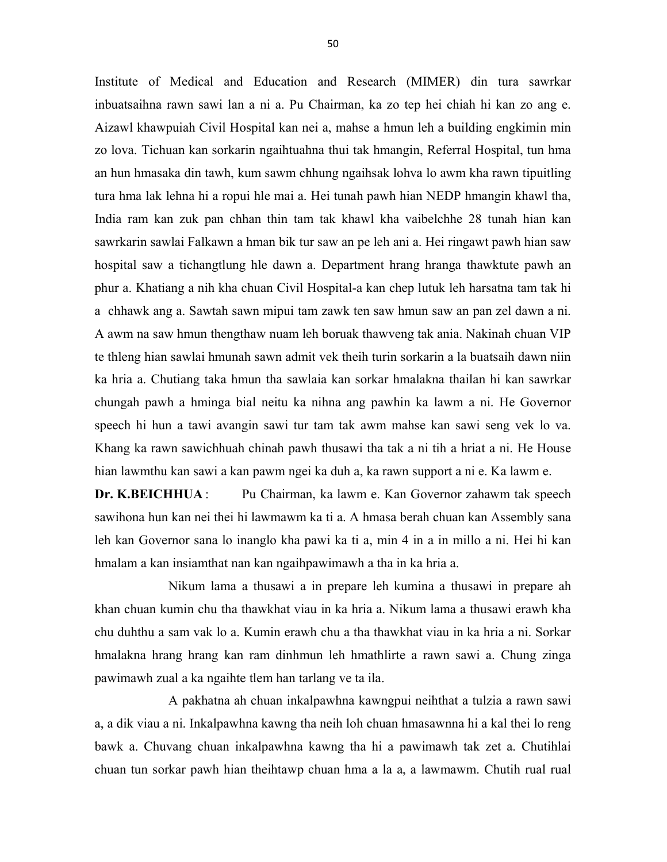Institute of Medical and Education and Research (MIMER) din tura sawrkar inbuatsaihna rawn sawi lan a ni a. Pu Chairman, ka zo tep hei chiah hi kan zo ang e. Aizawl khawpuiah Civil Hospital kan nei a, mahse a hmun leh a building engkimin min zo lova. Tichuan kan sorkarin ngaihtuahna thui tak hmangin, Referral Hospital, tun hma an hun hmasaka din tawh, kum sawm chhung ngaihsak lohva lo awm kha rawn tipuitling tura hma lak lehna hi a ropui hle mai a. Hei tunah pawh hian NEDP hmangin khawl tha, India ram kan zuk pan chhan thin tam tak khawl kha vaibelchhe 28 tunah hian kan sawrkarin sawlai Falkawn a hman bik tur saw an pe leh ani a. Hei ringawt pawh hian saw hospital saw a tichangtlung hle dawn a. Department hrang hranga thawktute pawh an phur a. Khatiang a nih kha chuan Civil Hospital-a kan chep lutuk leh harsatna tam tak hi a chhawk ang a. Sawtah sawn mipui tam zawk ten saw hmun saw an pan zel dawn a ni. A awm na saw hmun thengthaw nuam leh boruak thawveng tak ania. Nakinah chuan VIP te thleng hian sawlai hmunah sawn admit vek theih turin sorkarin a la buatsaih dawn niin ka hria a. Chutiang taka hmun tha sawlaia kan sorkar hmalakna thailan hi kan sawrkar chungah pawh a hminga bial neitu ka nihna ang pawhin ka lawm a ni. He Governor speech hi hun a tawi avangin sawi tur tam tak awm mahse kan sawi seng vek lo va. Khang ka rawn sawichhuah chinah pawh thusawi tha tak a ni tih a hriat a ni. He House hian lawmthu kan sawi a kan pawm ngei ka duh a, ka rawn support a ni e. Ka lawm e.

Dr. K.BEICHHUA : Pu Chairman, ka lawm e. Kan Governor zahawm tak speech sawihona hun kan nei thei hi lawmawm ka ti a. A hmasa berah chuan kan Assembly sana leh kan Governor sana lo inanglo kha pawi ka ti a, min 4 in a in millo a ni. Hei hi kan hmalam a kan insiamthat nan kan ngaihpawimawh a tha in ka hria a.

 Nikum lama a thusawi a in prepare leh kumina a thusawi in prepare ah khan chuan kumin chu tha thawkhat viau in ka hria a. Nikum lama a thusawi erawh kha chu duhthu a sam vak lo a. Kumin erawh chu a tha thawkhat viau in ka hria a ni. Sorkar hmalakna hrang hrang kan ram dinhmun leh hmathlirte a rawn sawi a. Chung zinga pawimawh zual a ka ngaihte tlem han tarlang ve ta ila.

 A pakhatna ah chuan inkalpawhna kawngpui neihthat a tulzia a rawn sawi a, a dik viau a ni. Inkalpawhna kawng tha neih loh chuan hmasawnna hi a kal thei lo reng bawk a. Chuvang chuan inkalpawhna kawng tha hi a pawimawh tak zet a. Chutihlai chuan tun sorkar pawh hian theihtawp chuan hma a la a, a lawmawm. Chutih rual rual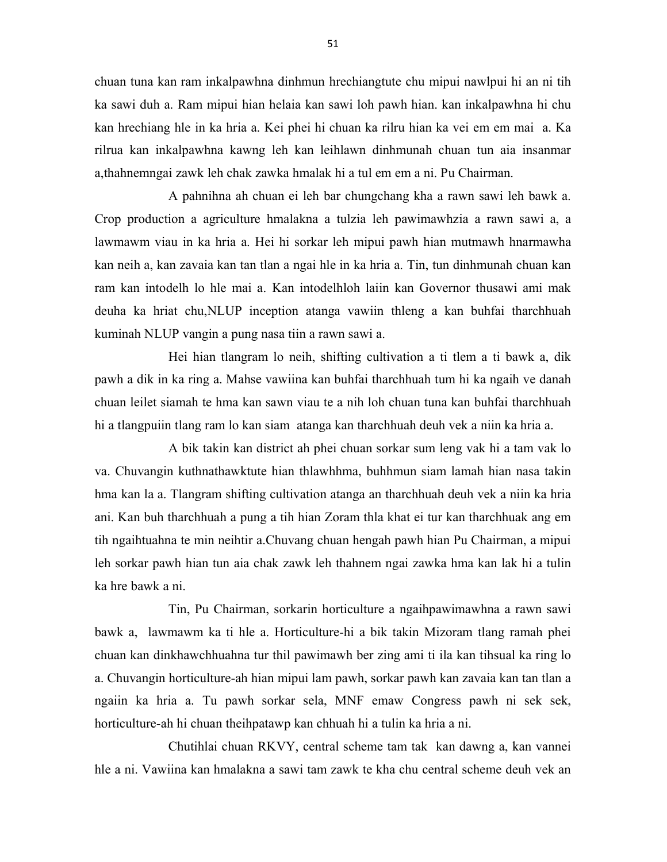chuan tuna kan ram inkalpawhna dinhmun hrechiangtute chu mipui nawlpui hi an ni tih ka sawi duh a. Ram mipui hian helaia kan sawi loh pawh hian. kan inkalpawhna hi chu kan hrechiang hle in ka hria a. Kei phei hi chuan ka rilru hian ka vei em em mai a. Ka rilrua kan inkalpawhna kawng leh kan leihlawn dinhmunah chuan tun aia insanmar a,thahnemngai zawk leh chak zawka hmalak hi a tul em em a ni. Pu Chairman.

 A pahnihna ah chuan ei leh bar chungchang kha a rawn sawi leh bawk a. Crop production a agriculture hmalakna a tulzia leh pawimawhzia a rawn sawi a, a lawmawm viau in ka hria a. Hei hi sorkar leh mipui pawh hian mutmawh hnarmawha kan neih a, kan zavaia kan tan tlan a ngai hle in ka hria a. Tin, tun dinhmunah chuan kan ram kan intodelh lo hle mai a. Kan intodelhloh laiin kan Governor thusawi ami mak deuha ka hriat chu,NLUP inception atanga vawiin thleng a kan buhfai tharchhuah kuminah NLUP vangin a pung nasa tiin a rawn sawi a.

 Hei hian tlangram lo neih, shifting cultivation a ti tlem a ti bawk a, dik pawh a dik in ka ring a. Mahse vawiina kan buhfai tharchhuah tum hi ka ngaih ve danah chuan leilet siamah te hma kan sawn viau te a nih loh chuan tuna kan buhfai tharchhuah hi a tlangpuiin tlang ram lo kan siam atanga kan tharchhuah deuh vek a niin ka hria a.

 A bik takin kan district ah phei chuan sorkar sum leng vak hi a tam vak lo va. Chuvangin kuthnathawktute hian thlawhhma, buhhmun siam lamah hian nasa takin hma kan la a. Tlangram shifting cultivation atanga an tharchhuah deuh vek a niin ka hria ani. Kan buh tharchhuah a pung a tih hian Zoram thla khat ei tur kan tharchhuak ang em tih ngaihtuahna te min neihtir a.Chuvang chuan hengah pawh hian Pu Chairman, a mipui leh sorkar pawh hian tun aia chak zawk leh thahnem ngai zawka hma kan lak hi a tulin ka hre bawk a ni.

 Tin, Pu Chairman, sorkarin horticulture a ngaihpawimawhna a rawn sawi bawk a, lawmawm ka ti hle a. Horticulture-hi a bik takin Mizoram tlang ramah phei chuan kan dinkhawchhuahna tur thil pawimawh ber zing ami ti ila kan tihsual ka ring lo a. Chuvangin horticulture-ah hian mipui lam pawh, sorkar pawh kan zavaia kan tan tlan a ngaiin ka hria a. Tu pawh sorkar sela, MNF emaw Congress pawh ni sek sek, horticulture-ah hi chuan theihpatawp kan chhuah hi a tulin ka hria a ni.

 Chutihlai chuan RKVY, central scheme tam tak kan dawng a, kan vannei hle a ni. Vawiina kan hmalakna a sawi tam zawk te kha chu central scheme deuh vek an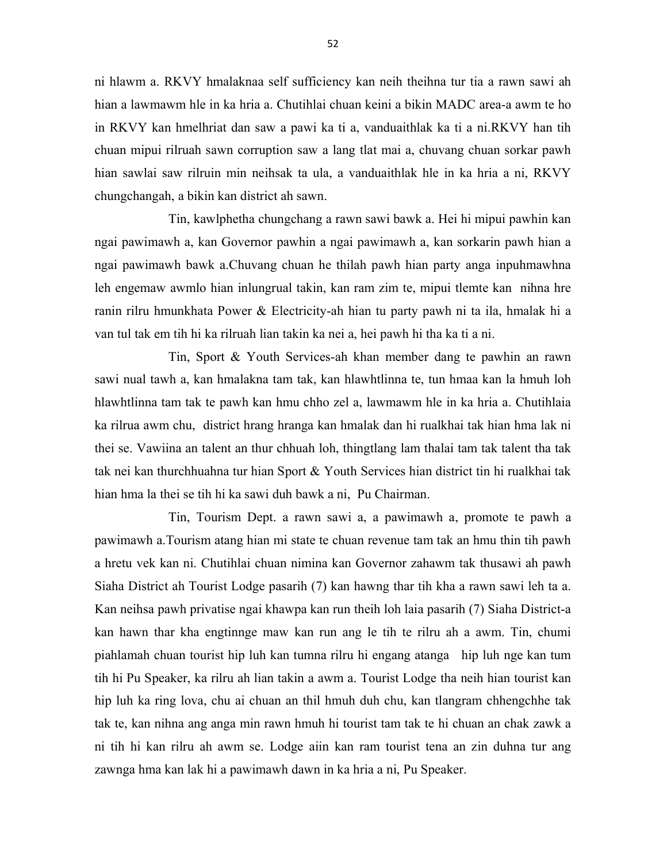ni hlawm a. RKVY hmalaknaa self sufficiency kan neih theihna tur tia a rawn sawi ah hian a lawmawm hle in ka hria a. Chutihlai chuan keini a bikin MADC area-a awm te ho in RKVY kan hmelhriat dan saw a pawi ka ti a, vanduaithlak ka ti a ni.RKVY han tih chuan mipui rilruah sawn corruption saw a lang tlat mai a, chuvang chuan sorkar pawh hian sawlai saw rilruin min neihsak ta ula, a vanduaithlak hle in ka hria a ni, RKVY chungchangah, a bikin kan district ah sawn.

 Tin, kawlphetha chungchang a rawn sawi bawk a. Hei hi mipui pawhin kan ngai pawimawh a, kan Governor pawhin a ngai pawimawh a, kan sorkarin pawh hian a ngai pawimawh bawk a.Chuvang chuan he thilah pawh hian party anga inpuhmawhna leh engemaw awmlo hian inlungrual takin, kan ram zim te, mipui tlemte kan nihna hre ranin rilru hmunkhata Power & Electricity-ah hian tu party pawh ni ta ila, hmalak hi a van tul tak em tih hi ka rilruah lian takin ka nei a, hei pawh hi tha ka ti a ni.

 Tin, Sport & Youth Services-ah khan member dang te pawhin an rawn sawi nual tawh a, kan hmalakna tam tak, kan hlawhtlinna te, tun hmaa kan la hmuh loh hlawhtlinna tam tak te pawh kan hmu chho zel a, lawmawm hle in ka hria a. Chutihlaia ka rilrua awm chu, district hrang hranga kan hmalak dan hi rualkhai tak hian hma lak ni thei se. Vawiina an talent an thur chhuah loh, thingtlang lam thalai tam tak talent tha tak tak nei kan thurchhuahna tur hian Sport & Youth Services hian district tin hi rualkhai tak hian hma la thei se tih hi ka sawi duh bawk a ni, Pu Chairman.

 Tin, Tourism Dept. a rawn sawi a, a pawimawh a, promote te pawh a pawimawh a.Tourism atang hian mi state te chuan revenue tam tak an hmu thin tih pawh a hretu vek kan ni. Chutihlai chuan nimina kan Governor zahawm tak thusawi ah pawh Siaha District ah Tourist Lodge pasarih (7) kan hawng thar tih kha a rawn sawi leh ta a. Kan neihsa pawh privatise ngai khawpa kan run theih loh laia pasarih (7) Siaha District-a kan hawn thar kha engtinnge maw kan run ang le tih te rilru ah a awm. Tin, chumi piahlamah chuan tourist hip luh kan tumna rilru hi engang atanga hip luh nge kan tum tih hi Pu Speaker, ka rilru ah lian takin a awm a. Tourist Lodge tha neih hian tourist kan hip luh ka ring lova, chu ai chuan an thil hmuh duh chu, kan tlangram chhengchhe tak tak te, kan nihna ang anga min rawn hmuh hi tourist tam tak te hi chuan an chak zawk a ni tih hi kan rilru ah awm se. Lodge aiin kan ram tourist tena an zin duhna tur ang zawnga hma kan lak hi a pawimawh dawn in ka hria a ni, Pu Speaker.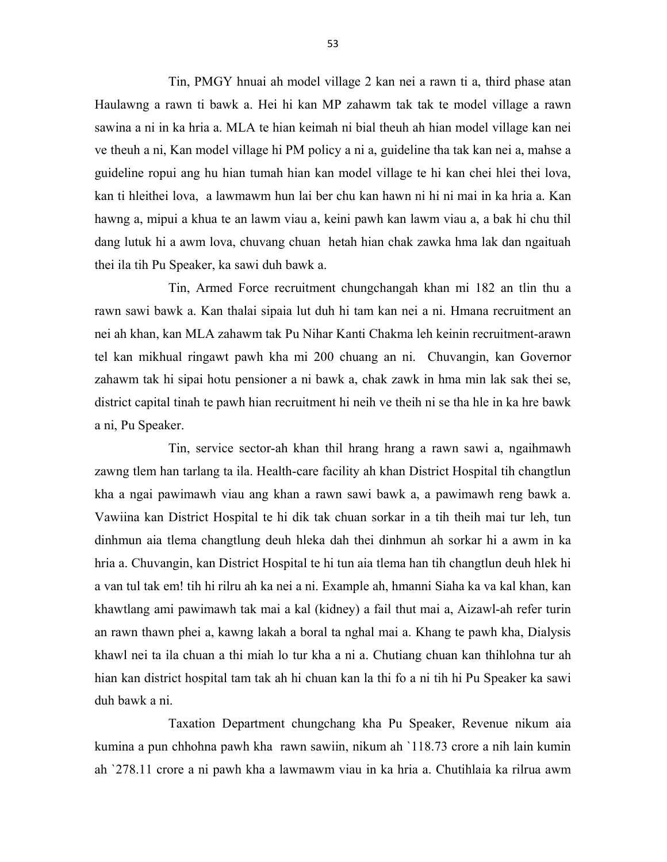Tin, PMGY hnuai ah model village 2 kan nei a rawn ti a, third phase atan Haulawng a rawn ti bawk a. Hei hi kan MP zahawm tak tak te model village a rawn sawina a ni in ka hria a. MLA te hian keimah ni bial theuh ah hian model village kan nei ve theuh a ni, Kan model village hi PM policy a ni a, guideline tha tak kan nei a, mahse a guideline ropui ang hu hian tumah hian kan model village te hi kan chei hlei thei lova, kan ti hleithei lova, a lawmawm hun lai ber chu kan hawn ni hi ni mai in ka hria a. Kan hawng a, mipui a khua te an lawm viau a, keini pawh kan lawm viau a, a bak hi chu thil dang lutuk hi a awm lova, chuvang chuan hetah hian chak zawka hma lak dan ngaituah thei ila tih Pu Speaker, ka sawi duh bawk a.

 Tin, Armed Force recruitment chungchangah khan mi 182 an tlin thu a rawn sawi bawk a. Kan thalai sipaia lut duh hi tam kan nei a ni. Hmana recruitment an nei ah khan, kan MLA zahawm tak Pu Nihar Kanti Chakma leh keinin recruitment-arawn tel kan mikhual ringawt pawh kha mi 200 chuang an ni. Chuvangin, kan Governor zahawm tak hi sipai hotu pensioner a ni bawk a, chak zawk in hma min lak sak thei se, district capital tinah te pawh hian recruitment hi neih ve theih ni se tha hle in ka hre bawk a ni, Pu Speaker.

 Tin, service sector-ah khan thil hrang hrang a rawn sawi a, ngaihmawh zawng tlem han tarlang ta ila. Health-care facility ah khan District Hospital tih changtlun kha a ngai pawimawh viau ang khan a rawn sawi bawk a, a pawimawh reng bawk a. Vawiina kan District Hospital te hi dik tak chuan sorkar in a tih theih mai tur leh, tun dinhmun aia tlema changtlung deuh hleka dah thei dinhmun ah sorkar hi a awm in ka hria a. Chuvangin, kan District Hospital te hi tun aia tlema han tih changtlun deuh hlek hi a van tul tak em! tih hi rilru ah ka nei a ni. Example ah, hmanni Siaha ka va kal khan, kan khawtlang ami pawimawh tak mai a kal (kidney) a fail thut mai a, Aizawl-ah refer turin an rawn thawn phei a, kawng lakah a boral ta nghal mai a. Khang te pawh kha, Dialysis khawl nei ta ila chuan a thi miah lo tur kha a ni a. Chutiang chuan kan thihlohna tur ah hian kan district hospital tam tak ah hi chuan kan la thi fo a ni tih hi Pu Speaker ka sawi duh bawk a ni.

 Taxation Department chungchang kha Pu Speaker, Revenue nikum aia kumina a pun chhohna pawh kha rawn sawiin, nikum ah `118.73 crore a nih lain kumin ah `278.11 crore a ni pawh kha a lawmawm viau in ka hria a. Chutihlaia ka rilrua awm

53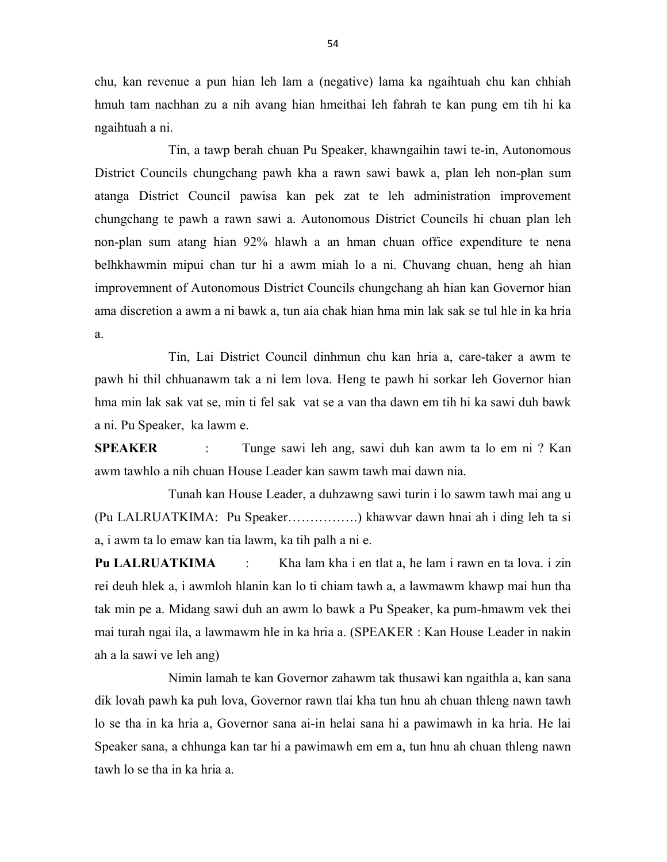chu, kan revenue a pun hian leh lam a (negative) lama ka ngaihtuah chu kan chhiah hmuh tam nachhan zu a nih avang hian hmeithai leh fahrah te kan pung em tih hi ka ngaihtuah a ni.

 Tin, a tawp berah chuan Pu Speaker, khawngaihin tawi te-in, Autonomous District Councils chungchang pawh kha a rawn sawi bawk a, plan leh non-plan sum atanga District Council pawisa kan pek zat te leh administration improvement chungchang te pawh a rawn sawi a. Autonomous District Councils hi chuan plan leh non-plan sum atang hian 92% hlawh a an hman chuan office expenditure te nena belhkhawmin mipui chan tur hi a awm miah lo a ni. Chuvang chuan, heng ah hian improvemnent of Autonomous District Councils chungchang ah hian kan Governor hian ama discretion a awm a ni bawk a, tun aia chak hian hma min lak sak se tul hle in ka hria a.

 Tin, Lai District Council dinhmun chu kan hria a, care-taker a awm te pawh hi thil chhuanawm tak a ni lem lova. Heng te pawh hi sorkar leh Governor hian hma min lak sak vat se, min ti fel sak vat se a van tha dawn em tih hi ka sawi duh bawk a ni. Pu Speaker, ka lawm e.

SPEAKER : Tunge sawi leh ang, sawi duh kan awm ta lo em ni ? Kan awm tawhlo a nih chuan House Leader kan sawm tawh mai dawn nia.

 Tunah kan House Leader, a duhzawng sawi turin i lo sawm tawh mai ang u (Pu LALRUATKIMA: Pu Speaker…………….) khawvar dawn hnai ah i ding leh ta si a, i awm ta lo emaw kan tia lawm, ka tih palh a ni e.

Pu LALRUATKIMA : Kha lam kha i en tlat a, he lam i rawn en ta lova. i zin rei deuh hlek a, i awmloh hlanin kan lo ti chiam tawh a, a lawmawm khawp mai hun tha tak min pe a. Midang sawi duh an awm lo bawk a Pu Speaker, ka pum-hmawm vek thei mai turah ngai ila, a lawmawm hle in ka hria a. (SPEAKER : Kan House Leader in nakin ah a la sawi ve leh ang)

 Nimin lamah te kan Governor zahawm tak thusawi kan ngaithla a, kan sana dik lovah pawh ka puh lova, Governor rawn tlai kha tun hnu ah chuan thleng nawn tawh lo se tha in ka hria a, Governor sana ai-in helai sana hi a pawimawh in ka hria. He lai Speaker sana, a chhunga kan tar hi a pawimawh em em a, tun hnu ah chuan thleng nawn tawh lo se tha in ka hria a.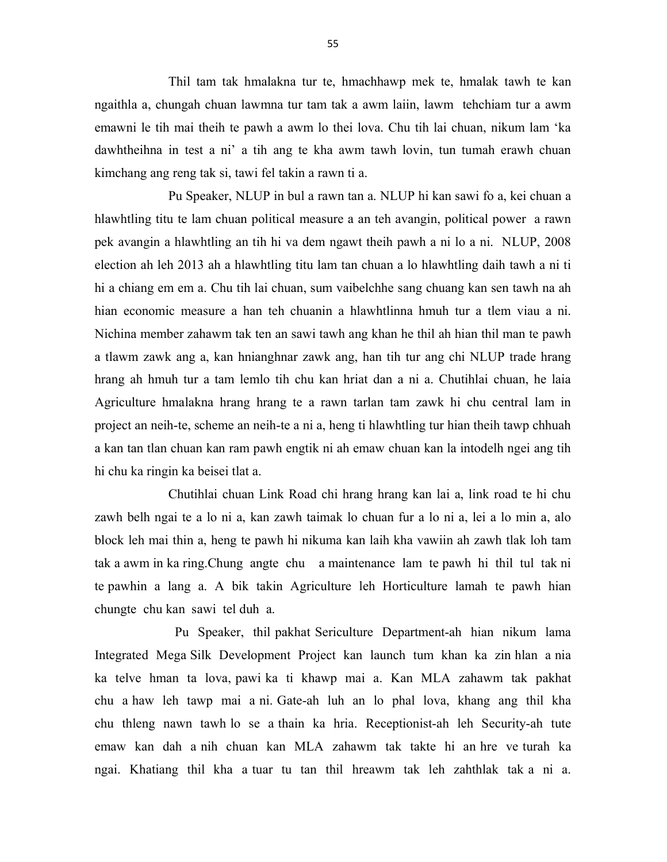Thil tam tak hmalakna tur te, hmachhawp mek te, hmalak tawh te kan ngaithla a, chungah chuan lawmna tur tam tak a awm laiin, lawm tehchiam tur a awm emawni le tih mai theih te pawh a awm lo thei lova. Chu tih lai chuan, nikum lam 'ka dawhtheihna in test a ni' a tih ang te kha awm tawh lovin, tun tumah erawh chuan kimchang ang reng tak si, tawi fel takin a rawn ti a.

 Pu Speaker, NLUP in bul a rawn tan a. NLUP hi kan sawi fo a, kei chuan a hlawhtling titu te lam chuan political measure a an teh avangin, political power a rawn pek avangin a hlawhtling an tih hi va dem ngawt theih pawh a ni lo a ni. NLUP, 2008 election ah leh 2013 ah a hlawhtling titu lam tan chuan a lo hlawhtling daih tawh a ni ti hi a chiang em em a. Chu tih lai chuan, sum vaibelchhe sang chuang kan sen tawh na ah hian economic measure a han teh chuanin a hlawhtlinna hmuh tur a tlem viau a ni. Nichina member zahawm tak ten an sawi tawh ang khan he thil ah hian thil man te pawh a tlawm zawk ang a, kan hnianghnar zawk ang, han tih tur ang chi NLUP trade hrang hrang ah hmuh tur a tam lemlo tih chu kan hriat dan a ni a. Chutihlai chuan, he laia Agriculture hmalakna hrang hrang te a rawn tarlan tam zawk hi chu central lam in project an neih-te, scheme an neih-te a ni a, heng ti hlawhtling tur hian theih tawp chhuah a kan tan tlan chuan kan ram pawh engtik ni ah emaw chuan kan la intodelh ngei ang tih hi chu ka ringin ka beisei tlat a.

 Chutihlai chuan Link Road chi hrang hrang kan lai a, link road te hi chu zawh belh ngai te a lo ni a, kan zawh taimak lo chuan fur a lo ni a, lei a lo min a, alo block leh mai thin a, heng te pawh hi nikuma kan laih kha vawiin ah zawh tlak loh tam tak a awm in ka ring.Chung angte chu a maintenance lam te pawh hi thil tul tak ni te pawhin a lang a. A bik takin Agriculture leh Horticulture lamah te pawh hian chungte chu kan sawi tel duh a.

 Pu Speaker, thil pakhat Sericulture Department-ah hian nikum lama Integrated Mega Silk Development Project kan launch tum khan ka zin hlan a nia ka telve hman ta lova, pawi ka ti khawp mai a. Kan MLA zahawm tak pakhat chu a haw leh tawp mai a ni. Gate-ah luh an lo phal lova, khang ang thil kha chu thleng nawn tawh lo se a thain ka hria. Receptionist-ah leh Security-ah tute emaw kan dah a nih chuan kan MLA zahawm tak takte hi an hre ve turah ka ngai. Khatiang thil kha a tuar tu tan thil hreawm tak leh zahthlak tak a ni a.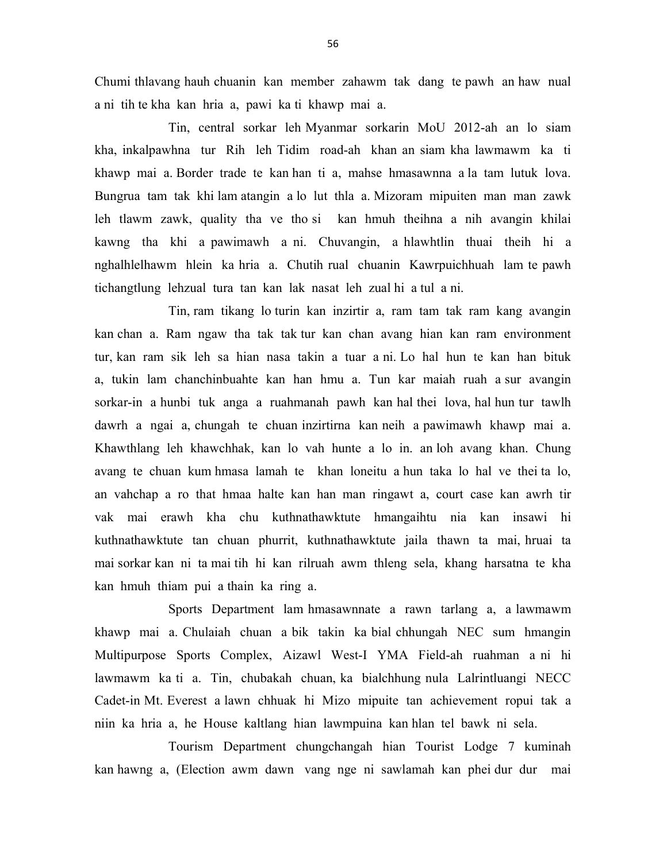Chumi thlavang hauh chuanin kan member zahawm tak dang te pawh an haw nual a ni tih te kha kan hria a, pawi ka ti khawp mai a.

 Tin, central sorkar leh Myanmar sorkarin MoU 2012-ah an lo siam kha, inkalpawhna tur Rih leh Tidim road-ah khan an siam kha lawmawm ka ti khawp mai a. Border trade te kan han ti a, mahse hmasawnna a la tam lutuk lova. Bungrua tam tak khi lam atangin a lo lut thla a. Mizoram mipuiten man man zawk leh tlawm zawk, quality tha ve tho si kan hmuh theihna a nih avangin khilai kawng tha khi a pawimawh a ni. Chuvangin, a hlawhtlin thuai theih hi a nghalhlelhawm hlein ka hria a. Chutih rual chuanin Kawrpuichhuah lam te pawh tichangtlung lehzual tura tan kan lak nasat leh zual hi a tul a ni.

 Tin, ram tikang lo turin kan inzirtir a, ram tam tak ram kang avangin kan chan a. Ram ngaw tha tak tak tur kan chan avang hian kan ram environment tur, kan ram sik leh sa hian nasa takin a tuar a ni. Lo hal hun te kan han bituk a, tukin lam chanchinbuahte kan han hmu a. Tun kar maiah ruah a sur avangin sorkar-in a hunbi tuk anga a ruahmanah pawh kan hal thei lova, hal hun tur tawlh dawrh a ngai a, chungah te chuan inzirtirna kan neih a pawimawh khawp mai a. Khawthlang leh khawchhak, kan lo vah hunte a lo in. an loh avang khan. Chung avang te chuan kum hmasa lamah te khan loneitu a hun taka lo hal ve thei ta lo, an vahchap a ro that hmaa halte kan han man ringawt a, court case kan awrh tir vak mai erawh kha chu kuthnathawktute hmangaihtu nia kan insawi hi kuthnathawktute tan chuan phurrit, kuthnathawktute jaila thawn ta mai, hruai ta mai sorkar kan ni ta mai tih hi kan rilruah awm thleng sela, khang harsatna te kha kan hmuh thiam pui a thain ka ring a.

 Sports Department lam hmasawnnate a rawn tarlang a, a lawmawm khawp mai a. Chulaiah chuan a bik takin ka bial chhungah NEC sum hmangin Multipurpose Sports Complex, Aizawl West-I YMA Field-ah ruahman a ni hi lawmawm ka ti a. Tin, chubakah chuan, ka bialchhung nula Lalrintluangi NECC Cadet-in Mt. Everest a lawn chhuak hi Mizo mipuite tan achievement ropui tak a niin ka hria a, he House kaltlang hian lawmpuina kan hlan tel bawk ni sela.

 Tourism Department chungchangah hian Tourist Lodge 7 kuminah kan hawng a, (Election awm dawn vang nge ni sawlamah kan phei dur dur mai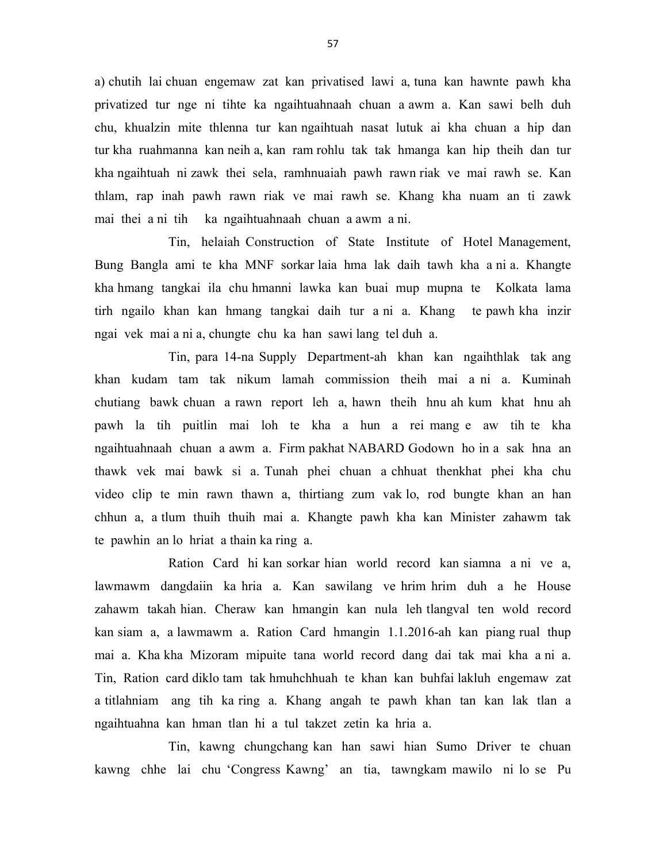a) chutih lai chuan engemaw zat kan privatised lawi a, tuna kan hawnte pawh kha privatized tur nge ni tihte ka ngaihtuahnaah chuan a awm a. Kan sawi belh duh chu, khualzin mite thlenna tur kan ngaihtuah nasat lutuk ai kha chuan a hip dan tur kha ruahmanna kan neih a, kan ram rohlu tak tak hmanga kan hip theih dan tur kha ngaihtuah ni zawk thei sela, ramhnuaiah pawh rawn riak ve mai rawh se. Kan thlam, rap inah pawh rawn riak ve mai rawh se. Khang kha nuam an ti zawk mai thei a ni tih ka ngaihtuahnaah chuan a awm a ni.

 Tin, helaiah Construction of State Institute of Hotel Management, Bung Bangla ami te kha MNF sorkar laia hma lak daih tawh kha a ni a. Khangte kha hmang tangkai ila chu hmanni lawka kan buai mup mupna te Kolkata lama tirh ngailo khan kan hmang tangkai daih tur a ni a. Khang te pawh kha inzir ngai vek mai a ni a, chungte chu ka han sawi lang tel duh a.

 Tin, para 14-na Supply Department-ah khan kan ngaihthlak tak ang khan kudam tam tak nikum lamah commission theih mai a ni a. Kuminah chutiang bawk chuan a rawn report leh a, hawn theih hnu ah kum khat hnu ah pawh la tih puitlin mai loh te kha a hun a rei mang e aw tih te kha ngaihtuahnaah chuan a awm a. Firm pakhat NABARD Godown ho in a sak hna an thawk vek mai bawk si a. Tunah phei chuan a chhuat thenkhat phei kha chu video clip te min rawn thawn a, thirtiang zum vak lo, rod bungte khan an han chhun a, a tlum thuih thuih mai a. Khangte pawh kha kan Minister zahawm tak te pawhin an lo hriat a thain ka ring a.

 Ration Card hi kan sorkar hian world record kan siamna a ni ve a, lawmawm dangdaiin ka hria a. Kan sawilang ve hrim hrim duh a he House zahawm takah hian. Cheraw kan hmangin kan nula leh tlangval ten wold record kan siam a, a lawmawm a. Ration Card hmangin 1.1.2016-ah kan piang rual thup mai a. Kha kha Mizoram mipuite tana world record dang dai tak mai kha a ni a. Tin, Ration card diklo tam tak hmuhchhuah te khan kan buhfai lakluh engemaw zat a titlahniam ang tih ka ring a. Khang angah te pawh khan tan kan lak tlan a ngaihtuahna kan hman tlan hi a tul takzet zetin ka hria a.

 Tin, kawng chungchang kan han sawi hian Sumo Driver te chuan kawng chhe lai chu 'Congress Kawng' an tia, tawngkam mawilo ni lo se Pu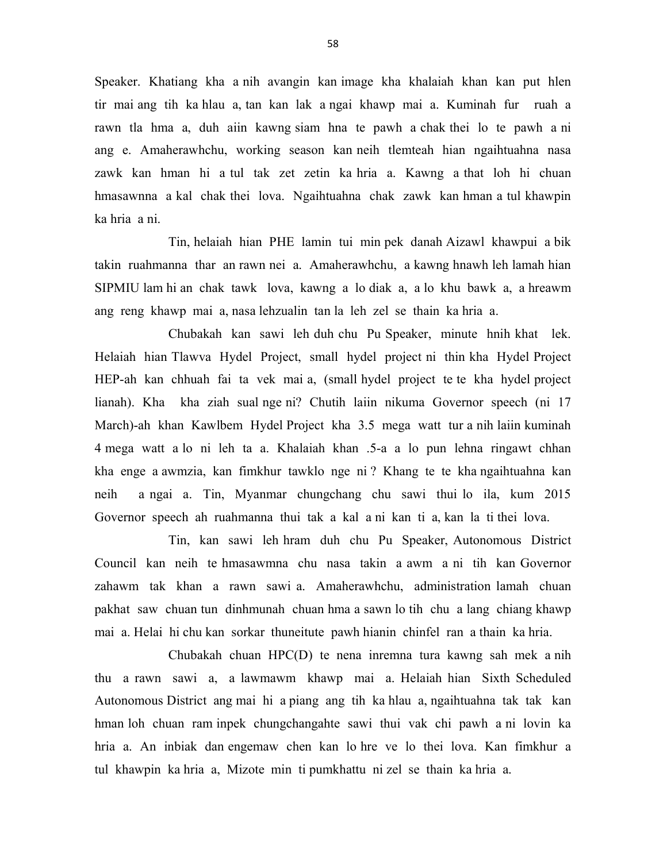Speaker. Khatiang kha a nih avangin kan image kha khalaiah khan kan put hlen tir mai ang tih ka hlau a, tan kan lak a ngai khawp mai a. Kuminah fur ruah a rawn tla hma a, duh aiin kawng siam hna te pawh a chak thei lo te pawh a ni ang e. Amaherawhchu, working season kan neih tlemteah hian ngaihtuahna nasa zawk kan hman hi a tul tak zet zetin ka hria a. Kawng a that loh hi chuan hmasawnna a kal chak thei lova. Ngaihtuahna chak zawk kan hman a tul khawpin ka hria a ni.

 Tin, helaiah hian PHE lamin tui min pek danah Aizawl khawpui a bik takin ruahmanna thar an rawn nei a. Amaherawhchu, a kawng hnawh leh lamah hian SIPMIU lam hi an chak tawk lova, kawng a lo diak a, a lo khu bawk a, a hreawm ang reng khawp mai a, nasa lehzualin tan la leh zel se thain ka hria a.

 Chubakah kan sawi leh duh chu Pu Speaker, minute hnih khat lek. Helaiah hian Tlawva Hydel Project, small hydel project ni thin kha Hydel Project HEP-ah kan chhuah fai ta vek mai a, (small hydel project te te kha hydel project lianah). Kha kha ziah sual nge ni? Chutih laiin nikuma Governor speech (ni 17 March)-ah khan Kawlbem Hydel Project kha 3.5 mega watt tur a nih laiin kuminah 4 mega watt a lo ni leh ta a. Khalaiah khan .5-a a lo pun lehna ringawt chhan kha enge a awmzia, kan fimkhur tawklo nge ni ? Khang te te kha ngaihtuahna kan neih a ngai a. Tin, Myanmar chungchang chu sawi thui lo ila, kum 2015 Governor speech ah ruahmanna thui tak a kal a ni kan ti a, kan la ti thei lova.

 Tin, kan sawi leh hram duh chu Pu Speaker, Autonomous District Council kan neih te hmasawmna chu nasa takin a awm a ni tih kan Governor zahawm tak khan a rawn sawi a. Amaherawhchu, administration lamah chuan pakhat saw chuan tun dinhmunah chuan hma a sawn lo tih chu a lang chiang khawp mai a. Helai hi chu kan sorkar thuneitute pawh hianin chinfel ran a thain ka hria.

 Chubakah chuan HPC(D) te nena inremna tura kawng sah mek a nih thu a rawn sawi a, a lawmawm khawp mai a. Helaiah hian Sixth Scheduled Autonomous District ang mai hi a piang ang tih ka hlau a, ngaihtuahna tak tak kan hman loh chuan ram inpek chungchangahte sawi thui vak chi pawh a ni lovin ka hria a. An inbiak dan engemaw chen kan lo hre ve lo thei lova. Kan fimkhur a tul khawpin ka hria a, Mizote min ti pumkhattu ni zel se thain ka hria a.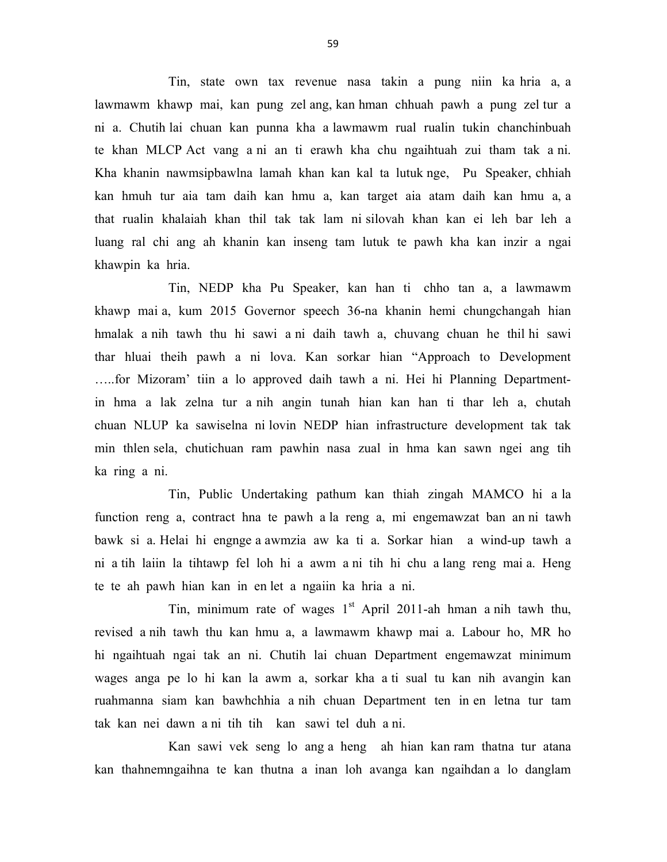Tin, state own tax revenue nasa takin a pung niin ka hria a, a lawmawm khawp mai, kan pung zel ang, kan hman chhuah pawh a pung zel tur a ni a. Chutih lai chuan kan punna kha a lawmawm rual rualin tukin chanchinbuah te khan MLCP Act vang a ni an ti erawh kha chu ngaihtuah zui tham tak a ni. Kha khanin nawmsipbawlna lamah khan kan kal ta lutuk nge, Pu Speaker, chhiah kan hmuh tur aia tam daih kan hmu a, kan target aia atam daih kan hmu a, a that rualin khalaiah khan thil tak tak lam ni silovah khan kan ei leh bar leh a luang ral chi ang ah khanin kan inseng tam lutuk te pawh kha kan inzir a ngai khawpin ka hria.

 Tin, NEDP kha Pu Speaker, kan han ti chho tan a, a lawmawm khawp mai a, kum 2015 Governor speech 36-na khanin hemi chungchangah hian hmalak a nih tawh thu hi sawi a ni daih tawh a, chuvang chuan he thil hi sawi thar hluai theih pawh a ni lova. Kan sorkar hian "Approach to Development …..for Mizoram' tiin a lo approved daih tawh a ni. Hei hi Planning Departmentin hma a lak zelna tur a nih angin tunah hian kan han ti thar leh a, chutah chuan NLUP ka sawiselna ni lovin NEDP hian infrastructure development tak tak min thlen sela, chutichuan ram pawhin nasa zual in hma kan sawn ngei ang tih ka ring a ni.

 Tin, Public Undertaking pathum kan thiah zingah MAMCO hi a la function reng a, contract hna te pawh a la reng a, mi engemawzat ban an ni tawh bawk si a. Helai hi engnge a awmzia aw ka ti a. Sorkar hian a wind-up tawh a ni a tih laiin la tihtawp fel loh hi a awm a ni tih hi chu a lang reng mai a. Heng te te ah pawh hian kan in en let a ngaiin ka hria a ni.

Tin, minimum rate of wages  $1<sup>st</sup>$  April 2011-ah hman a nih tawh thu, revised a nih tawh thu kan hmu a, a lawmawm khawp mai a. Labour ho, MR ho hi ngaihtuah ngai tak an ni. Chutih lai chuan Department engemawzat minimum wages anga pe lo hi kan la awm a, sorkar kha a ti sual tu kan nih avangin kan ruahmanna siam kan bawhchhia a nih chuan Department ten in en letna tur tam tak kan nei dawn a ni tih tih kan sawi tel duh a ni.

 Kan sawi vek seng lo ang a heng ah hian kan ram thatna tur atana kan thahnemngaihna te kan thutna a inan loh avanga kan ngaihdan a lo danglam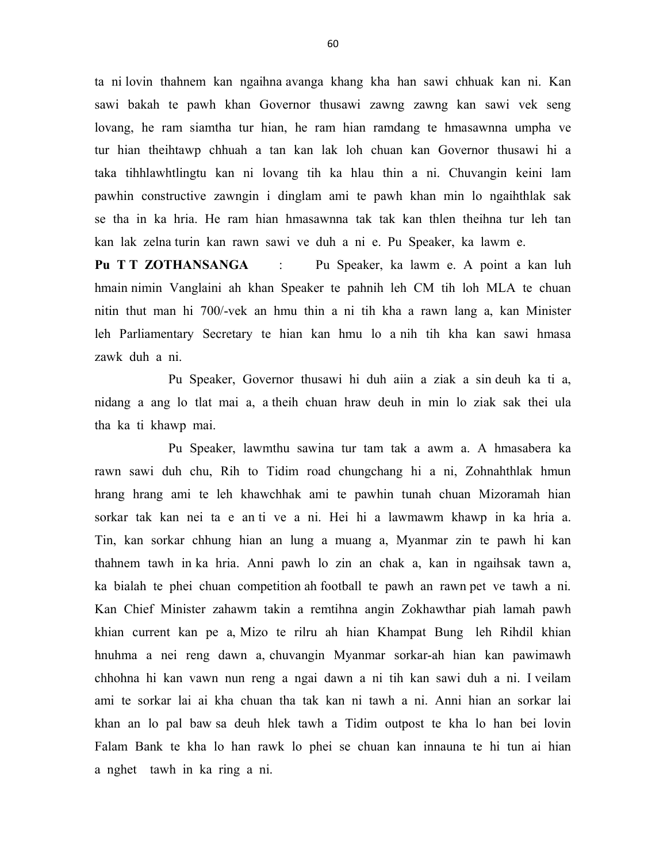ta ni lovin thahnem kan ngaihna avanga khang kha han sawi chhuak kan ni. Kan sawi bakah te pawh khan Governor thusawi zawng zawng kan sawi vek seng lovang, he ram siamtha tur hian, he ram hian ramdang te hmasawnna umpha ve tur hian theihtawp chhuah a tan kan lak loh chuan kan Governor thusawi hi a taka tihhlawhtlingtu kan ni lovang tih ka hlau thin a ni. Chuvangin keini lam pawhin constructive zawngin i dinglam ami te pawh khan min lo ngaihthlak sak se tha in ka hria. He ram hian hmasawnna tak tak kan thlen theihna tur leh tan kan lak zelna turin kan rawn sawi ve duh a ni e. Pu Speaker, ka lawm e.

Pu T T ZOTHANSANGA : Pu Speaker, ka lawm e. A point a kan luh hmain nimin Vanglaini ah khan Speaker te pahnih leh CM tih loh MLA te chuan nitin thut man hi 700/-vek an hmu thin a ni tih kha a rawn lang a, kan Minister leh Parliamentary Secretary te hian kan hmu lo a nih tih kha kan sawi hmasa zawk duh a ni.

 Pu Speaker, Governor thusawi hi duh aiin a ziak a sin deuh ka ti a, nidang a ang lo tlat mai a, a theih chuan hraw deuh in min lo ziak sak thei ula tha ka ti khawp mai.

 Pu Speaker, lawmthu sawina tur tam tak a awm a. A hmasabera ka rawn sawi duh chu, Rih to Tidim road chungchang hi a ni, Zohnahthlak hmun hrang hrang ami te leh khawchhak ami te pawhin tunah chuan Mizoramah hian sorkar tak kan nei ta e an ti ve a ni. Hei hi a lawmawm khawp in ka hria a. Tin, kan sorkar chhung hian an lung a muang a, Myanmar zin te pawh hi kan thahnem tawh in ka hria. Anni pawh lo zin an chak a, kan in ngaihsak tawn a, ka bialah te phei chuan competition ah football te pawh an rawn pet ve tawh a ni. Kan Chief Minister zahawm takin a remtihna angin Zokhawthar piah lamah pawh khian current kan pe a, Mizo te rilru ah hian Khampat Bung leh Rihdil khian hnuhma a nei reng dawn a, chuvangin Myanmar sorkar-ah hian kan pawimawh chhohna hi kan vawn nun reng a ngai dawn a ni tih kan sawi duh a ni. I veilam ami te sorkar lai ai kha chuan tha tak kan ni tawh a ni. Anni hian an sorkar lai khan an lo pal baw sa deuh hlek tawh a Tidim outpost te kha lo han bei lovin Falam Bank te kha lo han rawk lo phei se chuan kan innauna te hi tun ai hian a nghet tawh in ka ring a ni.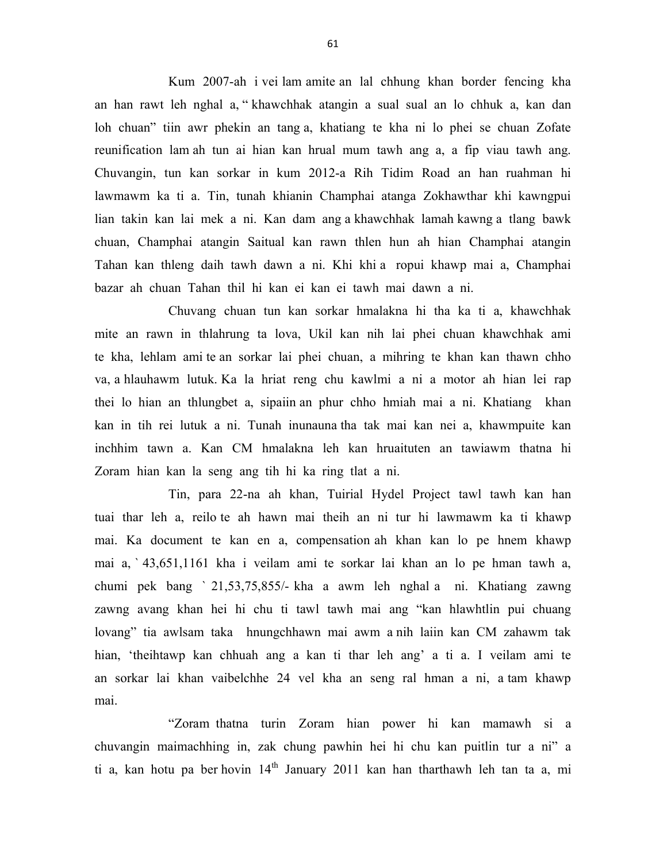Kum 2007-ah i vei lam amite an lal chhung khan border fencing kha an han rawt leh nghal a, " khawchhak atangin a sual sual an lo chhuk a, kan dan loh chuan" tiin awr phekin an tang a, khatiang te kha ni lo phei se chuan Zofate reunification lam ah tun ai hian kan hrual mum tawh ang a, a fip viau tawh ang. Chuvangin, tun kan sorkar in kum 2012-a Rih Tidim Road an han ruahman hi lawmawm ka ti a. Tin, tunah khianin Champhai atanga Zokhawthar khi kawngpui lian takin kan lai mek a ni. Kan dam ang a khawchhak lamah kawng a tlang bawk chuan, Champhai atangin Saitual kan rawn thlen hun ah hian Champhai atangin Tahan kan thleng daih tawh dawn a ni. Khi khi a ropui khawp mai a, Champhai bazar ah chuan Tahan thil hi kan ei kan ei tawh mai dawn a ni.

 Chuvang chuan tun kan sorkar hmalakna hi tha ka ti a, khawchhak mite an rawn in thlahrung ta lova, Ukil kan nih lai phei chuan khawchhak ami te kha, lehlam ami te an sorkar lai phei chuan, a mihring te khan kan thawn chho va, a hlauhawm lutuk. Ka la hriat reng chu kawlmi a ni a motor ah hian lei rap thei lo hian an thlungbet a, sipaiin an phur chho hmiah mai a ni. Khatiang khan kan in tih rei lutuk a ni. Tunah inunauna tha tak mai kan nei a, khawmpuite kan inchhim tawn a. Kan CM hmalakna leh kan hruaituten an tawiawm thatna hi Zoram hian kan la seng ang tih hi ka ring tlat a ni.

 Tin, para 22-na ah khan, Tuirial Hydel Project tawl tawh kan han tuai thar leh a, reilo te ah hawn mai theih an ni tur hi lawmawm ka ti khawp mai. Ka document te kan en a, compensation ah khan kan lo pe hnem khawp mai a, ` 43,651,1161 kha i veilam ami te sorkar lai khan an lo pe hman tawh a, chumi pek bang ` 21,53,75,855/- kha a awm leh nghal a ni. Khatiang zawng zawng avang khan hei hi chu ti tawl tawh mai ang "kan hlawhtlin pui chuang lovang" tia awlsam taka hnungchhawn mai awm a nih laiin kan CM zahawm tak hian, 'theihtawp kan chhuah ang a kan ti thar leh ang' a ti a. I veilam ami te an sorkar lai khan vaibelchhe 24 vel kha an seng ral hman a ni, a tam khawp mai.

 "Zoram thatna turin Zoram hian power hi kan mamawh si a chuvangin maimachhing in, zak chung pawhin hei hi chu kan puitlin tur a ni" a ti a, kan hotu pa ber hovin 14<sup>th</sup> January 2011 kan han tharthawh leh tan ta a, mi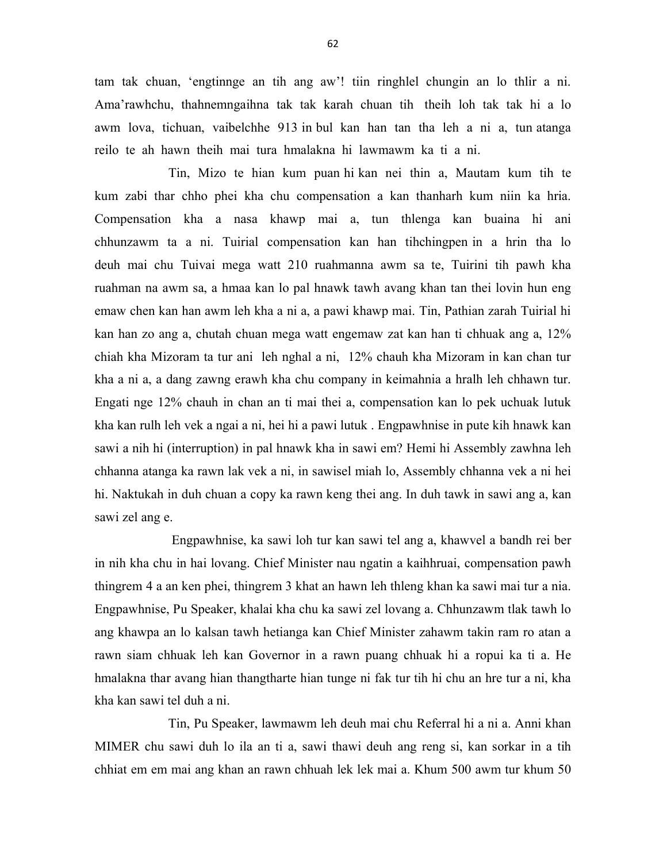tam tak chuan, 'engtinnge an tih ang aw'! tiin ringhlel chungin an lo thlir a ni. Ama'rawhchu, thahnemngaihna tak tak karah chuan tih theih loh tak tak hi a lo awm lova, tichuan, vaibelchhe 913 in bul kan han tan tha leh a ni a, tun atanga reilo te ah hawn theih mai tura hmalakna hi lawmawm ka ti a ni.

 Tin, Mizo te hian kum puan hi kan nei thin a, Mautam kum tih te kum zabi thar chho phei kha chu compensation a kan thanharh kum niin ka hria. Compensation kha a nasa khawp mai a, tun thlenga kan buaina hi ani chhunzawm ta a ni. Tuirial compensation kan han tihchingpen in a hrin tha lo deuh mai chu Tuivai mega watt 210 ruahmanna awm sa te, Tuirini tih pawh kha ruahman na awm sa, a hmaa kan lo pal hnawk tawh avang khan tan thei lovin hun eng emaw chen kan han awm leh kha a ni a, a pawi khawp mai. Tin, Pathian zarah Tuirial hi kan han zo ang a, chutah chuan mega watt engemaw zat kan han ti chhuak ang a, 12% chiah kha Mizoram ta tur ani leh nghal a ni, 12% chauh kha Mizoram in kan chan tur kha a ni a, a dang zawng erawh kha chu company in keimahnia a hralh leh chhawn tur. Engati nge 12% chauh in chan an ti mai thei a, compensation kan lo pek uchuak lutuk kha kan rulh leh vek a ngai a ni, hei hi a pawi lutuk . Engpawhnise in pute kih hnawk kan sawi a nih hi (interruption) in pal hnawk kha in sawi em? Hemi hi Assembly zawhna leh chhanna atanga ka rawn lak vek a ni, in sawisel miah lo, Assembly chhanna vek a ni hei hi. Naktukah in duh chuan a copy ka rawn keng thei ang. In duh tawk in sawi ang a, kan sawi zel ang e.

 Engpawhnise, ka sawi loh tur kan sawi tel ang a, khawvel a bandh rei ber in nih kha chu in hai lovang. Chief Minister nau ngatin a kaihhruai, compensation pawh thingrem 4 a an ken phei, thingrem 3 khat an hawn leh thleng khan ka sawi mai tur a nia. Engpawhnise, Pu Speaker, khalai kha chu ka sawi zel lovang a. Chhunzawm tlak tawh lo ang khawpa an lo kalsan tawh hetianga kan Chief Minister zahawm takin ram ro atan a rawn siam chhuak leh kan Governor in a rawn puang chhuak hi a ropui ka ti a. He hmalakna thar avang hian thangtharte hian tunge ni fak tur tih hi chu an hre tur a ni, kha kha kan sawi tel duh a ni.

 Tin, Pu Speaker, lawmawm leh deuh mai chu Referral hi a ni a. Anni khan MIMER chu sawi duh lo ila an ti a, sawi thawi deuh ang reng si, kan sorkar in a tih chhiat em em mai ang khan an rawn chhuah lek lek mai a. Khum 500 awm tur khum 50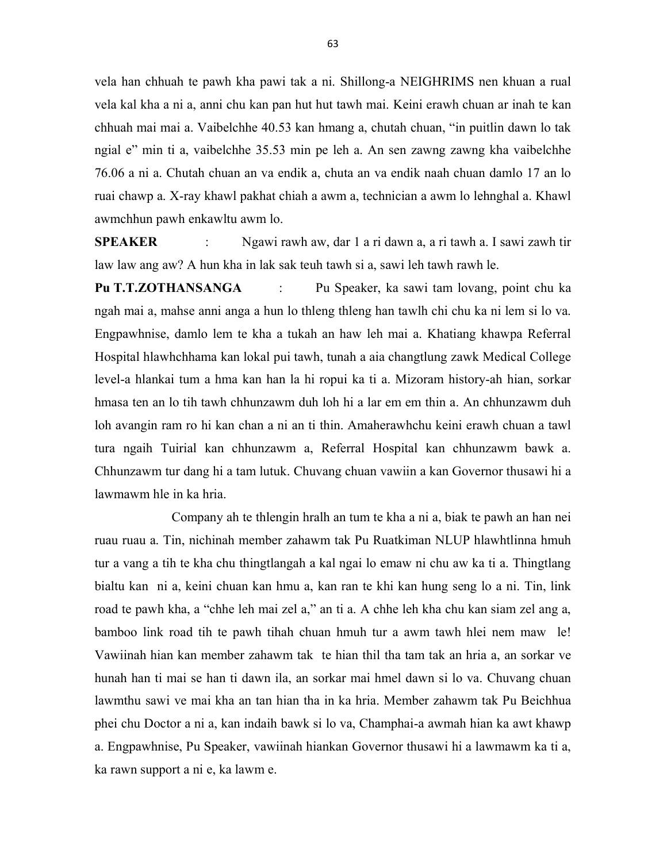vela han chhuah te pawh kha pawi tak a ni. Shillong-a NEIGHRIMS nen khuan a rual vela kal kha a ni a, anni chu kan pan hut hut tawh mai. Keini erawh chuan ar inah te kan chhuah mai mai a. Vaibelchhe 40.53 kan hmang a, chutah chuan, "in puitlin dawn lo tak ngial e" min ti a, vaibelchhe 35.53 min pe leh a. An sen zawng zawng kha vaibelchhe 76.06 a ni a. Chutah chuan an va endik a, chuta an va endik naah chuan damlo 17 an lo ruai chawp a. X-ray khawl pakhat chiah a awm a, technician a awm lo lehnghal a. Khawl awmchhun pawh enkawltu awm lo.

SPEAKER : Ngawi rawh aw, dar 1 a ri dawn a, a ri tawh a. I sawi zawh tir law law ang aw? A hun kha in lak sak teuh tawh si a, sawi leh tawh rawh le.

Pu T.T.ZOTHANSANGA : Pu Speaker, ka sawi tam lovang, point chu ka ngah mai a, mahse anni anga a hun lo thleng thleng han tawlh chi chu ka ni lem si lo va. Engpawhnise, damlo lem te kha a tukah an haw leh mai a. Khatiang khawpa Referral Hospital hlawhchhama kan lokal pui tawh, tunah a aia changtlung zawk Medical College level-a hlankai tum a hma kan han la hi ropui ka ti a. Mizoram history-ah hian, sorkar hmasa ten an lo tih tawh chhunzawm duh loh hi a lar em em thin a. An chhunzawm duh loh avangin ram ro hi kan chan a ni an ti thin. Amaherawhchu keini erawh chuan a tawl tura ngaih Tuirial kan chhunzawm a, Referral Hospital kan chhunzawm bawk a. Chhunzawm tur dang hi a tam lutuk. Chuvang chuan vawiin a kan Governor thusawi hi a lawmawm hle in ka hria.

 Company ah te thlengin hralh an tum te kha a ni a, biak te pawh an han nei ruau ruau a. Tin, nichinah member zahawm tak Pu Ruatkiman NLUP hlawhtlinna hmuh tur a vang a tih te kha chu thingtlangah a kal ngai lo emaw ni chu aw ka ti a. Thingtlang bialtu kan ni a, keini chuan kan hmu a, kan ran te khi kan hung seng lo a ni. Tin, link road te pawh kha, a "chhe leh mai zel a," an ti a. A chhe leh kha chu kan siam zel ang a, bamboo link road tih te pawh tihah chuan hmuh tur a awm tawh hlei nem maw le! Vawiinah hian kan member zahawm tak te hian thil tha tam tak an hria a, an sorkar ve hunah han ti mai se han ti dawn ila, an sorkar mai hmel dawn si lo va. Chuvang chuan lawmthu sawi ve mai kha an tan hian tha in ka hria. Member zahawm tak Pu Beichhua phei chu Doctor a ni a, kan indaih bawk si lo va, Champhai-a awmah hian ka awt khawp a. Engpawhnise, Pu Speaker, vawiinah hiankan Governor thusawi hi a lawmawm ka ti a, ka rawn support a ni e, ka lawm e.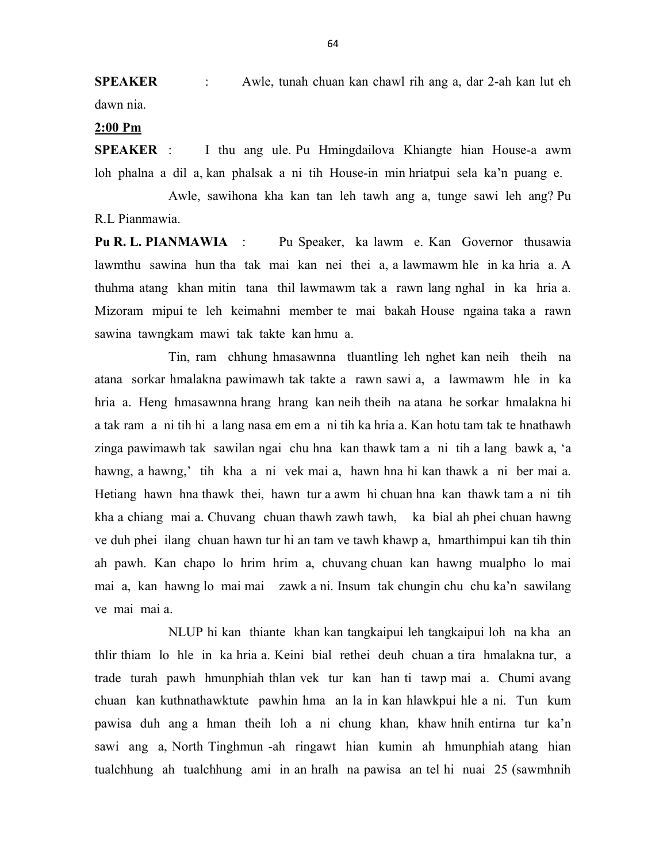SPEAKER : Awle, tunah chuan kan chawl rih ang a, dar 2-ah kan lut eh dawn nia.

## 2:00 Pm

SPEAKER : I thu ang ule. Pu Hmingdailova Khiangte hian House-a awm loh phalna a dil a, kan phalsak a ni tih House-in min hriatpui sela ka'n puang e.

 Awle, sawihona kha kan tan leh tawh ang a, tunge sawi leh ang? Pu R.L Pianmawia.

Pu R. L. PIANMAWIA : Pu Speaker, ka lawm e. Kan Governor thusawia lawmthu sawina hun tha tak mai kan nei thei a, a lawmawm hle in ka hria a. A thuhma atang khan mitin tana thil lawmawm tak a rawn lang nghal in ka hria a. Mizoram mipui te leh keimahni member te mai bakah House ngaina taka a rawn sawina tawngkam mawi tak takte kan hmu a.

 Tin, ram chhung hmasawnna tluantling leh nghet kan neih theih na atana sorkar hmalakna pawimawh tak takte a rawn sawi a, a lawmawm hle in ka hria a. Heng hmasawnna hrang hrang kan neih theih na atana he sorkar hmalakna hi a tak ram a ni tih hi a lang nasa em em a ni tih ka hria a. Kan hotu tam tak te hnathawh zinga pawimawh tak sawilan ngai chu hna kan thawk tam a ni tih a lang bawk a, 'a hawng, a hawng,' tih kha a ni vek mai a, hawn hna hi kan thawk a ni ber mai a. Hetiang hawn hna thawk thei, hawn tur a awm hi chuan hna kan thawk tam a ni tih kha a chiang mai a. Chuvang chuan thawh zawh tawh, ka bial ah phei chuan hawng ve duh phei ilang chuan hawn tur hi an tam ve tawh khawp a, hmarthimpui kan tih thin ah pawh. Kan chapo lo hrim hrim a, chuvang chuan kan hawng mualpho lo mai mai a, kan hawng lo mai mai zawk a ni. Insum tak chungin chu chu ka'n sawilang ve mai mai a.

 NLUP hi kan thiante khan kan tangkaipui leh tangkaipui loh na kha an thlir thiam lo hle in ka hria a. Keini bial rethei deuh chuan a tira hmalakna tur, a trade turah pawh hmunphiah thlan vek tur kan han ti tawp mai a. Chumi avang chuan kan kuthnathawktute pawhin hma an la in kan hlawkpui hle a ni. Tun kum pawisa duh ang a hman theih loh a ni chung khan, khaw hnih entirna tur ka'n sawi ang a, North Tinghmun -ah ringawt hian kumin ah hmunphiah atang hian tualchhung ah tualchhung ami in an hralh na pawisa an tel hi nuai 25 (sawmhnih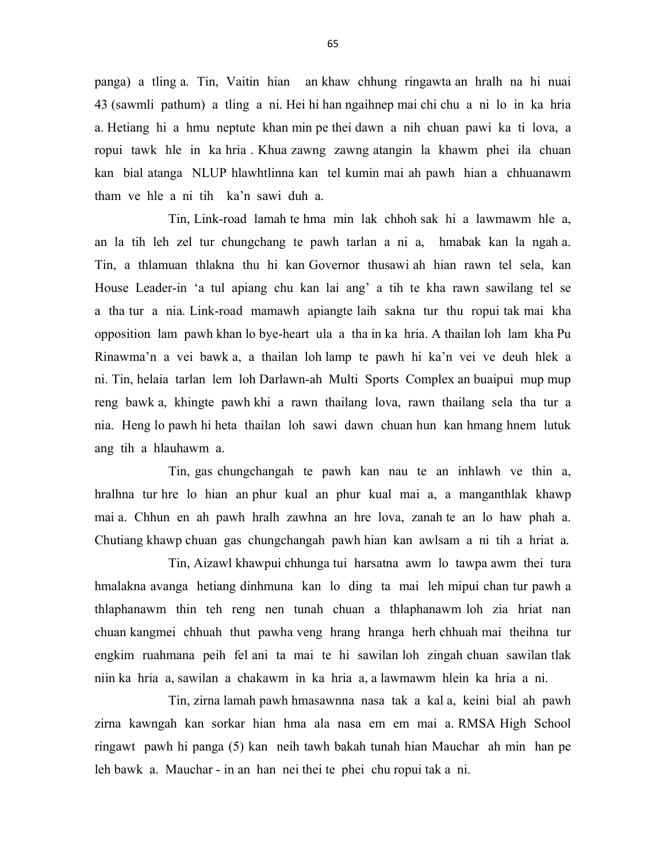panga) a tling a. Tin, Vaitin hian an khaw chhung ringawta an hralh na hi nuai 43 (sawmli pathum) a tling a ni. Hei hi han ngaihnep mai chi chu a ni lo in ka hria a. Hetiang hi a hmu neptute khan min pe thei dawn a nih chuan pawi ka ti lova, a ropui tawk hle in ka hria . Khua zawng zawng atangin la khawm phei ila chuan kan bial atanga NLUP hlawhtlinna kan tel kumin mai ah pawh hian a chhuanawm tham ve hle a ni tih ka'n sawi duh a.

 Tin, Link-road lamah te hma min lak chhoh sak hi a lawmawm hle a, an la tih leh zel tur chungchang te pawh tarlan a ni a, hmabak kan la ngah a. Tin, a thlamuan thlakna thu hi kan Governor thusawi ah hian rawn tel sela, kan House Leader-in 'a tul apiang chu kan lai ang' a tih te kha rawn sawilang tel se a tha tur a nia. Link-road mamawh apiangte laih sakna tur thu ropui tak mai kha opposition lam pawh khan lo bye-heart ula a tha in ka hria. A thailan loh lam kha Pu Rinawma'n a vei bawk a, a thailan loh lamp te pawh hi ka'n vei ve deuh hlek a ni. Tin, helaia tarlan lem loh Darlawn-ah Multi Sports Complex an buaipui mup mup reng bawk a, khingte pawh khi a rawn thailang lova, rawn thailang sela tha tur a nia. Heng lo pawh hi heta thailan loh sawi dawn chuan hun kan hmang hnem lutuk ang tih a hlauhawm a.

 Tin, gas chungchangah te pawh kan nau te an inhlawh ve thin a, hralhna tur hre lo hian an phur kual an phur kual mai a, a manganthlak khawp mai a. Chhun en ah pawh hralh zawhna an hre lova, zanah te an lo haw phah a. Chutiang khawp chuan gas chungchangah pawh hian kan awlsam a ni tih a hriat a.

 Tin, Aizawl khawpui chhunga tui harsatna awm lo tawpa awm thei tura hmalakna avanga hetiang dinhmuna kan lo ding ta mai leh mipui chan tur pawh a thlaphanawm thin teh reng nen tunah chuan a thlaphanawm loh zia hriat nan chuan kangmei chhuah thut pawha veng hrang hranga herh chhuah mai theihna tur engkim ruahmana peih fel ani ta mai te hi sawilan loh zingah chuan sawilan tlak niin ka hria a, sawilan a chakawm in ka hria a, a lawmawm hlein ka hria a ni.

 Tin, zirna lamah pawh hmasawnna nasa tak a kal a, keini bial ah pawh zirna kawngah kan sorkar hian hma ala nasa em em mai a. RMSA High School ringawt pawh hi panga (5) kan neih tawh bakah tunah hian Mauchar ah min han pe leh bawk a. Mauchar - in an han nei thei te phei chu ropui tak a ni.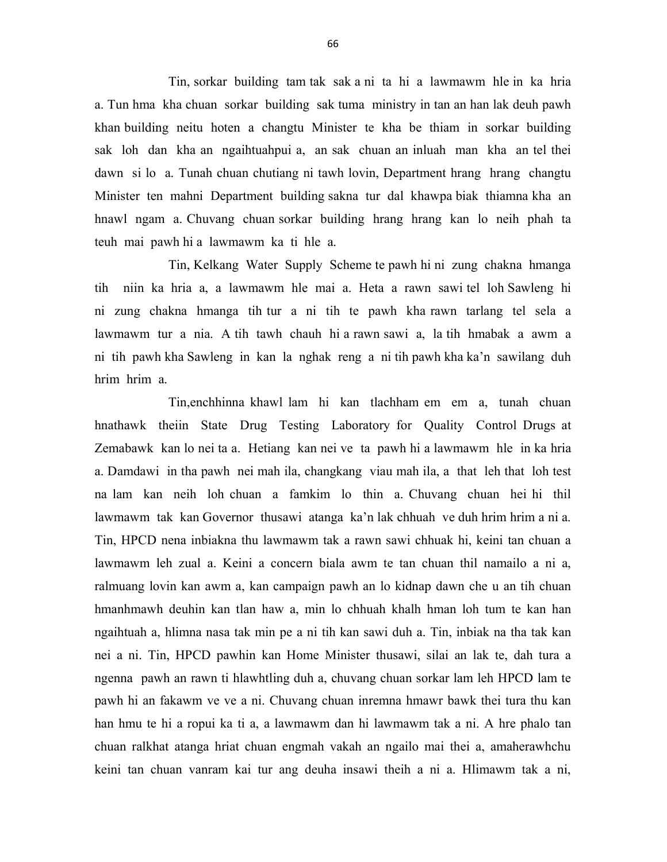Tin, sorkar building tam tak sak a ni ta hi a lawmawm hle in ka hria a. Tun hma kha chuan sorkar building sak tuma ministry in tan an han lak deuh pawh khan building neitu hoten a changtu Minister te kha be thiam in sorkar building sak loh dan kha an ngaihtuahpui a, an sak chuan an inluah man kha an tel thei dawn si lo a. Tunah chuan chutiang ni tawh lovin, Department hrang hrang changtu Minister ten mahni Department building sakna tur dal khawpa biak thiamna kha an hnawl ngam a. Chuvang chuan sorkar building hrang hrang kan lo neih phah ta teuh mai pawh hi a lawmawm ka ti hle a.

 Tin, Kelkang Water Supply Scheme te pawh hi ni zung chakna hmanga tih niin ka hria a, a lawmawm hle mai a. Heta a rawn sawi tel loh Sawleng hi ni zung chakna hmanga tih tur a ni tih te pawh kha rawn tarlang tel sela a lawmawm tur a nia. A tih tawh chauh hi a rawn sawi a, la tih hmabak a awm a ni tih pawh kha Sawleng in kan la nghak reng a ni tih pawh kha ka'n sawilang duh hrim hrim a.

 Tin,enchhinna khawl lam hi kan tlachham em em a, tunah chuan hnathawk theiin State Drug Testing Laboratory for Quality Control Drugs at Zemabawk kan lo nei ta a. Hetiang kan nei ve ta pawh hi a lawmawm hle in ka hria a. Damdawi in tha pawh nei mah ila, changkang viau mah ila, a that leh that loh test na lam kan neih loh chuan a famkim lo thin a. Chuvang chuan hei hi thil lawmawm tak kan Governor thusawi atanga ka'n lak chhuah ve duh hrim hrim a ni a. Tin, HPCD nena inbiakna thu lawmawm tak a rawn sawi chhuak hi, keini tan chuan a lawmawm leh zual a. Keini a concern biala awm te tan chuan thil namailo a ni a, ralmuang lovin kan awm a, kan campaign pawh an lo kidnap dawn che u an tih chuan hmanhmawh deuhin kan tlan haw a, min lo chhuah khalh hman loh tum te kan han ngaihtuah a, hlimna nasa tak min pe a ni tih kan sawi duh a. Tin, inbiak na tha tak kan nei a ni. Tin, HPCD pawhin kan Home Minister thusawi, silai an lak te, dah tura a ngenna pawh an rawn ti hlawhtling duh a, chuvang chuan sorkar lam leh HPCD lam te pawh hi an fakawm ve ve a ni. Chuvang chuan inremna hmawr bawk thei tura thu kan han hmu te hi a ropui ka ti a, a lawmawm dan hi lawmawm tak a ni. A hre phalo tan chuan ralkhat atanga hriat chuan engmah vakah an ngailo mai thei a, amaherawhchu keini tan chuan vanram kai tur ang deuha insawi theih a ni a. Hlimawm tak a ni,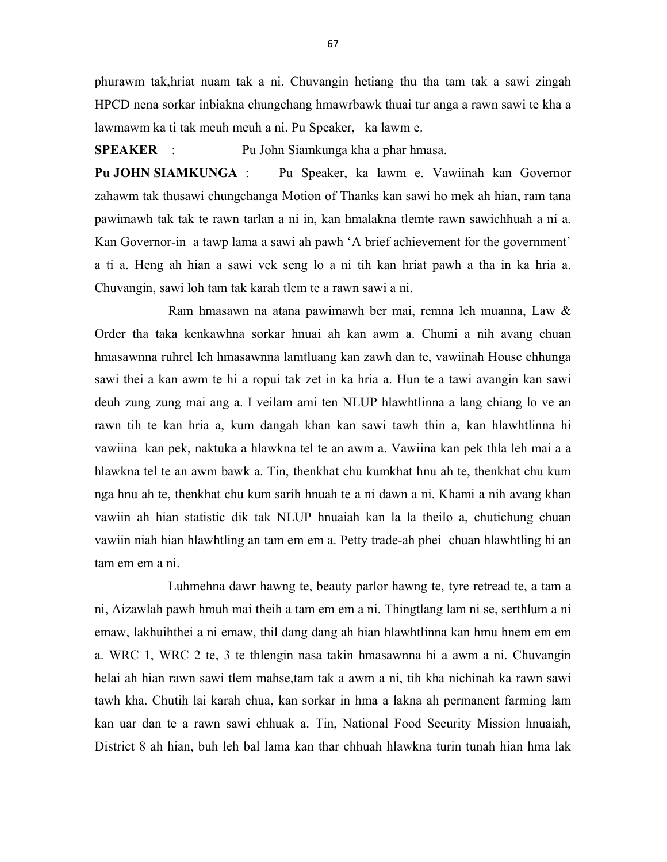phurawm tak,hriat nuam tak a ni. Chuvangin hetiang thu tha tam tak a sawi zingah HPCD nena sorkar inbiakna chungchang hmawrbawk thuai tur anga a rawn sawi te kha a lawmawm ka ti tak meuh meuh a ni. Pu Speaker, ka lawm e.

SPEAKER : Pu John Siamkunga kha a phar hmasa.

Pu JOHN SIAMKUNGA : Pu Speaker, ka lawm e. Vawiinah kan Governor zahawm tak thusawi chungchanga Motion of Thanks kan sawi ho mek ah hian, ram tana pawimawh tak tak te rawn tarlan a ni in, kan hmalakna tlemte rawn sawichhuah a ni a. Kan Governor-in a tawp lama a sawi ah pawh 'A brief achievement for the government' a ti a. Heng ah hian a sawi vek seng lo a ni tih kan hriat pawh a tha in ka hria a. Chuvangin, sawi loh tam tak karah tlem te a rawn sawi a ni.

 Ram hmasawn na atana pawimawh ber mai, remna leh muanna, Law & Order tha taka kenkawhna sorkar hnuai ah kan awm a. Chumi a nih avang chuan hmasawnna ruhrel leh hmasawnna lamtluang kan zawh dan te, vawiinah House chhunga sawi thei a kan awm te hi a ropui tak zet in ka hria a. Hun te a tawi avangin kan sawi deuh zung zung mai ang a. I veilam ami ten NLUP hlawhtlinna a lang chiang lo ve an rawn tih te kan hria a, kum dangah khan kan sawi tawh thin a, kan hlawhtlinna hi vawiina kan pek, naktuka a hlawkna tel te an awm a. Vawiina kan pek thla leh mai a a hlawkna tel te an awm bawk a. Tin, thenkhat chu kumkhat hnu ah te, thenkhat chu kum nga hnu ah te, thenkhat chu kum sarih hnuah te a ni dawn a ni. Khami a nih avang khan vawiin ah hian statistic dik tak NLUP hnuaiah kan la la theilo a, chutichung chuan vawiin niah hian hlawhtling an tam em em a. Petty trade-ah phei chuan hlawhtling hi an tam em em a ni.

 Luhmehna dawr hawng te, beauty parlor hawng te, tyre retread te, a tam a ni, Aizawlah pawh hmuh mai theih a tam em em a ni. Thingtlang lam ni se, serthlum a ni emaw, lakhuihthei a ni emaw, thil dang dang ah hian hlawhtlinna kan hmu hnem em em a. WRC 1, WRC 2 te, 3 te thlengin nasa takin hmasawnna hi a awm a ni. Chuvangin helai ah hian rawn sawi tlem mahse,tam tak a awm a ni, tih kha nichinah ka rawn sawi tawh kha. Chutih lai karah chua, kan sorkar in hma a lakna ah permanent farming lam kan uar dan te a rawn sawi chhuak a. Tin, National Food Security Mission hnuaiah, District 8 ah hian, buh leh bal lama kan thar chhuah hlawkna turin tunah hian hma lak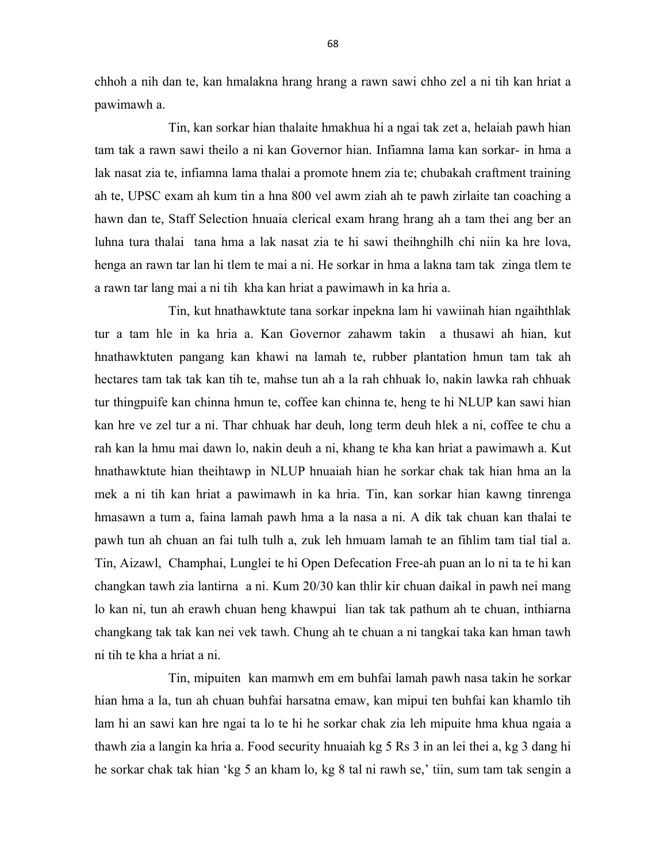chhoh a nih dan te, kan hmalakna hrang hrang a rawn sawi chho zel a ni tih kan hriat a pawimawh a.

 Tin, kan sorkar hian thalaite hmakhua hi a ngai tak zet a, helaiah pawh hian tam tak a rawn sawi theilo a ni kan Governor hian. Infiamna lama kan sorkar- in hma a lak nasat zia te, infiamna lama thalai a promote hnem zia te; chubakah craftment training ah te, UPSC exam ah kum tin a hna 800 vel awm ziah ah te pawh zirlaite tan coaching a hawn dan te, Staff Selection hnuaia clerical exam hrang hrang ah a tam thei ang ber an luhna tura thalai tana hma a lak nasat zia te hi sawi theihnghilh chi niin ka hre lova, henga an rawn tar lan hi tlem te mai a ni. He sorkar in hma a lakna tam tak zinga tlem te a rawn tar lang mai a ni tih kha kan hriat a pawimawh in ka hria a.

 Tin, kut hnathawktute tana sorkar inpekna lam hi vawiinah hian ngaihthlak tur a tam hle in ka hria a. Kan Governor zahawm takin a thusawi ah hian, kut hnathawktuten pangang kan khawi na lamah te, rubber plantation hmun tam tak ah hectares tam tak tak kan tih te, mahse tun ah a la rah chhuak lo, nakin lawka rah chhuak tur thingpuife kan chinna hmun te, coffee kan chinna te, heng te hi NLUP kan sawi hian kan hre ve zel tur a ni. Thar chhuak har deuh, long term deuh hlek a ni, coffee te chu a rah kan la hmu mai dawn lo, nakin deuh a ni, khang te kha kan hriat a pawimawh a. Kut hnathawktute hian theihtawp in NLUP hnuaiah hian he sorkar chak tak hian hma an la mek a ni tih kan hriat a pawimawh in ka hria. Tin, kan sorkar hian kawng tinrenga hmasawn a tum a, faina lamah pawh hma a la nasa a ni. A dik tak chuan kan thalai te pawh tun ah chuan an fai tulh tulh a, zuk leh hmuam lamah te an fihlim tam tial tial a. Tin, Aizawl, Champhai, Lunglei te hi Open Defecation Free-ah puan an lo ni ta te hi kan changkan tawh zia lantirna a ni. Kum 20/30 kan thlir kir chuan daikal in pawh nei mang lo kan ni, tun ah erawh chuan heng khawpui lian tak tak pathum ah te chuan, inthiarna changkang tak tak kan nei vek tawh. Chung ah te chuan a ni tangkai taka kan hman tawh ni tih te kha a hriat a ni.

 Tin, mipuiten kan mamwh em em buhfai lamah pawh nasa takin he sorkar hian hma a la, tun ah chuan buhfai harsatna emaw, kan mipui ten buhfai kan khamlo tih lam hi an sawi kan hre ngai ta lo te hi he sorkar chak zia leh mipuite hma khua ngaia a thawh zia a langin ka hria a. Food security hnuaiah kg 5 Rs 3 in an lei thei a, kg 3 dang hi he sorkar chak tak hian 'kg 5 an kham lo, kg 8 tal ni rawh se,' tiin, sum tam tak sengin a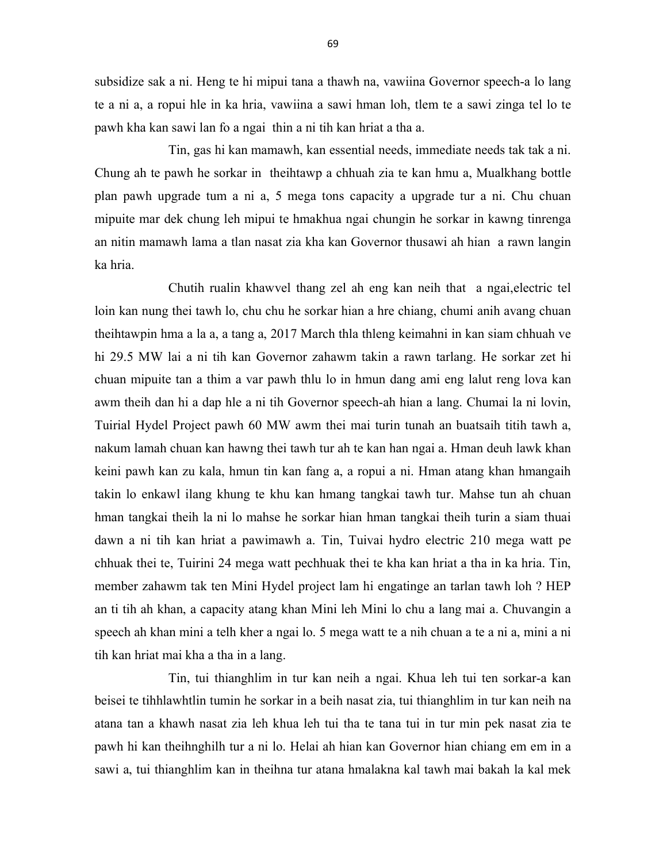subsidize sak a ni. Heng te hi mipui tana a thawh na, vawiina Governor speech-a lo lang te a ni a, a ropui hle in ka hria, vawiina a sawi hman loh, tlem te a sawi zinga tel lo te pawh kha kan sawi lan fo a ngai thin a ni tih kan hriat a tha a.

 Tin, gas hi kan mamawh, kan essential needs, immediate needs tak tak a ni. Chung ah te pawh he sorkar in theihtawp a chhuah zia te kan hmu a, Mualkhang bottle plan pawh upgrade tum a ni a, 5 mega tons capacity a upgrade tur a ni. Chu chuan mipuite mar dek chung leh mipui te hmakhua ngai chungin he sorkar in kawng tinrenga an nitin mamawh lama a tlan nasat zia kha kan Governor thusawi ah hian a rawn langin ka hria.

 Chutih rualin khawvel thang zel ah eng kan neih that a ngai,electric tel loin kan nung thei tawh lo, chu chu he sorkar hian a hre chiang, chumi anih avang chuan theihtawpin hma a la a, a tang a, 2017 March thla thleng keimahni in kan siam chhuah ve hi 29.5 MW lai a ni tih kan Governor zahawm takin a rawn tarlang. He sorkar zet hi chuan mipuite tan a thim a var pawh thlu lo in hmun dang ami eng lalut reng lova kan awm theih dan hi a dap hle a ni tih Governor speech-ah hian a lang. Chumai la ni lovin, Tuirial Hydel Project pawh 60 MW awm thei mai turin tunah an buatsaih titih tawh a, nakum lamah chuan kan hawng thei tawh tur ah te kan han ngai a. Hman deuh lawk khan keini pawh kan zu kala, hmun tin kan fang a, a ropui a ni. Hman atang khan hmangaih takin lo enkawl ilang khung te khu kan hmang tangkai tawh tur. Mahse tun ah chuan hman tangkai theih la ni lo mahse he sorkar hian hman tangkai theih turin a siam thuai dawn a ni tih kan hriat a pawimawh a. Tin, Tuivai hydro electric 210 mega watt pe chhuak thei te, Tuirini 24 mega watt pechhuak thei te kha kan hriat a tha in ka hria. Tin, member zahawm tak ten Mini Hydel project lam hi engatinge an tarlan tawh loh ? HEP an ti tih ah khan, a capacity atang khan Mini leh Mini lo chu a lang mai a. Chuvangin a speech ah khan mini a telh kher a ngai lo. 5 mega watt te a nih chuan a te a ni a, mini a ni tih kan hriat mai kha a tha in a lang.

 Tin, tui thianghlim in tur kan neih a ngai. Khua leh tui ten sorkar-a kan beisei te tihhlawhtlin tumin he sorkar in a beih nasat zia, tui thianghlim in tur kan neih na atana tan a khawh nasat zia leh khua leh tui tha te tana tui in tur min pek nasat zia te pawh hi kan theihnghilh tur a ni lo. Helai ah hian kan Governor hian chiang em em in a sawi a, tui thianghlim kan in theihna tur atana hmalakna kal tawh mai bakah la kal mek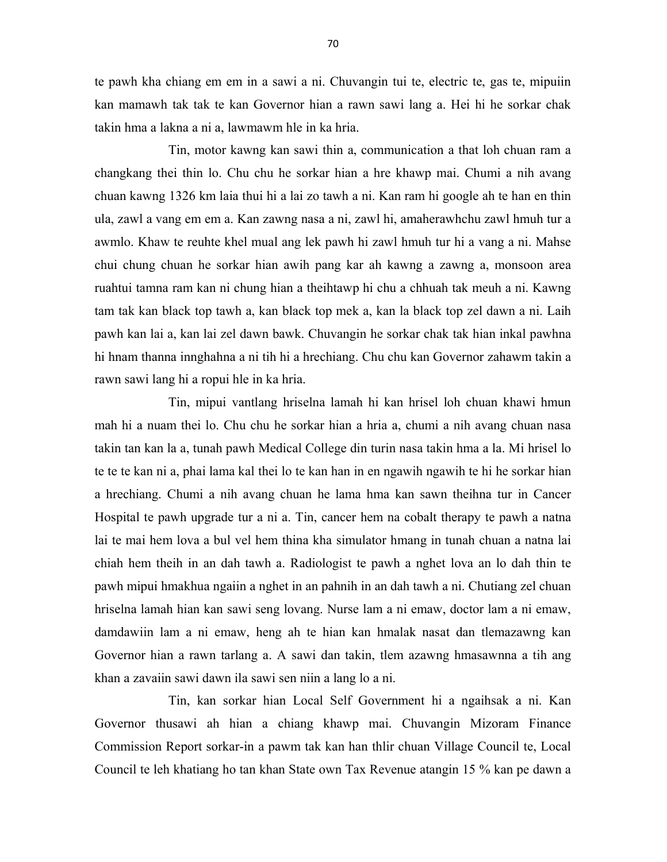te pawh kha chiang em em in a sawi a ni. Chuvangin tui te, electric te, gas te, mipuiin kan mamawh tak tak te kan Governor hian a rawn sawi lang a. Hei hi he sorkar chak takin hma a lakna a ni a, lawmawm hle in ka hria.

 Tin, motor kawng kan sawi thin a, communication a that loh chuan ram a changkang thei thin lo. Chu chu he sorkar hian a hre khawp mai. Chumi a nih avang chuan kawng 1326 km laia thui hi a lai zo tawh a ni. Kan ram hi google ah te han en thin ula, zawl a vang em em a. Kan zawng nasa a ni, zawl hi, amaherawhchu zawl hmuh tur a awmlo. Khaw te reuhte khel mual ang lek pawh hi zawl hmuh tur hi a vang a ni. Mahse chui chung chuan he sorkar hian awih pang kar ah kawng a zawng a, monsoon area ruahtui tamna ram kan ni chung hian a theihtawp hi chu a chhuah tak meuh a ni. Kawng tam tak kan black top tawh a, kan black top mek a, kan la black top zel dawn a ni. Laih pawh kan lai a, kan lai zel dawn bawk. Chuvangin he sorkar chak tak hian inkal pawhna hi hnam thanna innghahna a ni tih hi a hrechiang. Chu chu kan Governor zahawm takin a rawn sawi lang hi a ropui hle in ka hria.

 Tin, mipui vantlang hriselna lamah hi kan hrisel loh chuan khawi hmun mah hi a nuam thei lo. Chu chu he sorkar hian a hria a, chumi a nih avang chuan nasa takin tan kan la a, tunah pawh Medical College din turin nasa takin hma a la. Mi hrisel lo te te te kan ni a, phai lama kal thei lo te kan han in en ngawih ngawih te hi he sorkar hian a hrechiang. Chumi a nih avang chuan he lama hma kan sawn theihna tur in Cancer Hospital te pawh upgrade tur a ni a. Tin, cancer hem na cobalt therapy te pawh a natna lai te mai hem lova a bul vel hem thina kha simulator hmang in tunah chuan a natna lai chiah hem theih in an dah tawh a. Radiologist te pawh a nghet lova an lo dah thin te pawh mipui hmakhua ngaiin a nghet in an pahnih in an dah tawh a ni. Chutiang zel chuan hriselna lamah hian kan sawi seng lovang. Nurse lam a ni emaw, doctor lam a ni emaw, damdawiin lam a ni emaw, heng ah te hian kan hmalak nasat dan tlemazawng kan Governor hian a rawn tarlang a. A sawi dan takin, tlem azawng hmasawnna a tih ang khan a zavaiin sawi dawn ila sawi sen niin a lang lo a ni.

 Tin, kan sorkar hian Local Self Government hi a ngaihsak a ni. Kan Governor thusawi ah hian a chiang khawp mai. Chuvangin Mizoram Finance Commission Report sorkar-in a pawm tak kan han thlir chuan Village Council te, Local Council te leh khatiang ho tan khan State own Tax Revenue atangin 15 % kan pe dawn a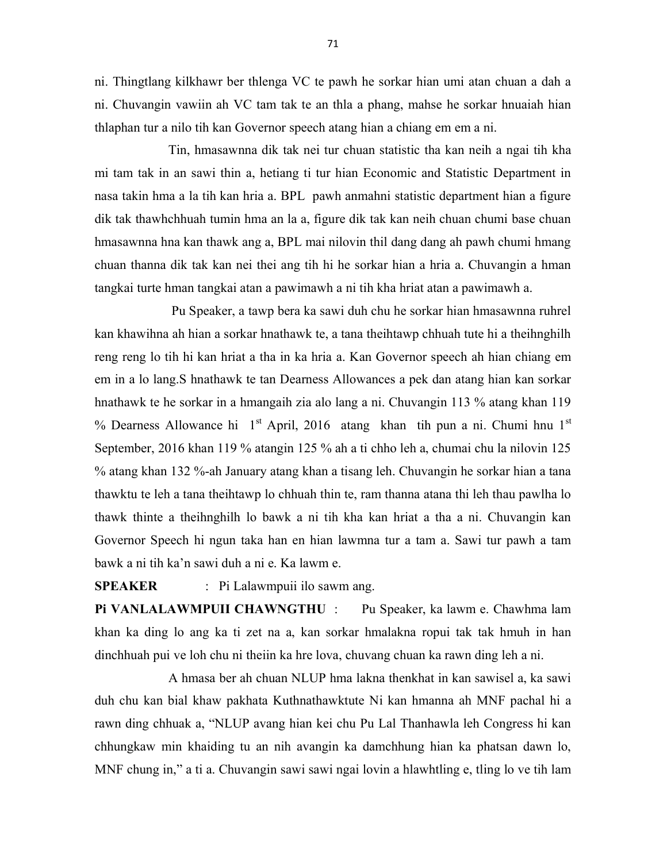ni. Thingtlang kilkhawr ber thlenga VC te pawh he sorkar hian umi atan chuan a dah a ni. Chuvangin vawiin ah VC tam tak te an thla a phang, mahse he sorkar hnuaiah hian thlaphan tur a nilo tih kan Governor speech atang hian a chiang em em a ni.

 Tin, hmasawnna dik tak nei tur chuan statistic tha kan neih a ngai tih kha mi tam tak in an sawi thin a, hetiang ti tur hian Economic and Statistic Department in nasa takin hma a la tih kan hria a. BPL pawh anmahni statistic department hian a figure dik tak thawhchhuah tumin hma an la a, figure dik tak kan neih chuan chumi base chuan hmasawnna hna kan thawk ang a, BPL mai nilovin thil dang dang ah pawh chumi hmang chuan thanna dik tak kan nei thei ang tih hi he sorkar hian a hria a. Chuvangin a hman tangkai turte hman tangkai atan a pawimawh a ni tih kha hriat atan a pawimawh a.

 Pu Speaker, a tawp bera ka sawi duh chu he sorkar hian hmasawnna ruhrel kan khawihna ah hian a sorkar hnathawk te, a tana theihtawp chhuah tute hi a theihnghilh reng reng lo tih hi kan hriat a tha in ka hria a. Kan Governor speech ah hian chiang em em in a lo lang.S hnathawk te tan Dearness Allowances a pek dan atang hian kan sorkar hnathawk te he sorkar in a hmangaih zia alo lang a ni. Chuvangin 113 % atang khan 119 % Dearness Allowance hi  $1<sup>st</sup>$  April, 2016 atang khan tih pun a ni. Chumi hnu  $1<sup>st</sup>$ September, 2016 khan 119 % atangin 125 % ah a ti chho leh a, chumai chu la nilovin 125 % atang khan 132 %-ah January atang khan a tisang leh. Chuvangin he sorkar hian a tana thawktu te leh a tana theihtawp lo chhuah thin te, ram thanna atana thi leh thau pawlha lo thawk thinte a theihnghilh lo bawk a ni tih kha kan hriat a tha a ni. Chuvangin kan Governor Speech hi ngun taka han en hian lawmna tur a tam a. Sawi tur pawh a tam bawk a ni tih ka'n sawi duh a ni e. Ka lawm e.

SPEAKER : Pi Lalawmpuii ilo sawm ang.

Pi VANLALAWMPUII CHAWNGTHU : Pu Speaker, ka lawm e. Chawhma lam khan ka ding lo ang ka ti zet na a, kan sorkar hmalakna ropui tak tak hmuh in han dinchhuah pui ve loh chu ni theiin ka hre lova, chuvang chuan ka rawn ding leh a ni.

 A hmasa ber ah chuan NLUP hma lakna thenkhat in kan sawisel a, ka sawi duh chu kan bial khaw pakhata Kuthnathawktute Ni kan hmanna ah MNF pachal hi a rawn ding chhuak a, "NLUP avang hian kei chu Pu Lal Thanhawla leh Congress hi kan chhungkaw min khaiding tu an nih avangin ka damchhung hian ka phatsan dawn lo, MNF chung in," a ti a. Chuvangin sawi sawi ngai lovin a hlawhtling e, tling lo ve tih lam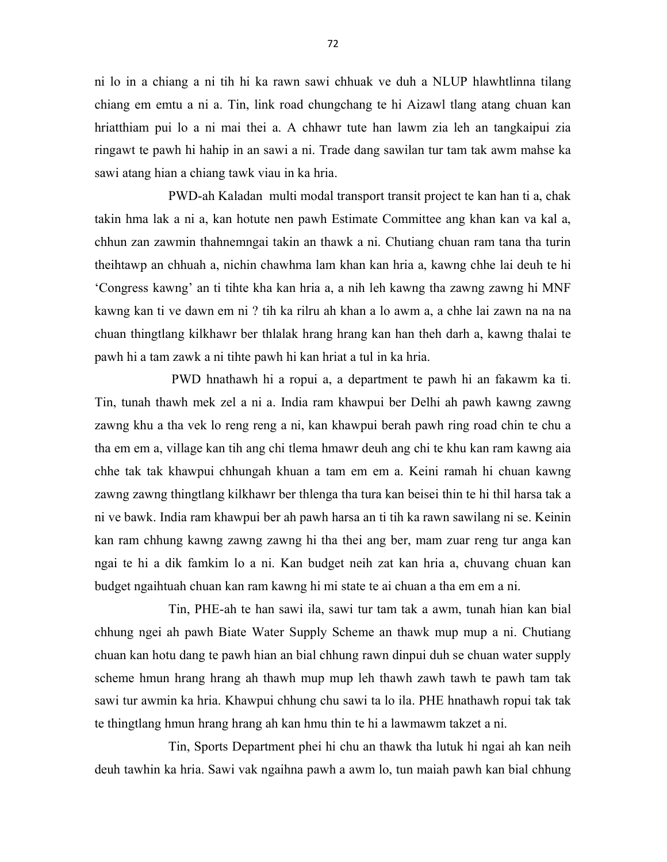ni lo in a chiang a ni tih hi ka rawn sawi chhuak ve duh a NLUP hlawhtlinna tilang chiang em emtu a ni a. Tin, link road chungchang te hi Aizawl tlang atang chuan kan hriatthiam pui lo a ni mai thei a. A chhawr tute han lawm zia leh an tangkaipui zia ringawt te pawh hi hahip in an sawi a ni. Trade dang sawilan tur tam tak awm mahse ka sawi atang hian a chiang tawk viau in ka hria.

 PWD-ah Kaladan multi modal transport transit project te kan han ti a, chak takin hma lak a ni a, kan hotute nen pawh Estimate Committee ang khan kan va kal a, chhun zan zawmin thahnemngai takin an thawk a ni. Chutiang chuan ram tana tha turin theihtawp an chhuah a, nichin chawhma lam khan kan hria a, kawng chhe lai deuh te hi 'Congress kawng' an ti tihte kha kan hria a, a nih leh kawng tha zawng zawng hi MNF kawng kan ti ve dawn em ni ? tih ka rilru ah khan a lo awm a, a chhe lai zawn na na na chuan thingtlang kilkhawr ber thlalak hrang hrang kan han theh darh a, kawng thalai te pawh hi a tam zawk a ni tihte pawh hi kan hriat a tul in ka hria.

 PWD hnathawh hi a ropui a, a department te pawh hi an fakawm ka ti. Tin, tunah thawh mek zel a ni a. India ram khawpui ber Delhi ah pawh kawng zawng zawng khu a tha vek lo reng reng a ni, kan khawpui berah pawh ring road chin te chu a tha em em a, village kan tih ang chi tlema hmawr deuh ang chi te khu kan ram kawng aia chhe tak tak khawpui chhungah khuan a tam em em a. Keini ramah hi chuan kawng zawng zawng thingtlang kilkhawr ber thlenga tha tura kan beisei thin te hi thil harsa tak a ni ve bawk. India ram khawpui ber ah pawh harsa an ti tih ka rawn sawilang ni se. Keinin kan ram chhung kawng zawng zawng hi tha thei ang ber, mam zuar reng tur anga kan ngai te hi a dik famkim lo a ni. Kan budget neih zat kan hria a, chuvang chuan kan budget ngaihtuah chuan kan ram kawng hi mi state te ai chuan a tha em em a ni.

 Tin, PHE-ah te han sawi ila, sawi tur tam tak a awm, tunah hian kan bial chhung ngei ah pawh Biate Water Supply Scheme an thawk mup mup a ni. Chutiang chuan kan hotu dang te pawh hian an bial chhung rawn dinpui duh se chuan water supply scheme hmun hrang hrang ah thawh mup mup leh thawh zawh tawh te pawh tam tak sawi tur awmin ka hria. Khawpui chhung chu sawi ta lo ila. PHE hnathawh ropui tak tak te thingtlang hmun hrang hrang ah kan hmu thin te hi a lawmawm takzet a ni.

 Tin, Sports Department phei hi chu an thawk tha lutuk hi ngai ah kan neih deuh tawhin ka hria. Sawi vak ngaihna pawh a awm lo, tun maiah pawh kan bial chhung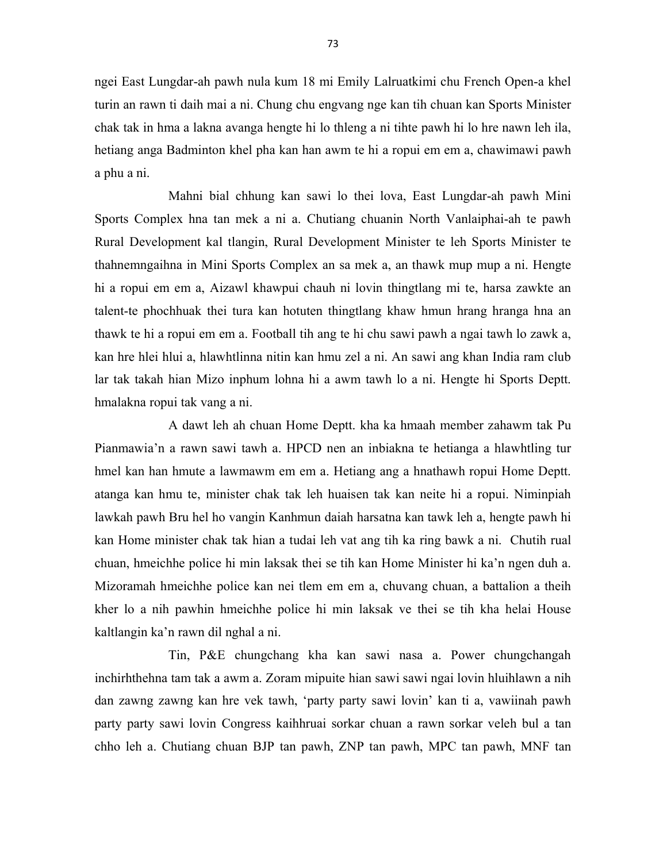ngei East Lungdar-ah pawh nula kum 18 mi Emily Lalruatkimi chu French Open-a khel turin an rawn ti daih mai a ni. Chung chu engvang nge kan tih chuan kan Sports Minister chak tak in hma a lakna avanga hengte hi lo thleng a ni tihte pawh hi lo hre nawn leh ila, hetiang anga Badminton khel pha kan han awm te hi a ropui em em a, chawimawi pawh a phu a ni.

 Mahni bial chhung kan sawi lo thei lova, East Lungdar-ah pawh Mini Sports Complex hna tan mek a ni a. Chutiang chuanin North Vanlaiphai-ah te pawh Rural Development kal tlangin, Rural Development Minister te leh Sports Minister te thahnemngaihna in Mini Sports Complex an sa mek a, an thawk mup mup a ni. Hengte hi a ropui em em a, Aizawl khawpui chauh ni lovin thingtlang mi te, harsa zawkte an talent-te phochhuak thei tura kan hotuten thingtlang khaw hmun hrang hranga hna an thawk te hi a ropui em em a. Football tih ang te hi chu sawi pawh a ngai tawh lo zawk a, kan hre hlei hlui a, hlawhtlinna nitin kan hmu zel a ni. An sawi ang khan India ram club lar tak takah hian Mizo inphum lohna hi a awm tawh lo a ni. Hengte hi Sports Deptt. hmalakna ropui tak vang a ni.

 A dawt leh ah chuan Home Deptt. kha ka hmaah member zahawm tak Pu Pianmawia'n a rawn sawi tawh a. HPCD nen an inbiakna te hetianga a hlawhtling tur hmel kan han hmute a lawmawm em em a. Hetiang ang a hnathawh ropui Home Deptt. atanga kan hmu te, minister chak tak leh huaisen tak kan neite hi a ropui. Niminpiah lawkah pawh Bru hel ho vangin Kanhmun daiah harsatna kan tawk leh a, hengte pawh hi kan Home minister chak tak hian a tudai leh vat ang tih ka ring bawk a ni. Chutih rual chuan, hmeichhe police hi min laksak thei se tih kan Home Minister hi ka'n ngen duh a. Mizoramah hmeichhe police kan nei tlem em em a, chuvang chuan, a battalion a theih kher lo a nih pawhin hmeichhe police hi min laksak ve thei se tih kha helai House kaltlangin ka'n rawn dil nghal a ni.

 Tin, P&E chungchang kha kan sawi nasa a. Power chungchangah inchirhthehna tam tak a awm a. Zoram mipuite hian sawi sawi ngai lovin hluihlawn a nih dan zawng zawng kan hre vek tawh, 'party party sawi lovin' kan ti a, vawiinah pawh party party sawi lovin Congress kaihhruai sorkar chuan a rawn sorkar veleh bul a tan chho leh a. Chutiang chuan BJP tan pawh, ZNP tan pawh, MPC tan pawh, MNF tan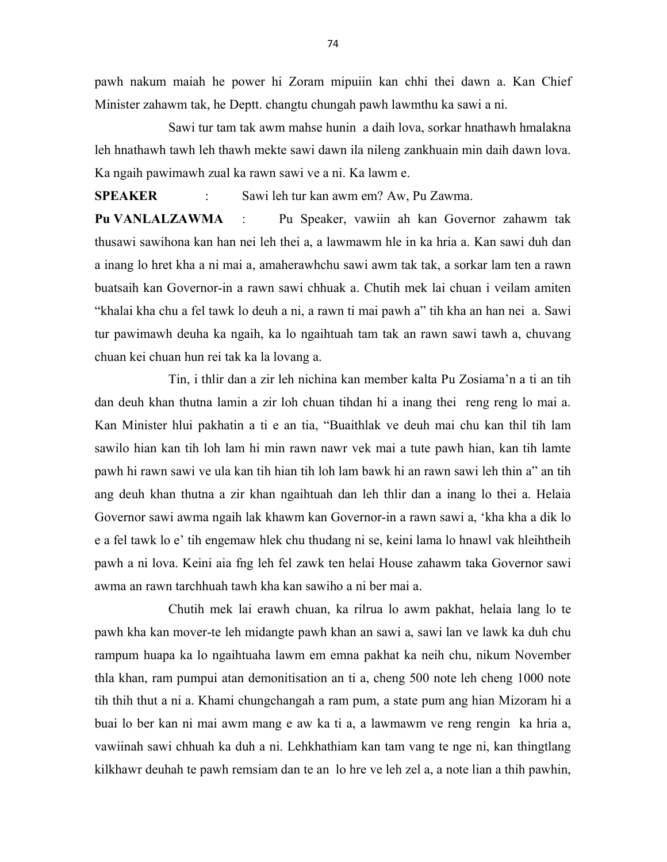pawh nakum maiah he power hi Zoram mipuiin kan chhi thei dawn a. Kan Chief Minister zahawm tak, he Deptt. changtu chungah pawh lawmthu ka sawi a ni.

 Sawi tur tam tak awm mahse hunin a daih lova, sorkar hnathawh hmalakna leh hnathawh tawh leh thawh mekte sawi dawn ila nileng zankhuain min daih dawn lova. Ka ngaih pawimawh zual ka rawn sawi ve a ni. Ka lawm e.

SPEAKER : Sawi leh tur kan awm em? Aw, Pu Zawma.

Pu VANLALZAWMA : Pu Speaker, vawiin ah kan Governor zahawm tak thusawi sawihona kan han nei leh thei a, a lawmawm hle in ka hria a. Kan sawi duh dan a inang lo hret kha a ni mai a, amaherawhchu sawi awm tak tak, a sorkar lam ten a rawn buatsaih kan Governor-in a rawn sawi chhuak a. Chutih mek lai chuan i veilam amiten "khalai kha chu a fel tawk lo deuh a ni, a rawn ti mai pawh a" tih kha an han nei a. Sawi tur pawimawh deuha ka ngaih, ka lo ngaihtuah tam tak an rawn sawi tawh a, chuvang chuan kei chuan hun rei tak ka la lovang a.

 Tin, i thlir dan a zir leh nichina kan member kalta Pu Zosiama'n a ti an tih dan deuh khan thutna lamin a zir loh chuan tihdan hi a inang thei reng reng lo mai a. Kan Minister hlui pakhatin a ti e an tia, "Buaithlak ve deuh mai chu kan thil tih lam sawilo hian kan tih loh lam hi min rawn nawr vek mai a tute pawh hian, kan tih lamte pawh hi rawn sawi ve ula kan tih hian tih loh lam bawk hi an rawn sawi leh thin a" an tih ang deuh khan thutna a zir khan ngaihtuah dan leh thlir dan a inang lo thei a. Helaia Governor sawi awma ngaih lak khawm kan Governor-in a rawn sawi a, 'kha kha a dik lo e a fel tawk lo e' tih engemaw hlek chu thudang ni se, keini lama lo hnawl vak hleihtheih pawh a ni lova. Keini aia fng leh fel zawk ten helai House zahawm taka Governor sawi awma an rawn tarchhuah tawh kha kan sawiho a ni ber mai a.

 Chutih mek lai erawh chuan, ka rilrua lo awm pakhat, helaia lang lo te pawh kha kan mover-te leh midangte pawh khan an sawi a, sawi lan ve lawk ka duh chu rampum huapa ka lo ngaihtuaha lawm em emna pakhat ka neih chu, nikum November thla khan, ram pumpui atan demonitisation an ti a, cheng 500 note leh cheng 1000 note tih thih thut a ni a. Khami chungchangah a ram pum, a state pum ang hian Mizoram hi a buai lo ber kan ni mai awm mang e aw ka ti a, a lawmawm ve reng rengin ka hria a, vawiinah sawi chhuah ka duh a ni. Lehkhathiam kan tam vang te nge ni, kan thingtlang kilkhawr deuhah te pawh remsiam dan te an lo hre ve leh zel a, a note lian a thih pawhin,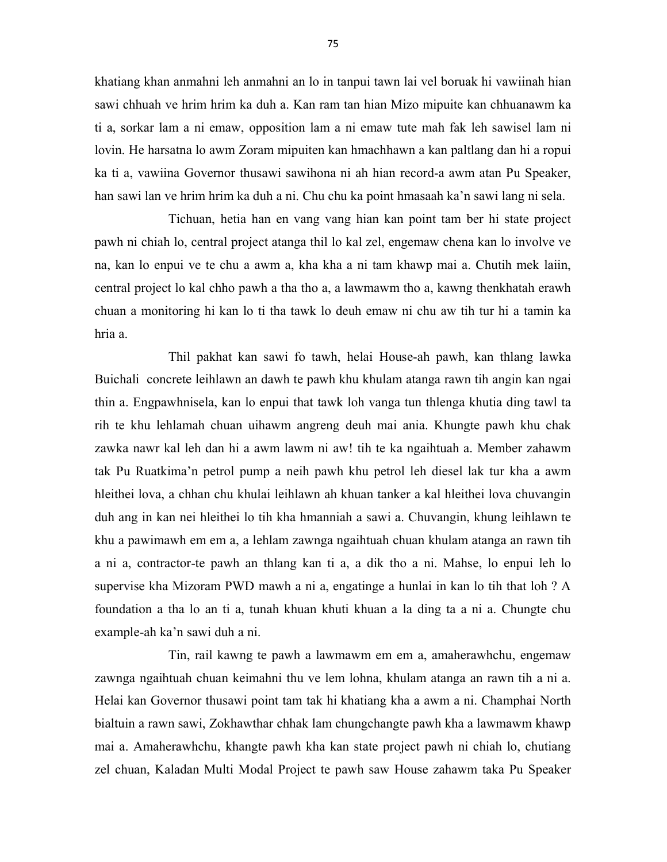khatiang khan anmahni leh anmahni an lo in tanpui tawn lai vel boruak hi vawiinah hian sawi chhuah ve hrim hrim ka duh a. Kan ram tan hian Mizo mipuite kan chhuanawm ka ti a, sorkar lam a ni emaw, opposition lam a ni emaw tute mah fak leh sawisel lam ni lovin. He harsatna lo awm Zoram mipuiten kan hmachhawn a kan paltlang dan hi a ropui ka ti a, vawiina Governor thusawi sawihona ni ah hian record-a awm atan Pu Speaker, han sawi lan ve hrim hrim ka duh a ni. Chu chu ka point hmasaah ka'n sawi lang ni sela.

 Tichuan, hetia han en vang vang hian kan point tam ber hi state project pawh ni chiah lo, central project atanga thil lo kal zel, engemaw chena kan lo involve ve na, kan lo enpui ve te chu a awm a, kha kha a ni tam khawp mai a. Chutih mek laiin, central project lo kal chho pawh a tha tho a, a lawmawm tho a, kawng thenkhatah erawh chuan a monitoring hi kan lo ti tha tawk lo deuh emaw ni chu aw tih tur hi a tamin ka hria a.

 Thil pakhat kan sawi fo tawh, helai House-ah pawh, kan thlang lawka Buichali concrete leihlawn an dawh te pawh khu khulam atanga rawn tih angin kan ngai thin a. Engpawhnisela, kan lo enpui that tawk loh vanga tun thlenga khutia ding tawl ta rih te khu lehlamah chuan uihawm angreng deuh mai ania. Khungte pawh khu chak zawka nawr kal leh dan hi a awm lawm ni aw! tih te ka ngaihtuah a. Member zahawm tak Pu Ruatkima'n petrol pump a neih pawh khu petrol leh diesel lak tur kha a awm hleithei lova, a chhan chu khulai leihlawn ah khuan tanker a kal hleithei lova chuvangin duh ang in kan nei hleithei lo tih kha hmanniah a sawi a. Chuvangin, khung leihlawn te khu a pawimawh em em a, a lehlam zawnga ngaihtuah chuan khulam atanga an rawn tih a ni a, contractor-te pawh an thlang kan ti a, a dik tho a ni. Mahse, lo enpui leh lo supervise kha Mizoram PWD mawh a ni a, engatinge a hunlai in kan lo tih that loh ? A foundation a tha lo an ti a, tunah khuan khuti khuan a la ding ta a ni a. Chungte chu example-ah ka'n sawi duh a ni.

 Tin, rail kawng te pawh a lawmawm em em a, amaherawhchu, engemaw zawnga ngaihtuah chuan keimahni thu ve lem lohna, khulam atanga an rawn tih a ni a. Helai kan Governor thusawi point tam tak hi khatiang kha a awm a ni. Champhai North bialtuin a rawn sawi, Zokhawthar chhak lam chungchangte pawh kha a lawmawm khawp mai a. Amaherawhchu, khangte pawh kha kan state project pawh ni chiah lo, chutiang zel chuan, Kaladan Multi Modal Project te pawh saw House zahawm taka Pu Speaker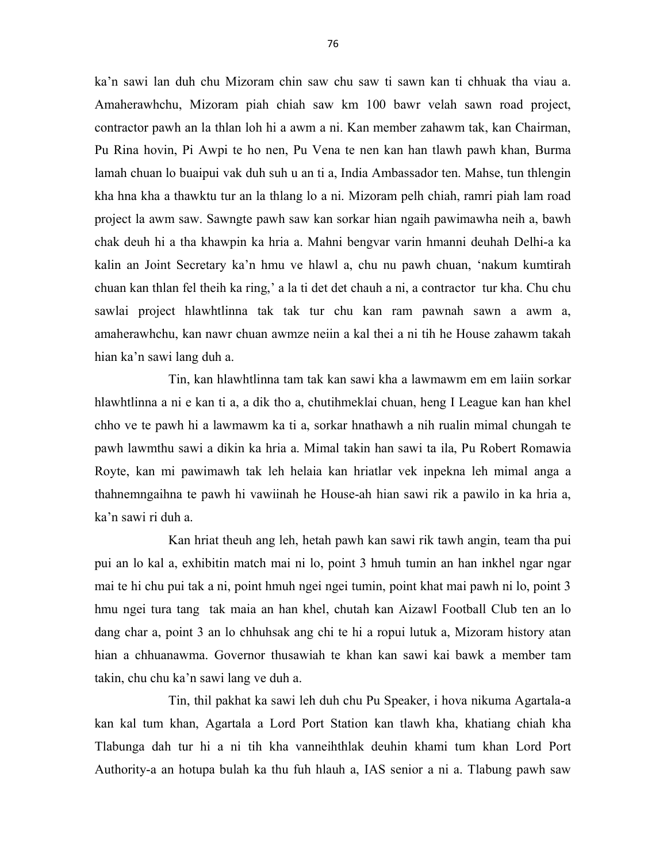ka'n sawi lan duh chu Mizoram chin saw chu saw ti sawn kan ti chhuak tha viau a. Amaherawhchu, Mizoram piah chiah saw km 100 bawr velah sawn road project, contractor pawh an la thlan loh hi a awm a ni. Kan member zahawm tak, kan Chairman, Pu Rina hovin, Pi Awpi te ho nen, Pu Vena te nen kan han tlawh pawh khan, Burma lamah chuan lo buaipui vak duh suh u an ti a, India Ambassador ten. Mahse, tun thlengin kha hna kha a thawktu tur an la thlang lo a ni. Mizoram pelh chiah, ramri piah lam road project la awm saw. Sawngte pawh saw kan sorkar hian ngaih pawimawha neih a, bawh chak deuh hi a tha khawpin ka hria a. Mahni bengvar varin hmanni deuhah Delhi-a ka kalin an Joint Secretary ka'n hmu ve hlawl a, chu nu pawh chuan, 'nakum kumtirah chuan kan thlan fel theih ka ring,' a la ti det det chauh a ni, a contractor tur kha. Chu chu sawlai project hlawhtlinna tak tak tur chu kan ram pawnah sawn a awm a, amaherawhchu, kan nawr chuan awmze neiin a kal thei a ni tih he House zahawm takah hian ka'n sawi lang duh a.

 Tin, kan hlawhtlinna tam tak kan sawi kha a lawmawm em em laiin sorkar hlawhtlinna a ni e kan ti a, a dik tho a, chutihmeklai chuan, heng I League kan han khel chho ve te pawh hi a lawmawm ka ti a, sorkar hnathawh a nih rualin mimal chungah te pawh lawmthu sawi a dikin ka hria a. Mimal takin han sawi ta ila, Pu Robert Romawia Royte, kan mi pawimawh tak leh helaia kan hriatlar vek inpekna leh mimal anga a thahnemngaihna te pawh hi vawiinah he House-ah hian sawi rik a pawilo in ka hria a, ka'n sawi ri duh a.

 Kan hriat theuh ang leh, hetah pawh kan sawi rik tawh angin, team tha pui pui an lo kal a, exhibitin match mai ni lo, point 3 hmuh tumin an han inkhel ngar ngar mai te hi chu pui tak a ni, point hmuh ngei ngei tumin, point khat mai pawh ni lo, point 3 hmu ngei tura tang tak maia an han khel, chutah kan Aizawl Football Club ten an lo dang char a, point 3 an lo chhuhsak ang chi te hi a ropui lutuk a, Mizoram history atan hian a chhuanawma. Governor thusawiah te khan kan sawi kai bawk a member tam takin, chu chu ka'n sawi lang ve duh a.

 Tin, thil pakhat ka sawi leh duh chu Pu Speaker, i hova nikuma Agartala-a kan kal tum khan, Agartala a Lord Port Station kan tlawh kha, khatiang chiah kha Tlabunga dah tur hi a ni tih kha vanneihthlak deuhin khami tum khan Lord Port Authority-a an hotupa bulah ka thu fuh hlauh a, IAS senior a ni a. Tlabung pawh saw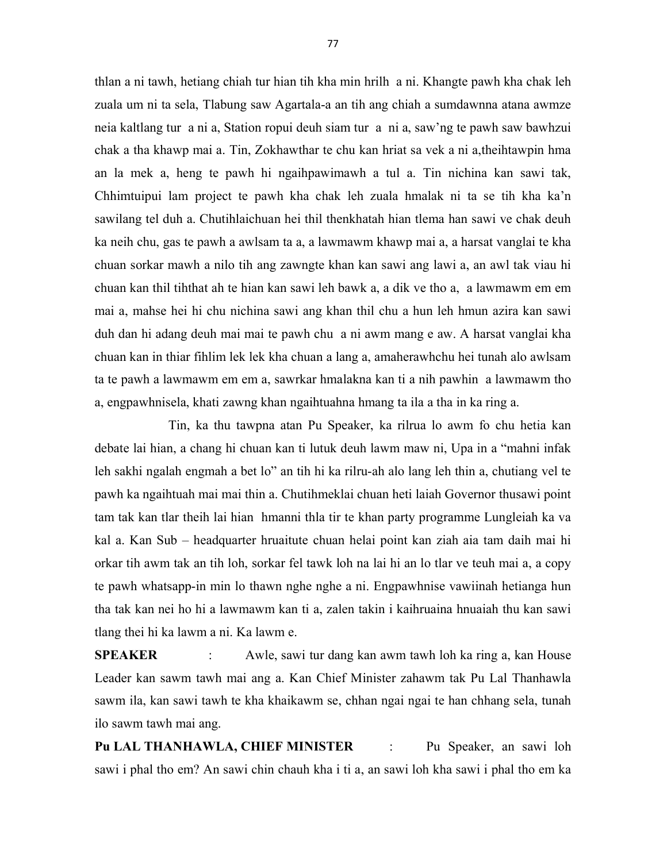thlan a ni tawh, hetiang chiah tur hian tih kha min hrilh a ni. Khangte pawh kha chak leh zuala um ni ta sela, Tlabung saw Agartala-a an tih ang chiah a sumdawnna atana awmze neia kaltlang tur a ni a, Station ropui deuh siam tur a ni a, saw'ng te pawh saw bawhzui chak a tha khawp mai a. Tin, Zokhawthar te chu kan hriat sa vek a ni a,theihtawpin hma an la mek a, heng te pawh hi ngaihpawimawh a tul a. Tin nichina kan sawi tak, Chhimtuipui lam project te pawh kha chak leh zuala hmalak ni ta se tih kha ka'n sawilang tel duh a. Chutihlaichuan hei thil thenkhatah hian tlema han sawi ve chak deuh ka neih chu, gas te pawh a awlsam ta a, a lawmawm khawp mai a, a harsat vanglai te kha chuan sorkar mawh a nilo tih ang zawngte khan kan sawi ang lawi a, an awl tak viau hi chuan kan thil tihthat ah te hian kan sawi leh bawk a, a dik ve tho a, a lawmawm em em mai a, mahse hei hi chu nichina sawi ang khan thil chu a hun leh hmun azira kan sawi duh dan hi adang deuh mai mai te pawh chu a ni awm mang e aw. A harsat vanglai kha chuan kan in thiar fihlim lek lek kha chuan a lang a, amaherawhchu hei tunah alo awlsam ta te pawh a lawmawm em em a, sawrkar hmalakna kan ti a nih pawhin a lawmawm tho a, engpawhnisela, khati zawng khan ngaihtuahna hmang ta ila a tha in ka ring a.

 Tin, ka thu tawpna atan Pu Speaker, ka rilrua lo awm fo chu hetia kan debate lai hian, a chang hi chuan kan ti lutuk deuh lawm maw ni, Upa in a "mahni infak leh sakhi ngalah engmah a bet lo" an tih hi ka rilru-ah alo lang leh thin a, chutiang vel te pawh ka ngaihtuah mai mai thin a. Chutihmeklai chuan heti laiah Governor thusawi point tam tak kan tlar theih lai hian hmanni thla tir te khan party programme Lungleiah ka va kal a. Kan Sub – headquarter hruaitute chuan helai point kan ziah aia tam daih mai hi orkar tih awm tak an tih loh, sorkar fel tawk loh na lai hi an lo tlar ve teuh mai a, a copy te pawh whatsapp-in min lo thawn nghe nghe a ni. Engpawhnise vawiinah hetianga hun tha tak kan nei ho hi a lawmawm kan ti a, zalen takin i kaihruaina hnuaiah thu kan sawi tlang thei hi ka lawm a ni. Ka lawm e.

SPEAKER : Awle, sawi tur dang kan awm tawh loh ka ring a, kan House Leader kan sawm tawh mai ang a. Kan Chief Minister zahawm tak Pu Lal Thanhawla sawm ila, kan sawi tawh te kha khaikawm se, chhan ngai ngai te han chhang sela, tunah ilo sawm tawh mai ang.

Pu LAL THANHAWLA, CHIEF MINISTER : Pu Speaker, an sawi loh sawi i phal tho em? An sawi chin chauh kha i ti a, an sawi loh kha sawi i phal tho em ka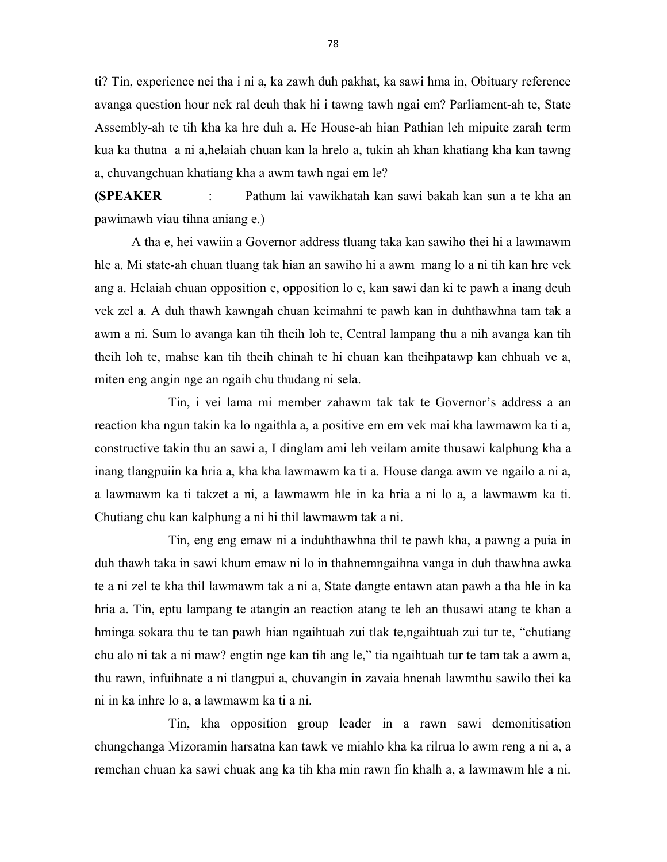ti? Tin, experience nei tha i ni a, ka zawh duh pakhat, ka sawi hma in, Obituary reference avanga question hour nek ral deuh thak hi i tawng tawh ngai em? Parliament-ah te, State Assembly-ah te tih kha ka hre duh a. He House-ah hian Pathian leh mipuite zarah term kua ka thutna a ni a,helaiah chuan kan la hrelo a, tukin ah khan khatiang kha kan tawng a, chuvangchuan khatiang kha a awm tawh ngai em le?

(SPEAKER : Pathum lai vawikhatah kan sawi bakah kan sun a te kha an pawimawh viau tihna aniang e.)

 A tha e, hei vawiin a Governor address tluang taka kan sawiho thei hi a lawmawm hle a. Mi state-ah chuan tluang tak hian an sawiho hi a awm mang lo a ni tih kan hre vek ang a. Helaiah chuan opposition e, opposition lo e, kan sawi dan ki te pawh a inang deuh vek zel a. A duh thawh kawngah chuan keimahni te pawh kan in duhthawhna tam tak a awm a ni. Sum lo avanga kan tih theih loh te, Central lampang thu a nih avanga kan tih theih loh te, mahse kan tih theih chinah te hi chuan kan theihpatawp kan chhuah ve a, miten eng angin nge an ngaih chu thudang ni sela.

 Tin, i vei lama mi member zahawm tak tak te Governor's address a an reaction kha ngun takin ka lo ngaithla a, a positive em em vek mai kha lawmawm ka ti a, constructive takin thu an sawi a, I dinglam ami leh veilam amite thusawi kalphung kha a inang tlangpuiin ka hria a, kha kha lawmawm ka ti a. House danga awm ve ngailo a ni a, a lawmawm ka ti takzet a ni, a lawmawm hle in ka hria a ni lo a, a lawmawm ka ti. Chutiang chu kan kalphung a ni hi thil lawmawm tak a ni.

 Tin, eng eng emaw ni a induhthawhna thil te pawh kha, a pawng a puia in duh thawh taka in sawi khum emaw ni lo in thahnemngaihna vanga in duh thawhna awka te a ni zel te kha thil lawmawm tak a ni a, State dangte entawn atan pawh a tha hle in ka hria a. Tin, eptu lampang te atangin an reaction atang te leh an thusawi atang te khan a hminga sokara thu te tan pawh hian ngaihtuah zui tlak te,ngaihtuah zui tur te, "chutiang chu alo ni tak a ni maw? engtin nge kan tih ang le," tia ngaihtuah tur te tam tak a awm a, thu rawn, infuihnate a ni tlangpui a, chuvangin in zavaia hnenah lawmthu sawilo thei ka ni in ka inhre lo a, a lawmawm ka ti a ni.

 Tin, kha opposition group leader in a rawn sawi demonitisation chungchanga Mizoramin harsatna kan tawk ve miahlo kha ka rilrua lo awm reng a ni a, a remchan chuan ka sawi chuak ang ka tih kha min rawn fin khalh a, a lawmawm hle a ni.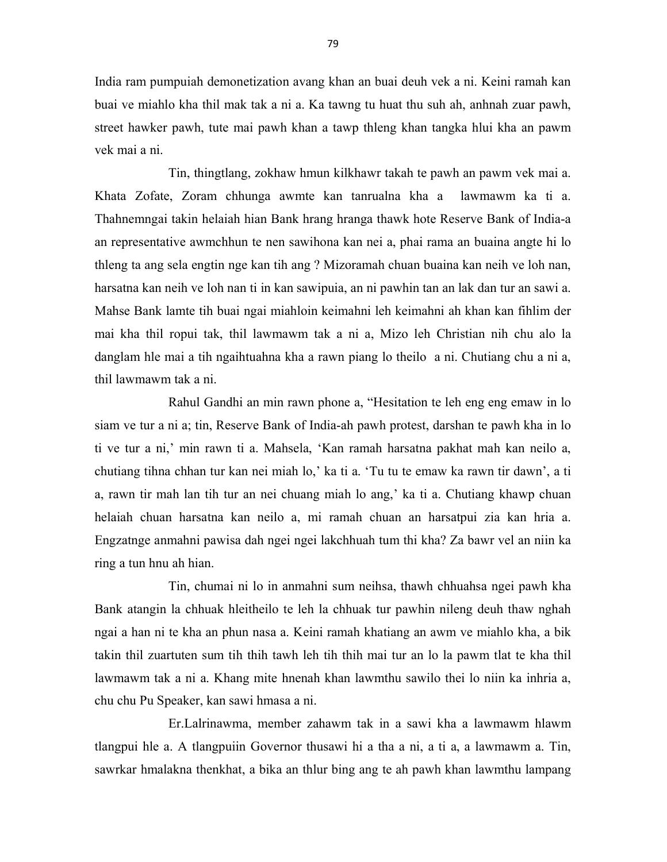India ram pumpuiah demonetization avang khan an buai deuh vek a ni. Keini ramah kan buai ve miahlo kha thil mak tak a ni a. Ka tawng tu huat thu suh ah, anhnah zuar pawh, street hawker pawh, tute mai pawh khan a tawp thleng khan tangka hlui kha an pawm vek mai a ni.

 Tin, thingtlang, zokhaw hmun kilkhawr takah te pawh an pawm vek mai a. Khata Zofate, Zoram chhunga awmte kan tanrualna kha a lawmawm ka ti a. Thahnemngai takin helaiah hian Bank hrang hranga thawk hote Reserve Bank of India-a an representative awmchhun te nen sawihona kan nei a, phai rama an buaina angte hi lo thleng ta ang sela engtin nge kan tih ang ? Mizoramah chuan buaina kan neih ve loh nan, harsatna kan neih ve loh nan ti in kan sawipuia, an ni pawhin tan an lak dan tur an sawi a. Mahse Bank lamte tih buai ngai miahloin keimahni leh keimahni ah khan kan fihlim der mai kha thil ropui tak, thil lawmawm tak a ni a, Mizo leh Christian nih chu alo la danglam hle mai a tih ngaihtuahna kha a rawn piang lo theilo a ni. Chutiang chu a ni a, thil lawmawm tak a ni.

 Rahul Gandhi an min rawn phone a, "Hesitation te leh eng eng emaw in lo siam ve tur a ni a; tin, Reserve Bank of India-ah pawh protest, darshan te pawh kha in lo ti ve tur a ni,' min rawn ti a. Mahsela, 'Kan ramah harsatna pakhat mah kan neilo a, chutiang tihna chhan tur kan nei miah lo,' ka ti a. 'Tu tu te emaw ka rawn tir dawn', a ti a, rawn tir mah lan tih tur an nei chuang miah lo ang,' ka ti a. Chutiang khawp chuan helaiah chuan harsatna kan neilo a, mi ramah chuan an harsatpui zia kan hria a. Engzatnge anmahni pawisa dah ngei ngei lakchhuah tum thi kha? Za bawr vel an niin ka ring a tun hnu ah hian.

 Tin, chumai ni lo in anmahni sum neihsa, thawh chhuahsa ngei pawh kha Bank atangin la chhuak hleitheilo te leh la chhuak tur pawhin nileng deuh thaw nghah ngai a han ni te kha an phun nasa a. Keini ramah khatiang an awm ve miahlo kha, a bik takin thil zuartuten sum tih thih tawh leh tih thih mai tur an lo la pawm tlat te kha thil lawmawm tak a ni a. Khang mite hnenah khan lawmthu sawilo thei lo niin ka inhria a, chu chu Pu Speaker, kan sawi hmasa a ni.

 Er.Lalrinawma, member zahawm tak in a sawi kha a lawmawm hlawm tlangpui hle a. A tlangpuiin Governor thusawi hi a tha a ni, a ti a, a lawmawm a. Tin, sawrkar hmalakna thenkhat, a bika an thlur bing ang te ah pawh khan lawmthu lampang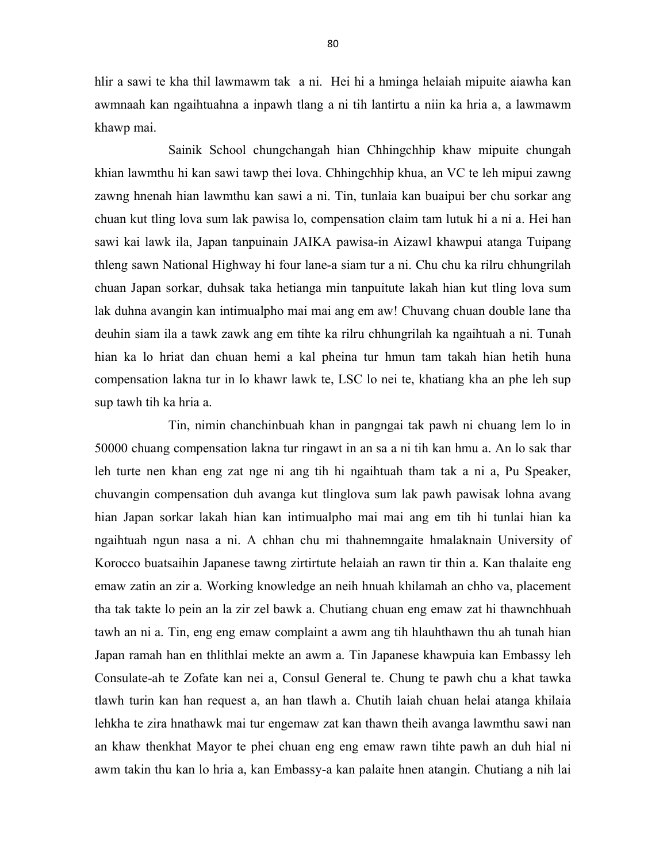hlir a sawi te kha thil lawmawm tak a ni. Hei hi a hminga helaiah mipuite aiawha kan awmnaah kan ngaihtuahna a inpawh tlang a ni tih lantirtu a niin ka hria a, a lawmawm khawp mai.

 Sainik School chungchangah hian Chhingchhip khaw mipuite chungah khian lawmthu hi kan sawi tawp thei lova. Chhingchhip khua, an VC te leh mipui zawng zawng hnenah hian lawmthu kan sawi a ni. Tin, tunlaia kan buaipui ber chu sorkar ang chuan kut tling lova sum lak pawisa lo, compensation claim tam lutuk hi a ni a. Hei han sawi kai lawk ila, Japan tanpuinain JAIKA pawisa-in Aizawl khawpui atanga Tuipang thleng sawn National Highway hi four lane-a siam tur a ni. Chu chu ka rilru chhungrilah chuan Japan sorkar, duhsak taka hetianga min tanpuitute lakah hian kut tling lova sum lak duhna avangin kan intimualpho mai mai ang em aw! Chuvang chuan double lane tha deuhin siam ila a tawk zawk ang em tihte ka rilru chhungrilah ka ngaihtuah a ni. Tunah hian ka lo hriat dan chuan hemi a kal pheina tur hmun tam takah hian hetih huna compensation lakna tur in lo khawr lawk te, LSC lo nei te, khatiang kha an phe leh sup sup tawh tih ka hria a.

 Tin, nimin chanchinbuah khan in pangngai tak pawh ni chuang lem lo in 50000 chuang compensation lakna tur ringawt in an sa a ni tih kan hmu a. An lo sak thar leh turte nen khan eng zat nge ni ang tih hi ngaihtuah tham tak a ni a, Pu Speaker, chuvangin compensation duh avanga kut tlinglova sum lak pawh pawisak lohna avang hian Japan sorkar lakah hian kan intimualpho mai mai ang em tih hi tunlai hian ka ngaihtuah ngun nasa a ni. A chhan chu mi thahnemngaite hmalaknain University of Korocco buatsaihin Japanese tawng zirtirtute helaiah an rawn tir thin a. Kan thalaite eng emaw zatin an zir a. Working knowledge an neih hnuah khilamah an chho va, placement tha tak takte lo pein an la zir zel bawk a. Chutiang chuan eng emaw zat hi thawnchhuah tawh an ni a. Tin, eng eng emaw complaint a awm ang tih hlauhthawn thu ah tunah hian Japan ramah han en thlithlai mekte an awm a. Tin Japanese khawpuia kan Embassy leh Consulate-ah te Zofate kan nei a, Consul General te. Chung te pawh chu a khat tawka tlawh turin kan han request a, an han tlawh a. Chutih laiah chuan helai atanga khilaia lehkha te zira hnathawk mai tur engemaw zat kan thawn theih avanga lawmthu sawi nan an khaw thenkhat Mayor te phei chuan eng eng emaw rawn tihte pawh an duh hial ni awm takin thu kan lo hria a, kan Embassy-a kan palaite hnen atangin. Chutiang a nih lai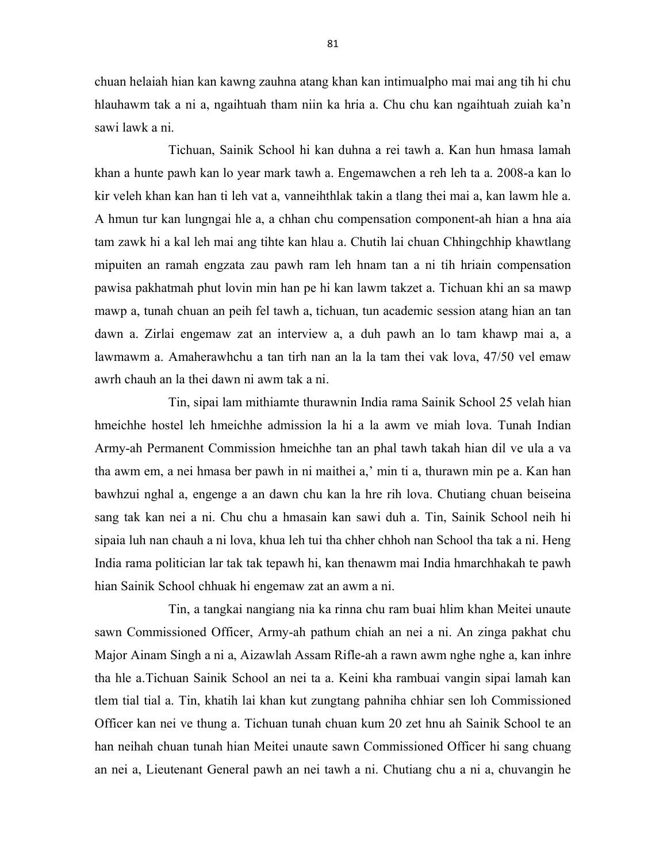chuan helaiah hian kan kawng zauhna atang khan kan intimualpho mai mai ang tih hi chu hlauhawm tak a ni a, ngaihtuah tham niin ka hria a. Chu chu kan ngaihtuah zuiah ka'n sawi lawk a ni.

 Tichuan, Sainik School hi kan duhna a rei tawh a. Kan hun hmasa lamah khan a hunte pawh kan lo year mark tawh a. Engemawchen a reh leh ta a. 2008-a kan lo kir veleh khan kan han ti leh vat a, vanneihthlak takin a tlang thei mai a, kan lawm hle a. A hmun tur kan lungngai hle a, a chhan chu compensation component-ah hian a hna aia tam zawk hi a kal leh mai ang tihte kan hlau a. Chutih lai chuan Chhingchhip khawtlang mipuiten an ramah engzata zau pawh ram leh hnam tan a ni tih hriain compensation pawisa pakhatmah phut lovin min han pe hi kan lawm takzet a. Tichuan khi an sa mawp mawp a, tunah chuan an peih fel tawh a, tichuan, tun academic session atang hian an tan dawn a. Zirlai engemaw zat an interview a, a duh pawh an lo tam khawp mai a, a lawmawm a. Amaherawhchu a tan tirh nan an la la tam thei vak lova, 47/50 vel emaw awrh chauh an la thei dawn ni awm tak a ni.

 Tin, sipai lam mithiamte thurawnin India rama Sainik School 25 velah hian hmeichhe hostel leh hmeichhe admission la hi a la awm ve miah lova. Tunah Indian Army-ah Permanent Commission hmeichhe tan an phal tawh takah hian dil ve ula a va tha awm em, a nei hmasa ber pawh in ni maithei a,' min ti a, thurawn min pe a. Kan han bawhzui nghal a, engenge a an dawn chu kan la hre rih lova. Chutiang chuan beiseina sang tak kan nei a ni. Chu chu a hmasain kan sawi duh a. Tin, Sainik School neih hi sipaia luh nan chauh a ni lova, khua leh tui tha chher chhoh nan School tha tak a ni. Heng India rama politician lar tak tak tepawh hi, kan thenawm mai India hmarchhakah te pawh hian Sainik School chhuak hi engemaw zat an awm a ni.

 Tin, a tangkai nangiang nia ka rinna chu ram buai hlim khan Meitei unaute sawn Commissioned Officer, Army-ah pathum chiah an nei a ni. An zinga pakhat chu Major Ainam Singh a ni a, Aizawlah Assam Rifle-ah a rawn awm nghe nghe a, kan inhre tha hle a.Tichuan Sainik School an nei ta a. Keini kha rambuai vangin sipai lamah kan tlem tial tial a. Tin, khatih lai khan kut zungtang pahniha chhiar sen loh Commissioned Officer kan nei ve thung a. Tichuan tunah chuan kum 20 zet hnu ah Sainik School te an han neihah chuan tunah hian Meitei unaute sawn Commissioned Officer hi sang chuang an nei a, Lieutenant General pawh an nei tawh a ni. Chutiang chu a ni a, chuvangin he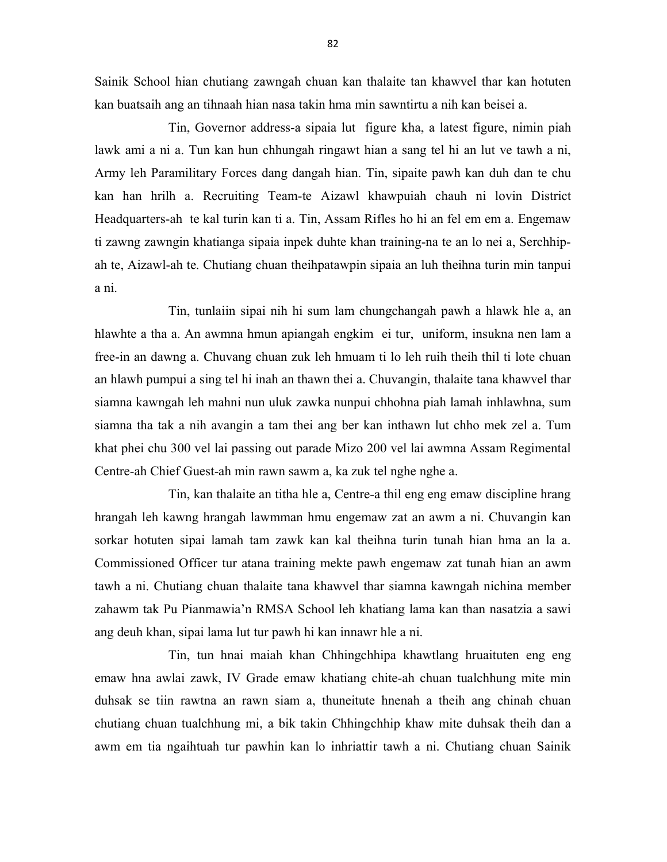Sainik School hian chutiang zawngah chuan kan thalaite tan khawvel thar kan hotuten kan buatsaih ang an tihnaah hian nasa takin hma min sawntirtu a nih kan beisei a.

 Tin, Governor address-a sipaia lut figure kha, a latest figure, nimin piah lawk ami a ni a. Tun kan hun chhungah ringawt hian a sang tel hi an lut ve tawh a ni, Army leh Paramilitary Forces dang dangah hian. Tin, sipaite pawh kan duh dan te chu kan han hrilh a. Recruiting Team-te Aizawl khawpuiah chauh ni lovin District Headquarters-ah te kal turin kan ti a. Tin, Assam Rifles ho hi an fel em em a. Engemaw ti zawng zawngin khatianga sipaia inpek duhte khan training-na te an lo nei a, Serchhipah te, Aizawl-ah te. Chutiang chuan theihpatawpin sipaia an luh theihna turin min tanpui a ni.

 Tin, tunlaiin sipai nih hi sum lam chungchangah pawh a hlawk hle a, an hlawhte a tha a. An awmna hmun apiangah engkim ei tur, uniform, insukna nen lam a free-in an dawng a. Chuvang chuan zuk leh hmuam ti lo leh ruih theih thil ti lote chuan an hlawh pumpui a sing tel hi inah an thawn thei a. Chuvangin, thalaite tana khawvel thar siamna kawngah leh mahni nun uluk zawka nunpui chhohna piah lamah inhlawhna, sum siamna tha tak a nih avangin a tam thei ang ber kan inthawn lut chho mek zel a. Tum khat phei chu 300 vel lai passing out parade Mizo 200 vel lai awmna Assam Regimental Centre-ah Chief Guest-ah min rawn sawm a, ka zuk tel nghe nghe a.

 Tin, kan thalaite an titha hle a, Centre-a thil eng eng emaw discipline hrang hrangah leh kawng hrangah lawmman hmu engemaw zat an awm a ni. Chuvangin kan sorkar hotuten sipai lamah tam zawk kan kal theihna turin tunah hian hma an la a. Commissioned Officer tur atana training mekte pawh engemaw zat tunah hian an awm tawh a ni. Chutiang chuan thalaite tana khawvel thar siamna kawngah nichina member zahawm tak Pu Pianmawia'n RMSA School leh khatiang lama kan than nasatzia a sawi ang deuh khan, sipai lama lut tur pawh hi kan innawr hle a ni.

 Tin, tun hnai maiah khan Chhingchhipa khawtlang hruaituten eng eng emaw hna awlai zawk, IV Grade emaw khatiang chite-ah chuan tualchhung mite min duhsak se tiin rawtna an rawn siam a, thuneitute hnenah a theih ang chinah chuan chutiang chuan tualchhung mi, a bik takin Chhingchhip khaw mite duhsak theih dan a awm em tia ngaihtuah tur pawhin kan lo inhriattir tawh a ni. Chutiang chuan Sainik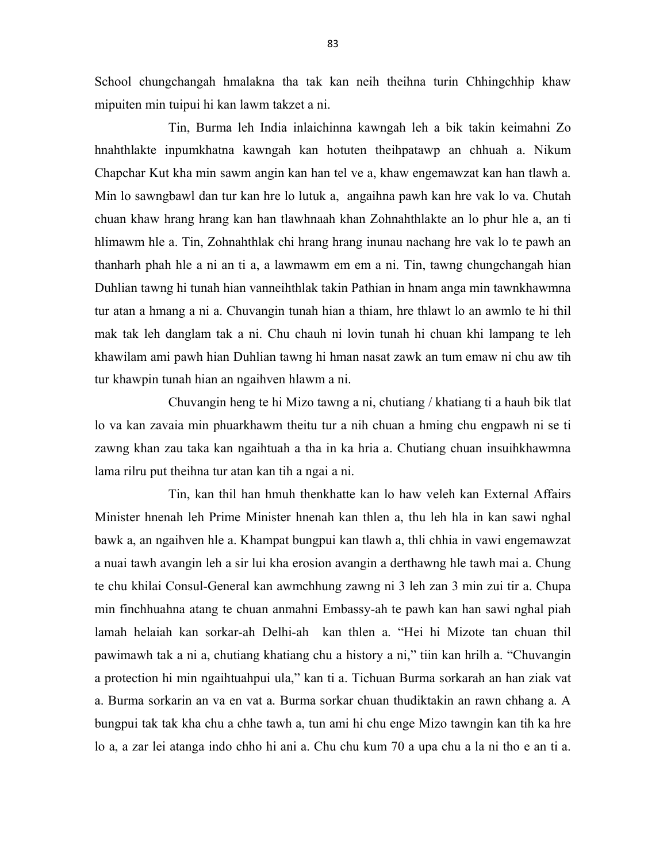School chungchangah hmalakna tha tak kan neih theihna turin Chhingchhip khaw mipuiten min tuipui hi kan lawm takzet a ni.

 Tin, Burma leh India inlaichinna kawngah leh a bik takin keimahni Zo hnahthlakte inpumkhatna kawngah kan hotuten theihpatawp an chhuah a. Nikum Chapchar Kut kha min sawm angin kan han tel ve a, khaw engemawzat kan han tlawh a. Min lo sawngbawl dan tur kan hre lo lutuk a, angaihna pawh kan hre vak lo va. Chutah chuan khaw hrang hrang kan han tlawhnaah khan Zohnahthlakte an lo phur hle a, an ti hlimawm hle a. Tin, Zohnahthlak chi hrang hrang inunau nachang hre vak lo te pawh an thanharh phah hle a ni an ti a, a lawmawm em em a ni. Tin, tawng chungchangah hian Duhlian tawng hi tunah hian vanneihthlak takin Pathian in hnam anga min tawnkhawmna tur atan a hmang a ni a. Chuvangin tunah hian a thiam, hre thlawt lo an awmlo te hi thil mak tak leh danglam tak a ni. Chu chauh ni lovin tunah hi chuan khi lampang te leh khawilam ami pawh hian Duhlian tawng hi hman nasat zawk an tum emaw ni chu aw tih tur khawpin tunah hian an ngaihven hlawm a ni.

 Chuvangin heng te hi Mizo tawng a ni, chutiang / khatiang ti a hauh bik tlat lo va kan zavaia min phuarkhawm theitu tur a nih chuan a hming chu engpawh ni se ti zawng khan zau taka kan ngaihtuah a tha in ka hria a. Chutiang chuan insuihkhawmna lama rilru put theihna tur atan kan tih a ngai a ni.

 Tin, kan thil han hmuh thenkhatte kan lo haw veleh kan External Affairs Minister hnenah leh Prime Minister hnenah kan thlen a, thu leh hla in kan sawi nghal bawk a, an ngaihven hle a. Khampat bungpui kan tlawh a, thli chhia in vawi engemawzat a nuai tawh avangin leh a sir lui kha erosion avangin a derthawng hle tawh mai a. Chung te chu khilai Consul-General kan awmchhung zawng ni 3 leh zan 3 min zui tir a. Chupa min finchhuahna atang te chuan anmahni Embassy-ah te pawh kan han sawi nghal piah lamah helaiah kan sorkar-ah Delhi-ah kan thlen a. "Hei hi Mizote tan chuan thil pawimawh tak a ni a, chutiang khatiang chu a history a ni," tiin kan hrilh a. "Chuvangin a protection hi min ngaihtuahpui ula," kan ti a. Tichuan Burma sorkarah an han ziak vat a. Burma sorkarin an va en vat a. Burma sorkar chuan thudiktakin an rawn chhang a. A bungpui tak tak kha chu a chhe tawh a, tun ami hi chu enge Mizo tawngin kan tih ka hre lo a, a zar lei atanga indo chho hi ani a. Chu chu kum 70 a upa chu a la ni tho e an ti a.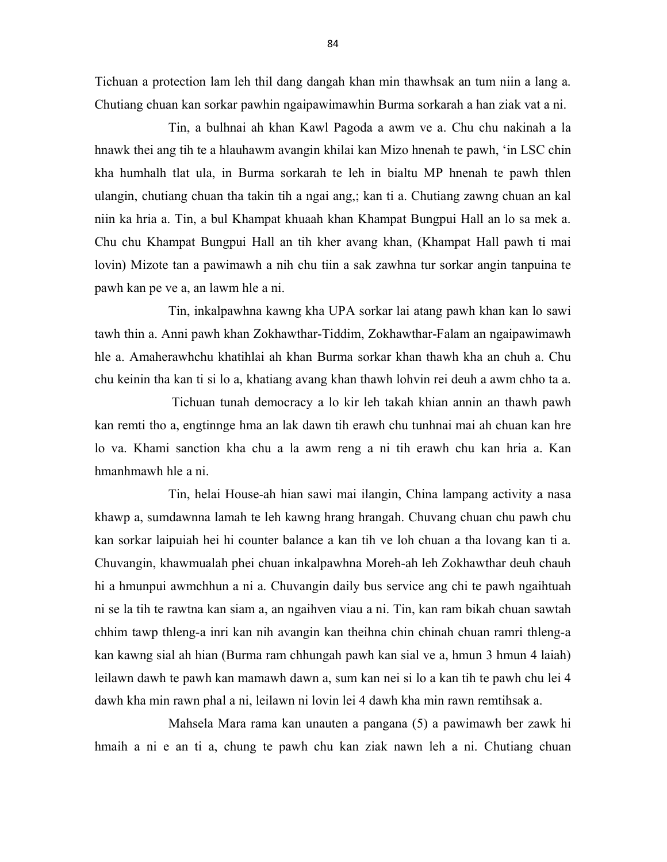Tichuan a protection lam leh thil dang dangah khan min thawhsak an tum niin a lang a. Chutiang chuan kan sorkar pawhin ngaipawimawhin Burma sorkarah a han ziak vat a ni.

 Tin, a bulhnai ah khan Kawl Pagoda a awm ve a. Chu chu nakinah a la hnawk thei ang tih te a hlauhawm avangin khilai kan Mizo hnenah te pawh, 'in LSC chin kha humhalh tlat ula, in Burma sorkarah te leh in bialtu MP hnenah te pawh thlen ulangin, chutiang chuan tha takin tih a ngai ang,; kan ti a. Chutiang zawng chuan an kal niin ka hria a. Tin, a bul Khampat khuaah khan Khampat Bungpui Hall an lo sa mek a. Chu chu Khampat Bungpui Hall an tih kher avang khan, (Khampat Hall pawh ti mai lovin) Mizote tan a pawimawh a nih chu tiin a sak zawhna tur sorkar angin tanpuina te pawh kan pe ve a, an lawm hle a ni.

 Tin, inkalpawhna kawng kha UPA sorkar lai atang pawh khan kan lo sawi tawh thin a. Anni pawh khan Zokhawthar-Tiddim, Zokhawthar-Falam an ngaipawimawh hle a. Amaherawhchu khatihlai ah khan Burma sorkar khan thawh kha an chuh a. Chu chu keinin tha kan ti si lo a, khatiang avang khan thawh lohvin rei deuh a awm chho ta a.

 Tichuan tunah democracy a lo kir leh takah khian annin an thawh pawh kan remti tho a, engtinnge hma an lak dawn tih erawh chu tunhnai mai ah chuan kan hre lo va. Khami sanction kha chu a la awm reng a ni tih erawh chu kan hria a. Kan hmanhmawh hle a ni.

 Tin, helai House-ah hian sawi mai ilangin, China lampang activity a nasa khawp a, sumdawnna lamah te leh kawng hrang hrangah. Chuvang chuan chu pawh chu kan sorkar laipuiah hei hi counter balance a kan tih ve loh chuan a tha lovang kan ti a. Chuvangin, khawmualah phei chuan inkalpawhna Moreh-ah leh Zokhawthar deuh chauh hi a hmunpui awmchhun a ni a. Chuvangin daily bus service ang chi te pawh ngaihtuah ni se la tih te rawtna kan siam a, an ngaihven viau a ni. Tin, kan ram bikah chuan sawtah chhim tawp thleng-a inri kan nih avangin kan theihna chin chinah chuan ramri thleng-a kan kawng sial ah hian (Burma ram chhungah pawh kan sial ve a, hmun 3 hmun 4 laiah) leilawn dawh te pawh kan mamawh dawn a, sum kan nei si lo a kan tih te pawh chu lei 4 dawh kha min rawn phal a ni, leilawn ni lovin lei 4 dawh kha min rawn remtihsak a.

 Mahsela Mara rama kan unauten a pangana (5) a pawimawh ber zawk hi hmaih a ni e an ti a, chung te pawh chu kan ziak nawn leh a ni. Chutiang chuan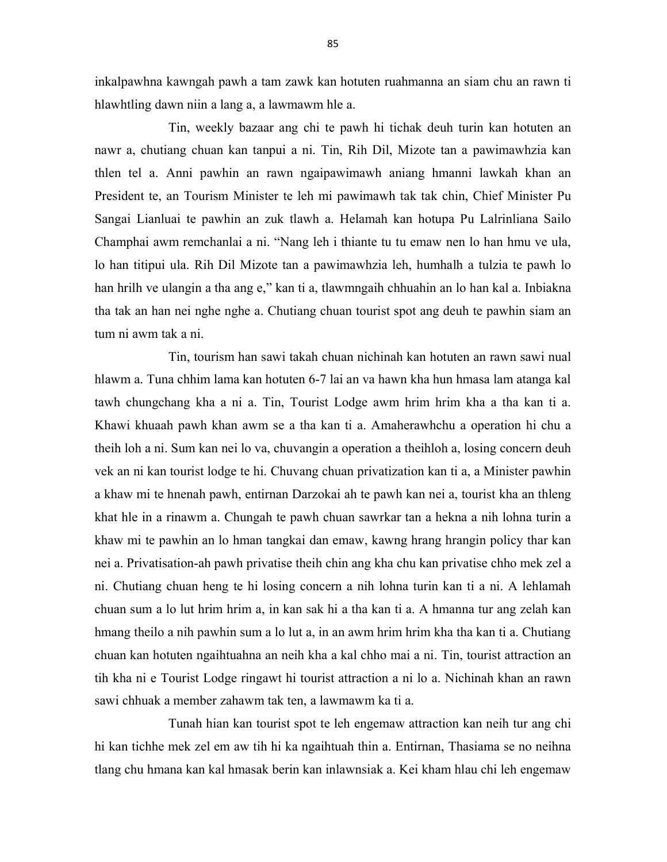inkalpawhna kawngah pawh a tam zawk kan hotuten ruahmanna an siam chu an rawn ti hlawhtling dawn niin a lang a, a lawmawm hle a.

 Tin, weekly bazaar ang chi te pawh hi tichak deuh turin kan hotuten an nawr a, chutiang chuan kan tanpui a ni. Tin, Rih Dil, Mizote tan a pawimawhzia kan thlen tel a. Anni pawhin an rawn ngaipawimawh aniang hmanni lawkah khan an President te, an Tourism Minister te leh mi pawimawh tak tak chin, Chief Minister Pu Sangai Lianluai te pawhin an zuk tlawh a. Helamah kan hotupa Pu Lalrinliana Sailo Champhai awm remchanlai a ni. "Nang leh i thiante tu tu emaw nen lo han hmu ve ula, lo han titipui ula. Rih Dil Mizote tan a pawimawhzia leh, humhalh a tulzia te pawh lo han hrilh ve ulangin a tha ang e," kan ti a, tlawmngaih chhuahin an lo han kal a. Inbiakna tha tak an han nei nghe nghe a. Chutiang chuan tourist spot ang deuh te pawhin siam an tum ni awm tak a ni.

 Tin, tourism han sawi takah chuan nichinah kan hotuten an rawn sawi nual hlawm a. Tuna chhim lama kan hotuten 6-7 lai an va hawn kha hun hmasa lam atanga kal tawh chungchang kha a ni a. Tin, Tourist Lodge awm hrim hrim kha a tha kan ti a. Khawi khuaah pawh khan awm se a tha kan ti a. Amaherawhchu a operation hi chu a theih loh a ni. Sum kan nei lo va, chuvangin a operation a theihloh a, losing concern deuh vek an ni kan tourist lodge te hi. Chuvang chuan privatization kan ti a, a Minister pawhin a khaw mi te hnenah pawh, entirnan Darzokai ah te pawh kan nei a, tourist kha an thleng khat hle in a rinawm a. Chungah te pawh chuan sawrkar tan a hekna a nih lohna turin a khaw mi te pawhin an lo hman tangkai dan emaw, kawng hrang hrangin policy thar kan nei a. Privatisation-ah pawh privatise theih chin ang kha chu kan privatise chho mek zel a ni. Chutiang chuan heng te hi losing concern a nih lohna turin kan ti a ni. A lehlamah chuan sum a lo lut hrim hrim a, in kan sak hi a tha kan ti a. A hmanna tur ang zelah kan hmang theilo a nih pawhin sum a lo lut a, in an awm hrim hrim kha tha kan ti a. Chutiang chuan kan hotuten ngaihtuahna an neih kha a kal chho mai a ni. Tin, tourist attraction an tih kha ni e Tourist Lodge ringawt hi tourist attraction a ni lo a. Nichinah khan an rawn sawi chhuak a member zahawm tak ten, a lawmawm ka ti a.

 Tunah hian kan tourist spot te leh engemaw attraction kan neih tur ang chi hi kan tichhe mek zel em aw tih hi ka ngaihtuah thin a. Entirnan, Thasiama se no neihna tlang chu hmana kan kal hmasak berin kan inlawnsiak a. Kei kham hlau chi leh engemaw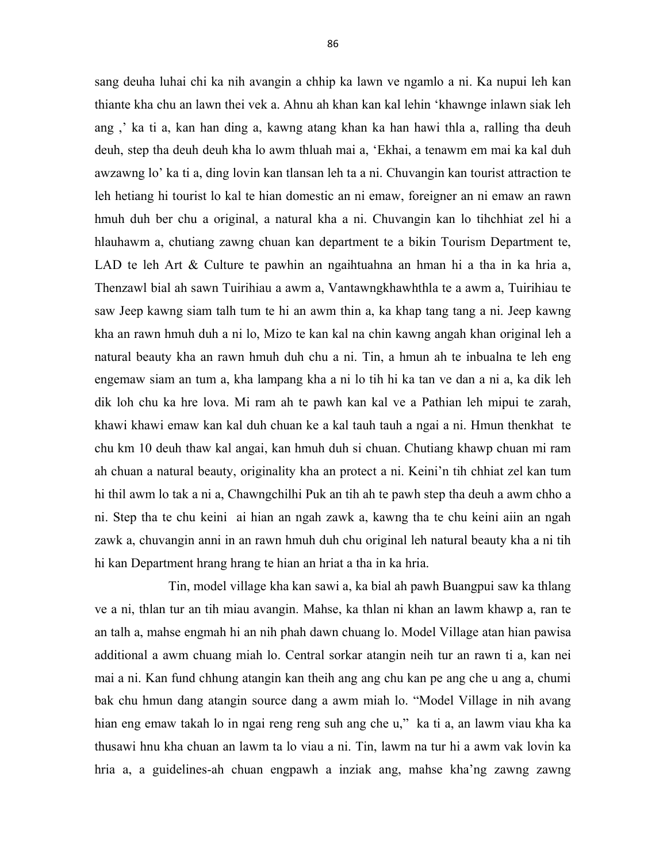sang deuha luhai chi ka nih avangin a chhip ka lawn ve ngamlo a ni. Ka nupui leh kan thiante kha chu an lawn thei vek a. Ahnu ah khan kan kal lehin 'khawnge inlawn siak leh ang ,' ka ti a, kan han ding a, kawng atang khan ka han hawi thla a, ralling tha deuh deuh, step tha deuh deuh kha lo awm thluah mai a, 'Ekhai, a tenawm em mai ka kal duh awzawng lo' ka ti a, ding lovin kan tlansan leh ta a ni. Chuvangin kan tourist attraction te leh hetiang hi tourist lo kal te hian domestic an ni emaw, foreigner an ni emaw an rawn hmuh duh ber chu a original, a natural kha a ni. Chuvangin kan lo tihchhiat zel hi a hlauhawm a, chutiang zawng chuan kan department te a bikin Tourism Department te, LAD te leh Art & Culture te pawhin an ngaihtuahna an hman hi a tha in ka hria a, Thenzawl bial ah sawn Tuirihiau a awm a, Vantawngkhawhthla te a awm a, Tuirihiau te saw Jeep kawng siam talh tum te hi an awm thin a, ka khap tang tang a ni. Jeep kawng kha an rawn hmuh duh a ni lo, Mizo te kan kal na chin kawng angah khan original leh a natural beauty kha an rawn hmuh duh chu a ni. Tin, a hmun ah te inbualna te leh eng engemaw siam an tum a, kha lampang kha a ni lo tih hi ka tan ve dan a ni a, ka dik leh dik loh chu ka hre lova. Mi ram ah te pawh kan kal ve a Pathian leh mipui te zarah, khawi khawi emaw kan kal duh chuan ke a kal tauh tauh a ngai a ni. Hmun thenkhat te chu km 10 deuh thaw kal angai, kan hmuh duh si chuan. Chutiang khawp chuan mi ram ah chuan a natural beauty, originality kha an protect a ni. Keini'n tih chhiat zel kan tum hi thil awm lo tak a ni a, Chawngchilhi Puk an tih ah te pawh step tha deuh a awm chho a ni. Step tha te chu keini ai hian an ngah zawk a, kawng tha te chu keini aiin an ngah zawk a, chuvangin anni in an rawn hmuh duh chu original leh natural beauty kha a ni tih hi kan Department hrang hrang te hian an hriat a tha in ka hria.

 Tin, model village kha kan sawi a, ka bial ah pawh Buangpui saw ka thlang ve a ni, thlan tur an tih miau avangin. Mahse, ka thlan ni khan an lawm khawp a, ran te an talh a, mahse engmah hi an nih phah dawn chuang lo. Model Village atan hian pawisa additional a awm chuang miah lo. Central sorkar atangin neih tur an rawn ti a, kan nei mai a ni. Kan fund chhung atangin kan theih ang ang chu kan pe ang che u ang a, chumi bak chu hmun dang atangin source dang a awm miah lo. "Model Village in nih avang hian eng emaw takah lo in ngai reng reng suh ang che u," ka ti a, an lawm viau kha ka thusawi hnu kha chuan an lawm ta lo viau a ni. Tin, lawm na tur hi a awm vak lovin ka hria a, a guidelines-ah chuan engpawh a inziak ang, mahse kha'ng zawng zawng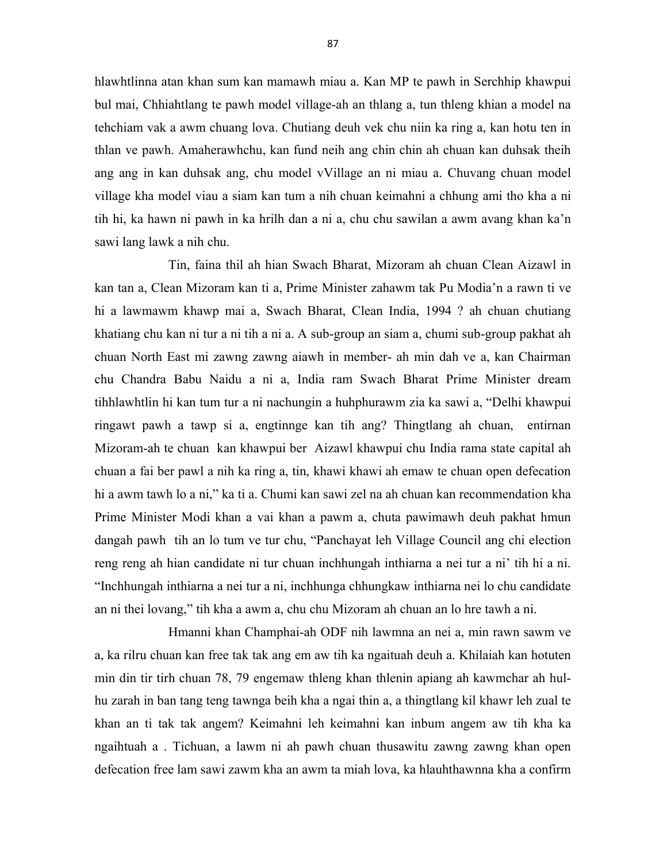hlawhtlinna atan khan sum kan mamawh miau a. Kan MP te pawh in Serchhip khawpui bul mai, Chhiahtlang te pawh model village-ah an thlang a, tun thleng khian a model na tehchiam vak a awm chuang lova. Chutiang deuh vek chu niin ka ring a, kan hotu ten in thlan ve pawh. Amaherawhchu, kan fund neih ang chin chin ah chuan kan duhsak theih ang ang in kan duhsak ang, chu model vVillage an ni miau a. Chuvang chuan model village kha model viau a siam kan tum a nih chuan keimahni a chhung ami tho kha a ni tih hi, ka hawn ni pawh in ka hrilh dan a ni a, chu chu sawilan a awm avang khan ka'n sawi lang lawk a nih chu.

 Tin, faina thil ah hian Swach Bharat, Mizoram ah chuan Clean Aizawl in kan tan a, Clean Mizoram kan ti a, Prime Minister zahawm tak Pu Modia'n a rawn ti ve hi a lawmawm khawp mai a, Swach Bharat, Clean India, 1994 ? ah chuan chutiang khatiang chu kan ni tur a ni tih a ni a. A sub-group an siam a, chumi sub-group pakhat ah chuan North East mi zawng zawng aiawh in member- ah min dah ve a, kan Chairman chu Chandra Babu Naidu a ni a, India ram Swach Bharat Prime Minister dream tihhlawhtlin hi kan tum tur a ni nachungin a huhphurawm zia ka sawi a, "Delhi khawpui ringawt pawh a tawp si a, engtinnge kan tih ang? Thingtlang ah chuan, entirnan Mizoram-ah te chuan kan khawpui ber Aizawl khawpui chu India rama state capital ah chuan a fai ber pawl a nih ka ring a, tin, khawi khawi ah emaw te chuan open defecation hi a awm tawh lo a ni," ka ti a. Chumi kan sawi zel na ah chuan kan recommendation kha Prime Minister Modi khan a vai khan a pawm a, chuta pawimawh deuh pakhat hmun dangah pawh tih an lo tum ve tur chu, "Panchayat leh Village Council ang chi election reng reng ah hian candidate ni tur chuan inchhungah inthiarna a nei tur a ni' tih hi a ni. "Inchhungah inthiarna a nei tur a ni, inchhunga chhungkaw inthiarna nei lo chu candidate an ni thei lovang," tih kha a awm a, chu chu Mizoram ah chuan an lo hre tawh a ni.

 Hmanni khan Champhai-ah ODF nih lawmna an nei a, min rawn sawm ve a, ka rilru chuan kan free tak tak ang em aw tih ka ngaituah deuh a. Khilaiah kan hotuten min din tir tirh chuan 78, 79 engemaw thleng khan thlenin apiang ah kawmchar ah hulhu zarah in ban tang teng tawnga beih kha a ngai thin a, a thingtlang kil khawr leh zual te khan an ti tak tak angem? Keimahni leh keimahni kan inbum angem aw tih kha ka ngaihtuah a . Tichuan, a lawm ni ah pawh chuan thusawitu zawng zawng khan open defecation free lam sawi zawm kha an awm ta miah lova, ka hlauhthawnna kha a confirm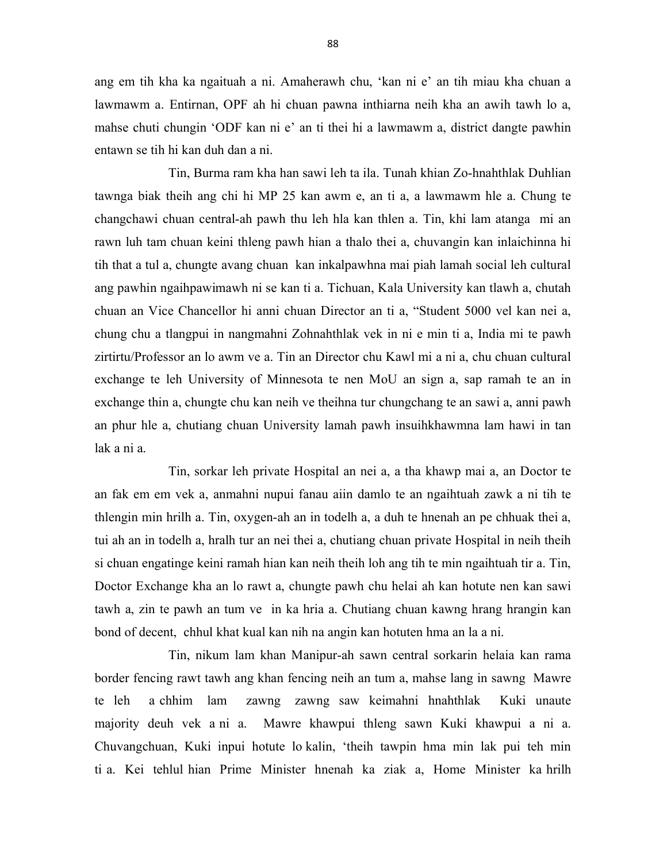ang em tih kha ka ngaituah a ni. Amaherawh chu, 'kan ni e' an tih miau kha chuan a lawmawm a. Entirnan, OPF ah hi chuan pawna inthiarna neih kha an awih tawh lo a, mahse chuti chungin 'ODF kan ni e' an ti thei hi a lawmawm a, district dangte pawhin entawn se tih hi kan duh dan a ni.

 Tin, Burma ram kha han sawi leh ta ila. Tunah khian Zo-hnahthlak Duhlian tawnga biak theih ang chi hi MP 25 kan awm e, an ti a, a lawmawm hle a. Chung te changchawi chuan central-ah pawh thu leh hla kan thlen a. Tin, khi lam atanga mi an rawn luh tam chuan keini thleng pawh hian a thalo thei a, chuvangin kan inlaichinna hi tih that a tul a, chungte avang chuan kan inkalpawhna mai piah lamah social leh cultural ang pawhin ngaihpawimawh ni se kan ti a. Tichuan, Kala University kan tlawh a, chutah chuan an Vice Chancellor hi anni chuan Director an ti a, "Student 5000 vel kan nei a, chung chu a tlangpui in nangmahni Zohnahthlak vek in ni e min ti a, India mi te pawh zirtirtu/Professor an lo awm ve a. Tin an Director chu Kawl mi a ni a, chu chuan cultural exchange te leh University of Minnesota te nen MoU an sign a, sap ramah te an in exchange thin a, chungte chu kan neih ve theihna tur chungchang te an sawi a, anni pawh an phur hle a, chutiang chuan University lamah pawh insuihkhawmna lam hawi in tan lak a ni a.

 Tin, sorkar leh private Hospital an nei a, a tha khawp mai a, an Doctor te an fak em em vek a, anmahni nupui fanau aiin damlo te an ngaihtuah zawk a ni tih te thlengin min hrilh a. Tin, oxygen-ah an in todelh a, a duh te hnenah an pe chhuak thei a, tui ah an in todelh a, hralh tur an nei thei a, chutiang chuan private Hospital in neih theih si chuan engatinge keini ramah hian kan neih theih loh ang tih te min ngaihtuah tir a. Tin, Doctor Exchange kha an lo rawt a, chungte pawh chu helai ah kan hotute nen kan sawi tawh a, zin te pawh an tum ve in ka hria a. Chutiang chuan kawng hrang hrangin kan bond of decent, chhul khat kual kan nih na angin kan hotuten hma an la a ni.

 Tin, nikum lam khan Manipur-ah sawn central sorkarin helaia kan rama border fencing rawt tawh ang khan fencing neih an tum a, mahse lang in sawng Mawre te leh a chhim lam zawng zawng saw keimahni hnahthlak Kuki unaute majority deuh vek a ni a. Mawre khawpui thleng sawn Kuki khawpui a ni a. Chuvangchuan, Kuki inpui hotute lo kalin, 'theih tawpin hma min lak pui teh min ti a. Kei tehlul hian Prime Minister hnenah ka ziak a, Home Minister ka hrilh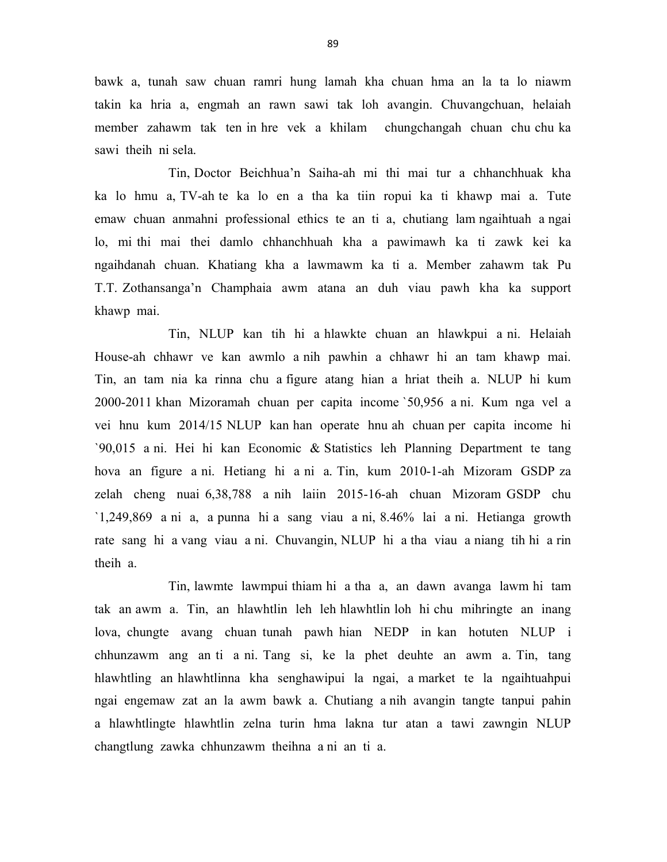bawk a, tunah saw chuan ramri hung lamah kha chuan hma an la ta lo niawm takin ka hria a, engmah an rawn sawi tak loh avangin. Chuvangchuan, helaiah member zahawm tak ten in hre vek a khilam chungchangah chuan chu chu ka sawi theih ni sela.

 Tin, Doctor Beichhua'n Saiha-ah mi thi mai tur a chhanchhuak kha ka lo hmu a, TV-ah te ka lo en a tha ka tiin ropui ka ti khawp mai a. Tute emaw chuan anmahni professional ethics te an ti a, chutiang lam ngaihtuah a ngai lo, mi thi mai thei damlo chhanchhuah kha a pawimawh ka ti zawk kei ka ngaihdanah chuan. Khatiang kha a lawmawm ka ti a. Member zahawm tak Pu T.T. Zothansanga'n Champhaia awm atana an duh viau pawh kha ka support khawp mai.

 Tin, NLUP kan tih hi a hlawkte chuan an hlawkpui a ni. Helaiah House-ah chhawr ve kan awmlo a nih pawhin a chhawr hi an tam khawp mai. Tin, an tam nia ka rinna chu a figure atang hian a hriat theih a. NLUP hi kum 2000-2011 khan Mizoramah chuan per capita income `50,956 a ni. Kum nga vel a vei hnu kum 2014/15 NLUP kan han operate hnu ah chuan per capita income hi `90,015 a ni. Hei hi kan Economic & Statistics leh Planning Department te tang hova an figure a ni. Hetiang hi a ni a. Tin, kum 2010-1-ah Mizoram GSDP za zelah cheng nuai 6,38,788 a nih laiin 2015-16-ah chuan Mizoram GSDP chu `1,249,869 a ni a, a punna hi a sang viau a ni, 8.46% lai a ni. Hetianga growth rate sang hi a vang viau a ni. Chuvangin, NLUP hi a tha viau a niang tih hi a rin theih a.

 Tin, lawmte lawmpui thiam hi a tha a, an dawn avanga lawm hi tam tak an awm a. Tin, an hlawhtlin leh leh hlawhtlin loh hi chu mihringte an inang lova, chungte avang chuan tunah pawh hian NEDP in kan hotuten NLUP i chhunzawm ang an ti a ni. Tang si, ke la phet deuhte an awm a. Tin, tang hlawhtling an hlawhtlinna kha senghawipui la ngai, a market te la ngaihtuahpui ngai engemaw zat an la awm bawk a. Chutiang a nih avangin tangte tanpui pahin a hlawhtlingte hlawhtlin zelna turin hma lakna tur atan a tawi zawngin NLUP changtlung zawka chhunzawm theihna a ni an ti a.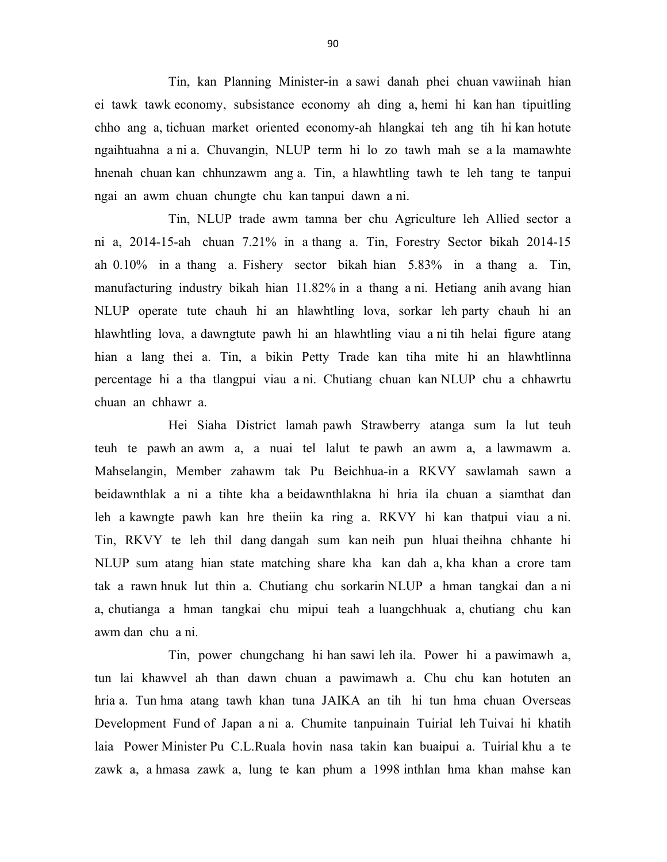Tin, kan Planning Minister-in a sawi danah phei chuan vawiinah hian ei tawk tawk economy, subsistance economy ah ding a, hemi hi kan han tipuitling chho ang a, tichuan market oriented economy-ah hlangkai teh ang tih hi kan hotute ngaihtuahna a ni a. Chuvangin, NLUP term hi lo zo tawh mah se a la mamawhte hnenah chuan kan chhunzawm ang a. Tin, a hlawhtling tawh te leh tang te tanpui ngai an awm chuan chungte chu kan tanpui dawn a ni.

 Tin, NLUP trade awm tamna ber chu Agriculture leh Allied sector a ni a, 2014-15-ah chuan 7.21% in a thang a. Tin, Forestry Sector bikah 2014-15 ah 0.10% in a thang a. Fishery sector bikah hian 5.83% in a thang a. Tin, manufacturing industry bikah hian 11.82% in a thang a ni. Hetiang anih avang hian NLUP operate tute chauh hi an hlawhtling lova, sorkar leh party chauh hi an hlawhtling lova, a dawngtute pawh hi an hlawhtling viau a ni tih helai figure atang hian a lang thei a. Tin, a bikin Petty Trade kan tiha mite hi an hlawhtlinna percentage hi a tha tlangpui viau a ni. Chutiang chuan kan NLUP chu a chhawrtu chuan an chhawr a.

 Hei Siaha District lamah pawh Strawberry atanga sum la lut teuh teuh te pawh an awm a, a nuai tel lalut te pawh an awm a, a lawmawm a. Mahselangin, Member zahawm tak Pu Beichhua-in a RKVY sawlamah sawn a beidawnthlak a ni a tihte kha a beidawnthlakna hi hria ila chuan a siamthat dan leh a kawngte pawh kan hre theiin ka ring a. RKVY hi kan thatpui viau a ni. Tin, RKVY te leh thil dang dangah sum kan neih pun hluai theihna chhante hi NLUP sum atang hian state matching share kha kan dah a, kha khan a crore tam tak a rawn hnuk lut thin a. Chutiang chu sorkarin NLUP a hman tangkai dan a ni a, chutianga a hman tangkai chu mipui teah a luangchhuak a, chutiang chu kan awm dan chu a ni.

 Tin, power chungchang hi han sawi leh ila. Power hi a pawimawh a, tun lai khawvel ah than dawn chuan a pawimawh a. Chu chu kan hotuten an hria a. Tun hma atang tawh khan tuna JAIKA an tih hi tun hma chuan Overseas Development Fund of Japan a ni a. Chumite tanpuinain Tuirial leh Tuivai hi khatih laia Power Minister Pu C.L.Ruala hovin nasa takin kan buaipui a. Tuirial khu a te zawk a, a hmasa zawk a, lung te kan phum a 1998 inthlan hma khan mahse kan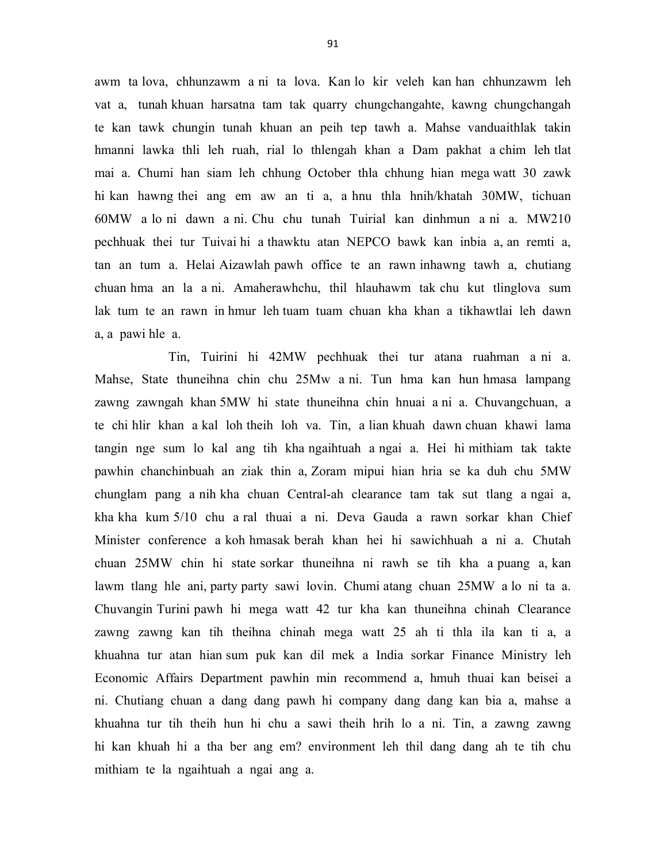awm ta lova, chhunzawm a ni ta lova. Kan lo kir veleh kan han chhunzawm leh vat a, tunah khuan harsatna tam tak quarry chungchangahte, kawng chungchangah te kan tawk chungin tunah khuan an peih tep tawh a. Mahse vanduaithlak takin hmanni lawka thli leh ruah, rial lo thlengah khan a Dam pakhat a chim leh tlat mai a. Chumi han siam leh chhung October thla chhung hian mega watt 30 zawk hi kan hawng thei ang em aw an ti a, a hnu thla hnih/khatah 30MW, tichuan 60MW a lo ni dawn a ni. Chu chu tunah Tuirial kan dinhmun a ni a. MW210 pechhuak thei tur Tuivai hi a thawktu atan NEPCO bawk kan inbia a, an remti a, tan an tum a. Helai Aizawlah pawh office te an rawn inhawng tawh a, chutiang chuan hma an la a ni. Amaherawhchu, thil hlauhawm tak chu kut tlinglova sum lak tum te an rawn in hmur leh tuam tuam chuan kha khan a tikhawtlai leh dawn a, a pawi hle a.

 Tin, Tuirini hi 42MW pechhuak thei tur atana ruahman a ni a. Mahse, State thuneihna chin chu 25Mw a ni. Tun hma kan hun hmasa lampang zawng zawngah khan 5MW hi state thuneihna chin hnuai a ni a. Chuvangchuan, a te chi hlir khan a kal loh theih loh va. Tin, a lian khuah dawn chuan khawi lama tangin nge sum lo kal ang tih kha ngaihtuah a ngai a. Hei hi mithiam tak takte pawhin chanchinbuah an ziak thin a, Zoram mipui hian hria se ka duh chu 5MW chunglam pang a nih kha chuan Central-ah clearance tam tak sut tlang a ngai a, kha kha kum 5/10 chu a ral thuai a ni. Deva Gauda a rawn sorkar khan Chief Minister conference a koh hmasak berah khan hei hi sawichhuah a ni a. Chutah chuan 25MW chin hi state sorkar thuneihna ni rawh se tih kha a puang a, kan lawm tlang hle ani, party party sawi lovin. Chumi atang chuan 25MW a lo ni ta a. Chuvangin Turini pawh hi mega watt 42 tur kha kan thuneihna chinah Clearance zawng zawng kan tih theihna chinah mega watt 25 ah ti thla ila kan ti a, a khuahna tur atan hian sum puk kan dil mek a India sorkar Finance Ministry leh Economic Affairs Department pawhin min recommend a, hmuh thuai kan beisei a ni. Chutiang chuan a dang dang pawh hi company dang dang kan bia a, mahse a khuahna tur tih theih hun hi chu a sawi theih hrih lo a ni. Tin, a zawng zawng hi kan khuah hi a tha ber ang em? environment leh thil dang dang ah te tih chu mithiam te la ngaihtuah a ngai ang a.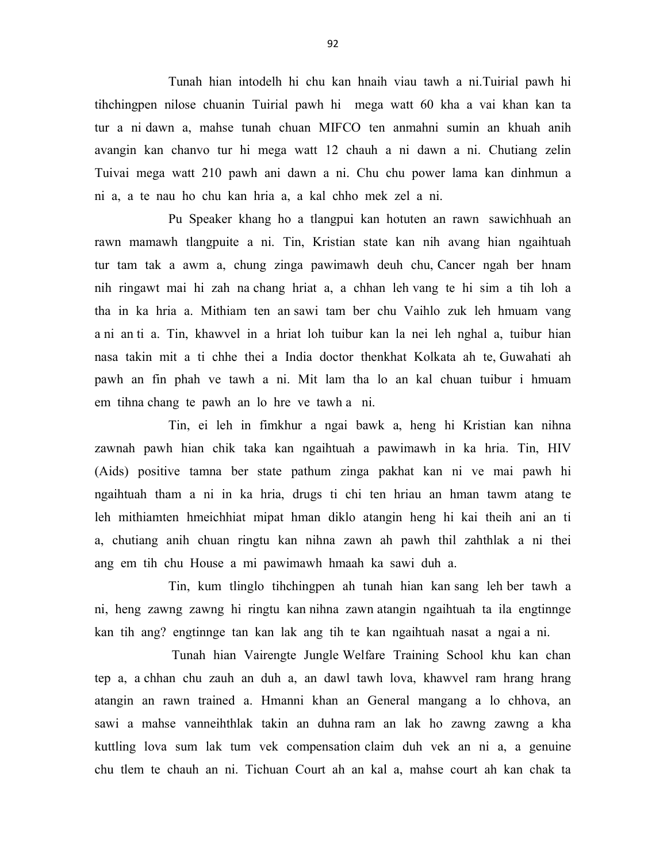Tunah hian intodelh hi chu kan hnaih viau tawh a ni.Tuirial pawh hi tihchingpen nilose chuanin Tuirial pawh hi mega watt 60 kha a vai khan kan ta tur a ni dawn a, mahse tunah chuan MIFCO ten anmahni sumin an khuah anih avangin kan chanvo tur hi mega watt 12 chauh a ni dawn a ni. Chutiang zelin Tuivai mega watt 210 pawh ani dawn a ni. Chu chu power lama kan dinhmun a ni a, a te nau ho chu kan hria a, a kal chho mek zel a ni.

 Pu Speaker khang ho a tlangpui kan hotuten an rawn sawichhuah an rawn mamawh tlangpuite a ni. Tin, Kristian state kan nih avang hian ngaihtuah tur tam tak a awm a, chung zinga pawimawh deuh chu, Cancer ngah ber hnam nih ringawt mai hi zah na chang hriat a, a chhan leh vang te hi sim a tih loh a tha in ka hria a. Mithiam ten an sawi tam ber chu Vaihlo zuk leh hmuam vang a ni an ti a. Tin, khawvel in a hriat loh tuibur kan la nei leh nghal a, tuibur hian nasa takin mit a ti chhe thei a India doctor thenkhat Kolkata ah te, Guwahati ah pawh an fin phah ve tawh a ni. Mit lam tha lo an kal chuan tuibur i hmuam em tihna chang te pawh an lo hre ve tawh a ni.

 Tin, ei leh in fimkhur a ngai bawk a, heng hi Kristian kan nihna zawnah pawh hian chik taka kan ngaihtuah a pawimawh in ka hria. Tin, HIV (Aids) positive tamna ber state pathum zinga pakhat kan ni ve mai pawh hi ngaihtuah tham a ni in ka hria, drugs ti chi ten hriau an hman tawm atang te leh mithiamten hmeichhiat mipat hman diklo atangin heng hi kai theih ani an ti a, chutiang anih chuan ringtu kan nihna zawn ah pawh thil zahthlak a ni thei ang em tih chu House a mi pawimawh hmaah ka sawi duh a.

 Tin, kum tlinglo tihchingpen ah tunah hian kan sang leh ber tawh a ni, heng zawng zawng hi ringtu kan nihna zawn atangin ngaihtuah ta ila engtinnge kan tih ang? engtinnge tan kan lak ang tih te kan ngaihtuah nasat a ngai a ni.

 Tunah hian Vairengte Jungle Welfare Training School khu kan chan tep a, a chhan chu zauh an duh a, an dawl tawh lova, khawvel ram hrang hrang atangin an rawn trained a. Hmanni khan an General mangang a lo chhova, an sawi a mahse vanneihthlak takin an duhna ram an lak ho zawng zawng a kha kuttling lova sum lak tum vek compensation claim duh vek an ni a, a genuine chu tlem te chauh an ni. Tichuan Court ah an kal a, mahse court ah kan chak ta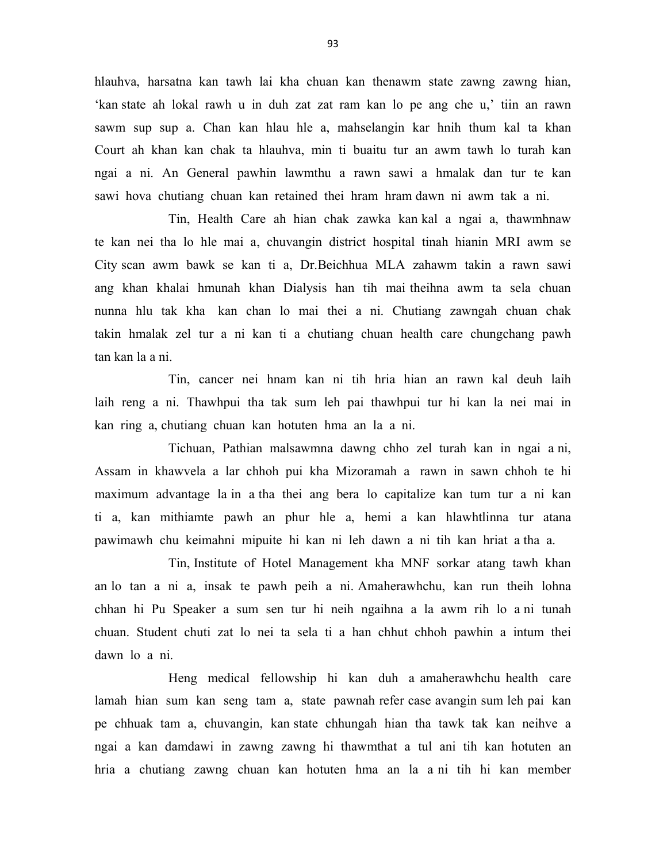hlauhva, harsatna kan tawh lai kha chuan kan thenawm state zawng zawng hian, 'kan state ah lokal rawh u in duh zat zat ram kan lo pe ang che u,' tiin an rawn sawm sup sup a. Chan kan hlau hle a, mahselangin kar hnih thum kal ta khan Court ah khan kan chak ta hlauhva, min ti buaitu tur an awm tawh lo turah kan ngai a ni. An General pawhin lawmthu a rawn sawi a hmalak dan tur te kan sawi hova chutiang chuan kan retained thei hram hram dawn ni awm tak a ni.

 Tin, Health Care ah hian chak zawka kan kal a ngai a, thawmhnaw te kan nei tha lo hle mai a, chuvangin district hospital tinah hianin MRI awm se City scan awm bawk se kan ti a, Dr.Beichhua MLA zahawm takin a rawn sawi ang khan khalai hmunah khan Dialysis han tih mai theihna awm ta sela chuan nunna hlu tak kha kan chan lo mai thei a ni. Chutiang zawngah chuan chak takin hmalak zel tur a ni kan ti a chutiang chuan health care chungchang pawh tan kan la a ni.

 Tin, cancer nei hnam kan ni tih hria hian an rawn kal deuh laih laih reng a ni. Thawhpui tha tak sum leh pai thawhpui tur hi kan la nei mai in kan ring a, chutiang chuan kan hotuten hma an la a ni.

 Tichuan, Pathian malsawmna dawng chho zel turah kan in ngai a ni, Assam in khawvela a lar chhoh pui kha Mizoramah a rawn in sawn chhoh te hi maximum advantage la in a tha thei ang bera lo capitalize kan tum tur a ni kan ti a, kan mithiamte pawh an phur hle a, hemi a kan hlawhtlinna tur atana pawimawh chu keimahni mipuite hi kan ni leh dawn a ni tih kan hriat a tha a.

 Tin, Institute of Hotel Management kha MNF sorkar atang tawh khan an lo tan a ni a, insak te pawh peih a ni. Amaherawhchu, kan run theih lohna chhan hi Pu Speaker a sum sen tur hi neih ngaihna a la awm rih lo a ni tunah chuan. Student chuti zat lo nei ta sela ti a han chhut chhoh pawhin a intum thei dawn lo a ni.

 Heng medical fellowship hi kan duh a amaherawhchu health care lamah hian sum kan seng tam a, state pawnah refer case avangin sum leh pai kan pe chhuak tam a, chuvangin, kan state chhungah hian tha tawk tak kan neihve a ngai a kan damdawi in zawng zawng hi thawmthat a tul ani tih kan hotuten an hria a chutiang zawng chuan kan hotuten hma an la a ni tih hi kan member

93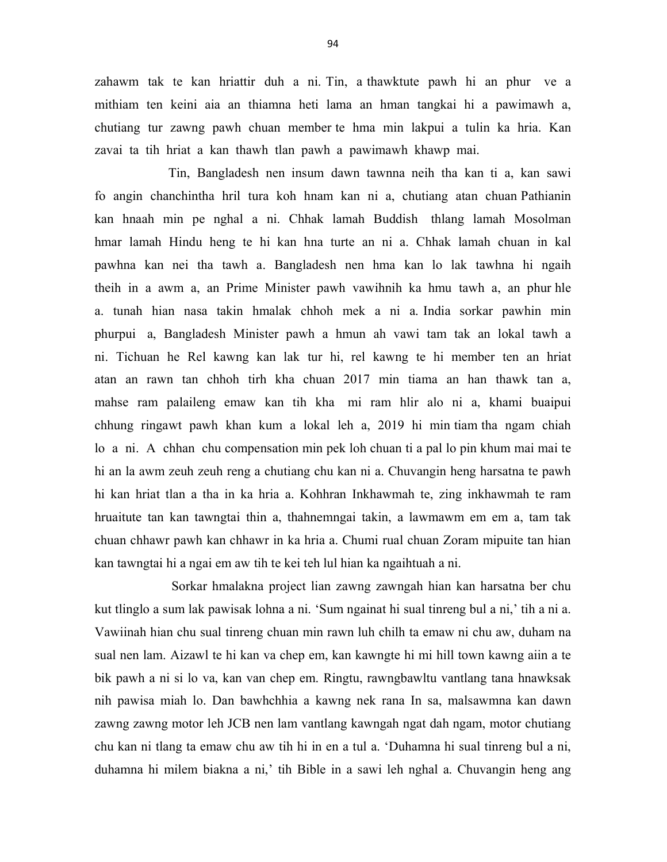zahawm tak te kan hriattir duh a ni. Tin, a thawktute pawh hi an phur ve a mithiam ten keini aia an thiamna heti lama an hman tangkai hi a pawimawh a, chutiang tur zawng pawh chuan member te hma min lakpui a tulin ka hria. Kan zavai ta tih hriat a kan thawh tlan pawh a pawimawh khawp mai.

 Tin, Bangladesh nen insum dawn tawnna neih tha kan ti a, kan sawi fo angin chanchintha hril tura koh hnam kan ni a, chutiang atan chuan Pathianin kan hnaah min pe nghal a ni. Chhak lamah Buddish thlang lamah Mosolman hmar lamah Hindu heng te hi kan hna turte an ni a. Chhak lamah chuan in kal pawhna kan nei tha tawh a. Bangladesh nen hma kan lo lak tawhna hi ngaih theih in a awm a, an Prime Minister pawh vawihnih ka hmu tawh a, an phur hle a. tunah hian nasa takin hmalak chhoh mek a ni a. India sorkar pawhin min phurpui a, Bangladesh Minister pawh a hmun ah vawi tam tak an lokal tawh a ni. Tichuan he Rel kawng kan lak tur hi, rel kawng te hi member ten an hriat atan an rawn tan chhoh tirh kha chuan 2017 min tiama an han thawk tan a, mahse ram palaileng emaw kan tih kha mi ram hlir alo ni a, khami buaipui chhung ringawt pawh khan kum a lokal leh a, 2019 hi min tiam tha ngam chiah lo a ni. A chhan chu compensation min pek loh chuan ti a pal lo pin khum mai mai te hi an la awm zeuh zeuh reng a chutiang chu kan ni a. Chuvangin heng harsatna te pawh hi kan hriat tlan a tha in ka hria a. Kohhran Inkhawmah te, zing inkhawmah te ram hruaitute tan kan tawngtai thin a, thahnemngai takin, a lawmawm em em a, tam tak chuan chhawr pawh kan chhawr in ka hria a. Chumi rual chuan Zoram mipuite tan hian kan tawngtai hi a ngai em aw tih te kei teh lul hian ka ngaihtuah a ni.

 Sorkar hmalakna project lian zawng zawngah hian kan harsatna ber chu kut tlinglo a sum lak pawisak lohna a ni. 'Sum ngainat hi sual tinreng bul a ni,' tih a ni a. Vawiinah hian chu sual tinreng chuan min rawn luh chilh ta emaw ni chu aw, duham na sual nen lam. Aizawl te hi kan va chep em, kan kawngte hi mi hill town kawng aiin a te bik pawh a ni si lo va, kan van chep em. Ringtu, rawngbawltu vantlang tana hnawksak nih pawisa miah lo. Dan bawhchhia a kawng nek rana In sa, malsawmna kan dawn zawng zawng motor leh JCB nen lam vantlang kawngah ngat dah ngam, motor chutiang chu kan ni tlang ta emaw chu aw tih hi in en a tul a. 'Duhamna hi sual tinreng bul a ni, duhamna hi milem biakna a ni,' tih Bible in a sawi leh nghal a. Chuvangin heng ang

94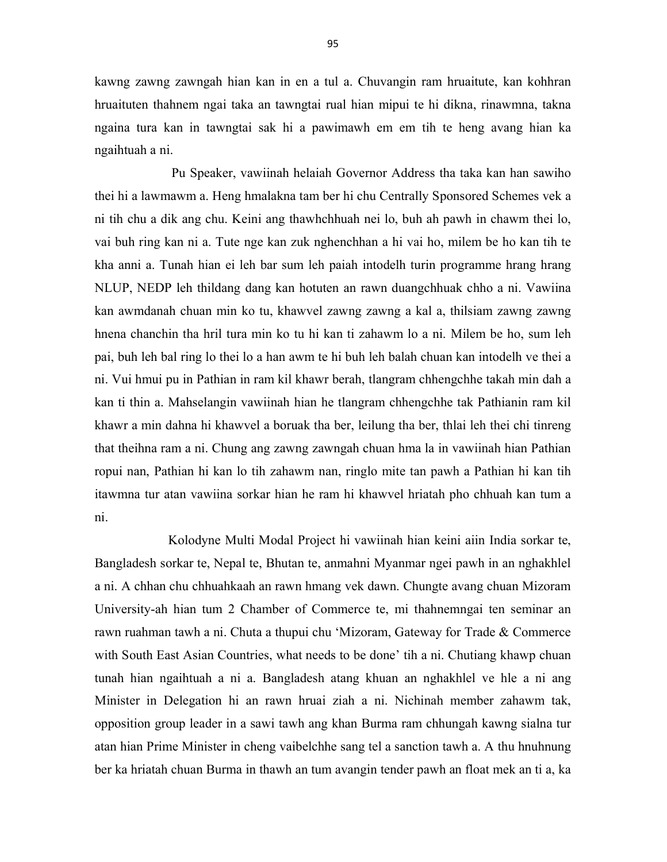kawng zawng zawngah hian kan in en a tul a. Chuvangin ram hruaitute, kan kohhran hruaituten thahnem ngai taka an tawngtai rual hian mipui te hi dikna, rinawmna, takna ngaina tura kan in tawngtai sak hi a pawimawh em em tih te heng avang hian ka ngaihtuah a ni.

 Pu Speaker, vawiinah helaiah Governor Address tha taka kan han sawiho thei hi a lawmawm a. Heng hmalakna tam ber hi chu Centrally Sponsored Schemes vek a ni tih chu a dik ang chu. Keini ang thawhchhuah nei lo, buh ah pawh in chawm thei lo, vai buh ring kan ni a. Tute nge kan zuk nghenchhan a hi vai ho, milem be ho kan tih te kha anni a. Tunah hian ei leh bar sum leh paiah intodelh turin programme hrang hrang NLUP, NEDP leh thildang dang kan hotuten an rawn duangchhuak chho a ni. Vawiina kan awmdanah chuan min ko tu, khawvel zawng zawng a kal a, thilsiam zawng zawng hnena chanchin tha hril tura min ko tu hi kan ti zahawm lo a ni. Milem be ho, sum leh pai, buh leh bal ring lo thei lo a han awm te hi buh leh balah chuan kan intodelh ve thei a ni. Vui hmui pu in Pathian in ram kil khawr berah, tlangram chhengchhe takah min dah a kan ti thin a. Mahselangin vawiinah hian he tlangram chhengchhe tak Pathianin ram kil khawr a min dahna hi khawvel a boruak tha ber, leilung tha ber, thlai leh thei chi tinreng that theihna ram a ni. Chung ang zawng zawngah chuan hma la in vawiinah hian Pathian ropui nan, Pathian hi kan lo tih zahawm nan, ringlo mite tan pawh a Pathian hi kan tih itawmna tur atan vawiina sorkar hian he ram hi khawvel hriatah pho chhuah kan tum a ni.

 Kolodyne Multi Modal Project hi vawiinah hian keini aiin India sorkar te, Bangladesh sorkar te, Nepal te, Bhutan te, anmahni Myanmar ngei pawh in an nghakhlel a ni. A chhan chu chhuahkaah an rawn hmang vek dawn. Chungte avang chuan Mizoram University-ah hian tum 2 Chamber of Commerce te, mi thahnemngai ten seminar an rawn ruahman tawh a ni. Chuta a thupui chu 'Mizoram, Gateway for Trade & Commerce with South East Asian Countries, what needs to be done' tih a ni. Chutiang khawp chuan tunah hian ngaihtuah a ni a. Bangladesh atang khuan an nghakhlel ve hle a ni ang Minister in Delegation hi an rawn hruai ziah a ni. Nichinah member zahawm tak, opposition group leader in a sawi tawh ang khan Burma ram chhungah kawng sialna tur atan hian Prime Minister in cheng vaibelchhe sang tel a sanction tawh a. A thu hnuhnung ber ka hriatah chuan Burma in thawh an tum avangin tender pawh an float mek an ti a, ka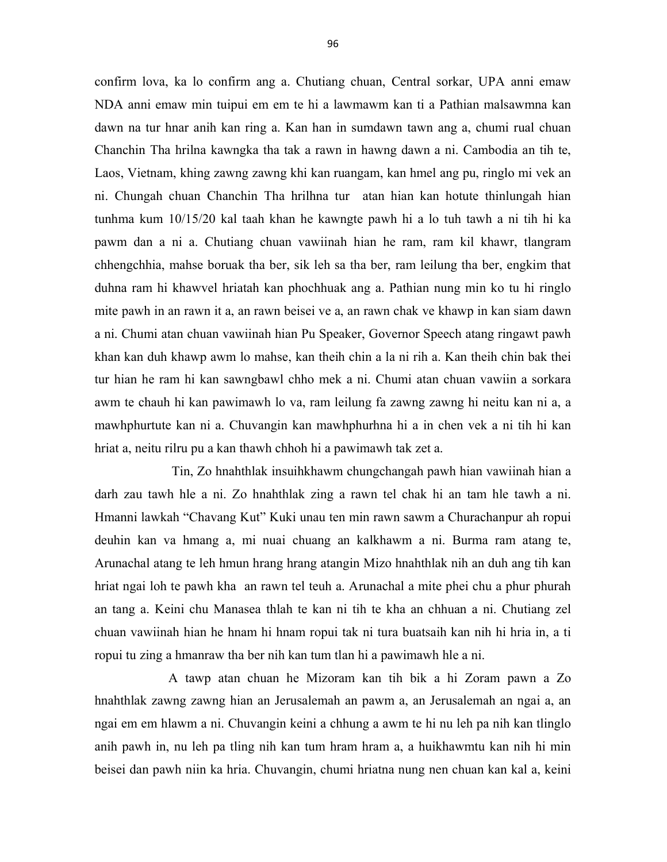confirm lova, ka lo confirm ang a. Chutiang chuan, Central sorkar, UPA anni emaw NDA anni emaw min tuipui em em te hi a lawmawm kan ti a Pathian malsawmna kan dawn na tur hnar anih kan ring a. Kan han in sumdawn tawn ang a, chumi rual chuan Chanchin Tha hrilna kawngka tha tak a rawn in hawng dawn a ni. Cambodia an tih te, Laos, Vietnam, khing zawng zawng khi kan ruangam, kan hmel ang pu, ringlo mi vek an ni. Chungah chuan Chanchin Tha hrilhna tur atan hian kan hotute thinlungah hian tunhma kum 10/15/20 kal taah khan he kawngte pawh hi a lo tuh tawh a ni tih hi ka pawm dan a ni a. Chutiang chuan vawiinah hian he ram, ram kil khawr, tlangram chhengchhia, mahse boruak tha ber, sik leh sa tha ber, ram leilung tha ber, engkim that duhna ram hi khawvel hriatah kan phochhuak ang a. Pathian nung min ko tu hi ringlo mite pawh in an rawn it a, an rawn beisei ve a, an rawn chak ve khawp in kan siam dawn a ni. Chumi atan chuan vawiinah hian Pu Speaker, Governor Speech atang ringawt pawh khan kan duh khawp awm lo mahse, kan theih chin a la ni rih a. Kan theih chin bak thei tur hian he ram hi kan sawngbawl chho mek a ni. Chumi atan chuan vawiin a sorkara awm te chauh hi kan pawimawh lo va, ram leilung fa zawng zawng hi neitu kan ni a, a mawhphurtute kan ni a. Chuvangin kan mawhphurhna hi a in chen vek a ni tih hi kan hriat a, neitu rilru pu a kan thawh chhoh hi a pawimawh tak zet a.

 Tin, Zo hnahthlak insuihkhawm chungchangah pawh hian vawiinah hian a darh zau tawh hle a ni. Zo hnahthlak zing a rawn tel chak hi an tam hle tawh a ni. Hmanni lawkah "Chavang Kut" Kuki unau ten min rawn sawm a Churachanpur ah ropui deuhin kan va hmang a, mi nuai chuang an kalkhawm a ni. Burma ram atang te, Arunachal atang te leh hmun hrang hrang atangin Mizo hnahthlak nih an duh ang tih kan hriat ngai loh te pawh kha an rawn tel teuh a. Arunachal a mite phei chu a phur phurah an tang a. Keini chu Manasea thlah te kan ni tih te kha an chhuan a ni. Chutiang zel chuan vawiinah hian he hnam hi hnam ropui tak ni tura buatsaih kan nih hi hria in, a ti ropui tu zing a hmanraw tha ber nih kan tum tlan hi a pawimawh hle a ni.

 A tawp atan chuan he Mizoram kan tih bik a hi Zoram pawn a Zo hnahthlak zawng zawng hian an Jerusalemah an pawm a, an Jerusalemah an ngai a, an ngai em em hlawm a ni. Chuvangin keini a chhung a awm te hi nu leh pa nih kan tlinglo anih pawh in, nu leh pa tling nih kan tum hram hram a, a huikhawmtu kan nih hi min beisei dan pawh niin ka hria. Chuvangin, chumi hriatna nung nen chuan kan kal a, keini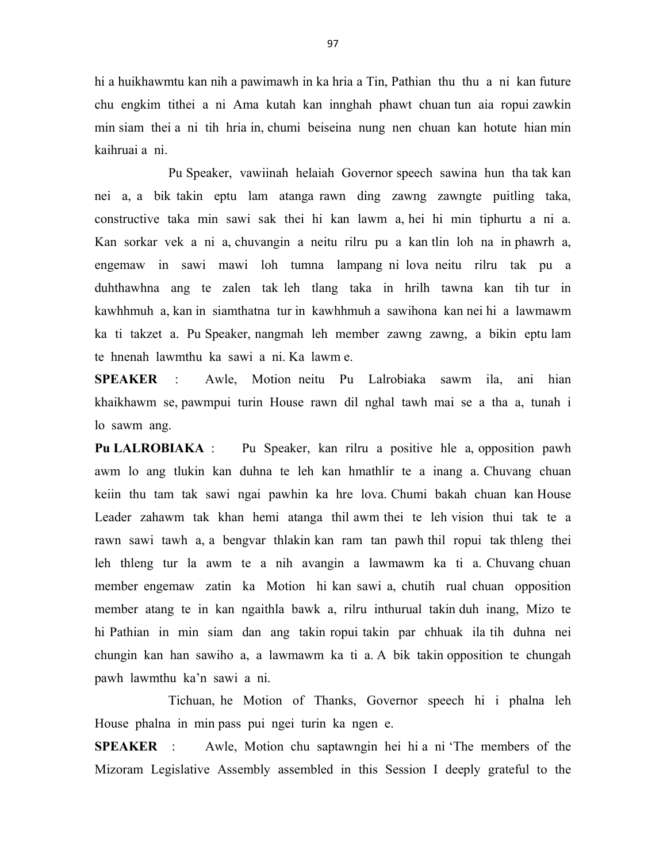hi a huikhawmtu kan nih a pawimawh in ka hria a Tin, Pathian thu thu a ni kan future chu engkim tithei a ni Ama kutah kan innghah phawt chuan tun aia ropui zawkin min siam thei a ni tih hria in, chumi beiseina nung nen chuan kan hotute hian min kaihruai a ni.

 Pu Speaker, vawiinah helaiah Governor speech sawina hun tha tak kan nei a, a bik takin eptu lam atanga rawn ding zawng zawngte puitling taka, constructive taka min sawi sak thei hi kan lawm a, hei hi min tiphurtu a ni a. Kan sorkar vek a ni a, chuvangin a neitu rilru pu a kan tlin loh na in phawrh a, engemaw in sawi mawi loh tumna lampang ni lova neitu rilru tak pu a duhthawhna ang te zalen tak leh tlang taka in hrilh tawna kan tih tur in kawhhmuh a, kan in siamthatna tur in kawhhmuh a sawihona kan nei hi a lawmawm ka ti takzet a. Pu Speaker, nangmah leh member zawng zawng, a bikin eptu lam te hnenah lawmthu ka sawi a ni. Ka lawm e.

SPEAKER : Awle, Motion neitu Pu Lalrobiaka sawm ila, ani hian khaikhawm se, pawmpui turin House rawn dil nghal tawh mai se a tha a, tunah i lo sawm ang.

Pu LALROBIAKA : Pu Speaker, kan rilru a positive hle a, opposition pawh awm lo ang tlukin kan duhna te leh kan hmathlir te a inang a. Chuvang chuan keiin thu tam tak sawi ngai pawhin ka hre lova. Chumi bakah chuan kan House Leader zahawm tak khan hemi atanga thil awm thei te leh vision thui tak te a rawn sawi tawh a, a bengvar thlakin kan ram tan pawh thil ropui tak thleng thei leh thleng tur la awm te a nih avangin a lawmawm ka ti a. Chuvang chuan member engemaw zatin ka Motion hi kan sawi a, chutih rual chuan opposition member atang te in kan ngaithla bawk a, rilru inthurual takin duh inang, Mizo te hi Pathian in min siam dan ang takin ropui takin par chhuak ila tih duhna nei chungin kan han sawiho a, a lawmawm ka ti a. A bik takin opposition te chungah pawh lawmthu ka'n sawi a ni.

 Tichuan, he Motion of Thanks, Governor speech hi i phalna leh House phalna in min pass pui ngei turin ka ngen e.

SPEAKER : Awle, Motion chu saptawngin hei hi a ni 'The members of the Mizoram Legislative Assembly assembled in this Session I deeply grateful to the